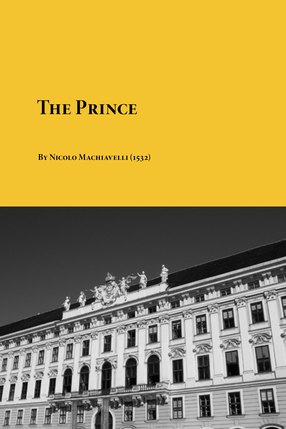# **The Prince**

**By Nicolo Machiavelli (1532)**

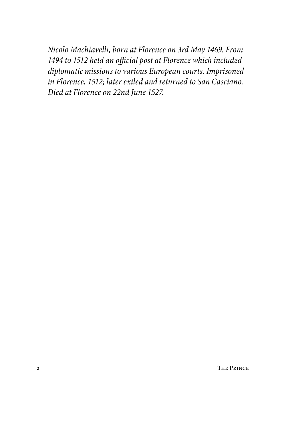*Nicolo Machiavelli, born at Florence on 3rd May 1469. From 1494 to 1512 held an official post at Florence which included diplomatic missions to various European courts. Imprisoned in Florence, 1512; later exiled and returned to San Casciano. Died at Florence on 22nd June 1527.*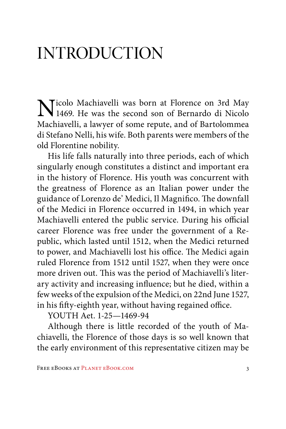### INTRODUCTION

Nicolo Machiavelli was born at Florence on 3rd May 1469. He was the second son of Bernardo di Nicolo Machiavelli, a lawyer of some repute, and of Bartolommea di Stefano Nelli, his wife. Both parents were members of the old Florentine nobility.

His life falls naturally into three periods, each of which singularly enough constitutes a distinct and important era in the history of Florence. His youth was concurrent with the greatness of Florence as an Italian power under the guidance of Lorenzo de' Medici, Il Magnifico. The downfall of the Medici in Florence occurred in 1494, in which year Machiavelli entered the public service. During his official career Florence was free under the government of a Republic, which lasted until 1512, when the Medici returned to power, and Machiavelli lost his office. The Medici again ruled Florence from 1512 until 1527, when they were once more driven out. This was the period of Machiavelli's literary activity and increasing influence; but he died, within a few weeks of the expulsion of the Medici, on 22nd June 1527, in his fifty-eighth year, without having regained office.

YOUTH Aet. 1-25—1469-94

Although there is little recorded of the youth of Machiavelli, the Florence of those days is so well known that the early environment of this representative citizen may be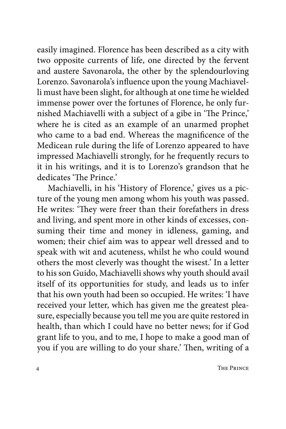easily imagined. Florence has been described as a city with two opposite currents of life, one directed by the fervent and austere Savonarola, the other by the splendourloving Lorenzo. Savonarola's influence upon the young Machiavelli must have been slight, for although at one time he wielded immense power over the fortunes of Florence, he only furnished Machiavelli with a subject of a gibe in 'The Prince,' where he is cited as an example of an unarmed prophet who came to a bad end. Whereas the magnificence of the Medicean rule during the life of Lorenzo appeared to have impressed Machiavelli strongly, for he frequently recurs to it in his writings, and it is to Lorenzo's grandson that he dedicates 'The Prince.'

Machiavelli, in his 'History of Florence,' gives us a picture of the young men among whom his youth was passed. He writes: 'They were freer than their forefathers in dress and living, and spent more in other kinds of excesses, consuming their time and money in idleness, gaming, and women; their chief aim was to appear well dressed and to speak with wit and acuteness, whilst he who could wound others the most cleverly was thought the wisest.' In a letter to his son Guido, Machiavelli shows why youth should avail itself of its opportunities for study, and leads us to infer that his own youth had been so occupied. He writes: 'I have received your letter, which has given me the greatest pleasure, especially because you tell me you are quite restored in health, than which I could have no better news; for if God grant life to you, and to me, I hope to make a good man of you if you are willing to do your share.' Then, writing of a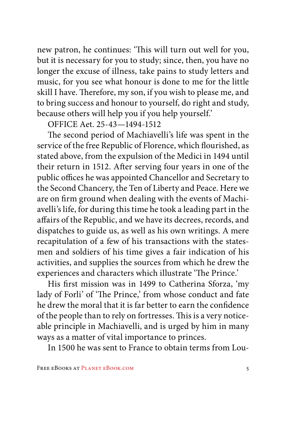new patron, he continues: 'This will turn out well for you, but it is necessary for you to study; since, then, you have no longer the excuse of illness, take pains to study letters and music, for you see what honour is done to me for the little skill I have. Therefore, my son, if you wish to please me, and to bring success and honour to yourself, do right and study, because others will help you if you help yourself.'

OFFICE Aet. 25-43—1494-1512

The second period of Machiavelli's life was spent in the service of the free Republic of Florence, which flourished, as stated above, from the expulsion of the Medici in 1494 until their return in 1512. After serving four years in one of the public offices he was appointed Chancellor and Secretary to the Second Chancery, the Ten of Liberty and Peace. Here we are on firm ground when dealing with the events of Machiavelli's life, for during this time he took a leading part in the affairs of the Republic, and we have its decrees, records, and dispatches to guide us, as well as his own writings. A mere recapitulation of a few of his transactions with the statesmen and soldiers of his time gives a fair indication of his activities, and supplies the sources from which he drew the experiences and characters which illustrate 'The Prince.'

His first mission was in 1499 to Catherina Sforza, 'my lady of Forli' of 'The Prince,' from whose conduct and fate he drew the moral that it is far better to earn the confidence of the people than to rely on fortresses. This is a very noticeable principle in Machiavelli, and is urged by him in many ways as a matter of vital importance to princes.

In 1500 he was sent to France to obtain terms from Lou-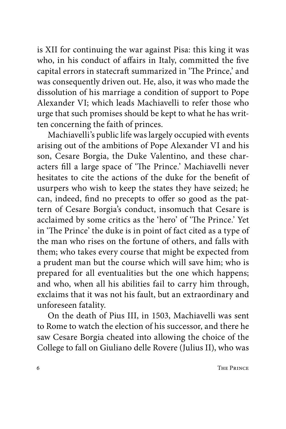is XII for continuing the war against Pisa: this king it was who, in his conduct of affairs in Italy, committed the five capital errors in statecraft summarized in 'The Prince,' and was consequently driven out. He, also, it was who made the dissolution of his marriage a condition of support to Pope Alexander VI; which leads Machiavelli to refer those who urge that such promises should be kept to what he has written concerning the faith of princes.

Machiavelli's public life was largely occupied with events arising out of the ambitions of Pope Alexander VI and his son, Cesare Borgia, the Duke Valentino, and these characters fill a large space of 'The Prince.' Machiavelli never hesitates to cite the actions of the duke for the benefit of usurpers who wish to keep the states they have seized; he can, indeed, find no precepts to offer so good as the pattern of Cesare Borgia's conduct, insomuch that Cesare is acclaimed by some critics as the 'hero' of 'The Prince.' Yet in 'The Prince' the duke is in point of fact cited as a type of the man who rises on the fortune of others, and falls with them; who takes every course that might be expected from a prudent man but the course which will save him; who is prepared for all eventualities but the one which happens; and who, when all his abilities fail to carry him through, exclaims that it was not his fault, but an extraordinary and unforeseen fatality.

On the death of Pius III, in 1503, Machiavelli was sent to Rome to watch the election of his successor, and there he saw Cesare Borgia cheated into allowing the choice of the College to fall on Giuliano delle Rovere (Julius II), who was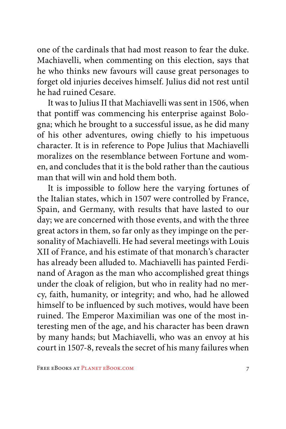one of the cardinals that had most reason to fear the duke. Machiavelli, when commenting on this election, says that he who thinks new favours will cause great personages to forget old injuries deceives himself. Julius did not rest until he had ruined Cesare.

It was to Julius II that Machiavelli was sent in 1506, when that pontiff was commencing his enterprise against Bologna; which he brought to a successful issue, as he did many of his other adventures, owing chiefly to his impetuous character. It is in reference to Pope Julius that Machiavelli moralizes on the resemblance between Fortune and women, and concludes that it is the bold rather than the cautious man that will win and hold them both.

It is impossible to follow here the varying fortunes of the Italian states, which in 1507 were controlled by France, Spain, and Germany, with results that have lasted to our day; we are concerned with those events, and with the three great actors in them, so far only as they impinge on the personality of Machiavelli. He had several meetings with Louis XII of France, and his estimate of that monarch's character has already been alluded to. Machiavelli has painted Ferdinand of Aragon as the man who accomplished great things under the cloak of religion, but who in reality had no mercy, faith, humanity, or integrity; and who, had he allowed himself to be influenced by such motives, would have been ruined. The Emperor Maximilian was one of the most interesting men of the age, and his character has been drawn by many hands; but Machiavelli, who was an envoy at his court in 1507-8, reveals the secret of his many failures when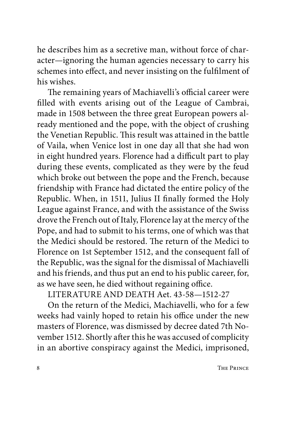he describes him as a secretive man, without force of character—ignoring the human agencies necessary to carry his schemes into effect, and never insisting on the fulfilment of his wishes.

The remaining years of Machiavelli's official career were filled with events arising out of the League of Cambrai, made in 1508 between the three great European powers already mentioned and the pope, with the object of crushing the Venetian Republic. This result was attained in the battle of Vaila, when Venice lost in one day all that she had won in eight hundred years. Florence had a difficult part to play during these events, complicated as they were by the feud which broke out between the pope and the French, because friendship with France had dictated the entire policy of the Republic. When, in 1511, Julius II finally formed the Holy League against France, and with the assistance of the Swiss drove the French out of Italy, Florence lay at the mercy of the Pope, and had to submit to his terms, one of which was that the Medici should be restored. The return of the Medici to Florence on 1st September 1512, and the consequent fall of the Republic, was the signal for the dismissal of Machiavelli and his friends, and thus put an end to his public career, for, as we have seen, he died without regaining office.

LITERATURE AND DEATH Aet. 43-58—1512-27

On the return of the Medici, Machiavelli, who for a few weeks had vainly hoped to retain his office under the new masters of Florence, was dismissed by decree dated 7th November 1512. Shortly after this he was accused of complicity in an abortive conspiracy against the Medici, imprisoned,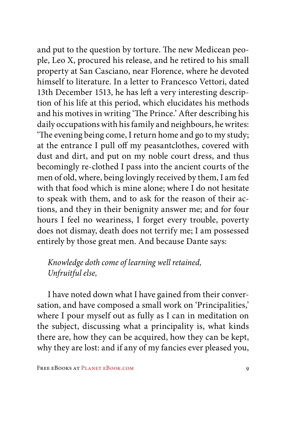and put to the question by torture. The new Medicean people, Leo X, procured his release, and he retired to his small property at San Casciano, near Florence, where he devoted himself to literature. In a letter to Francesco Vettori, dated 13th December 1513, he has left a very interesting description of his life at this period, which elucidates his methods and his motives in writing 'The Prince.' After describing his daily occupations with his family and neighbours, he writes: 'The evening being come, I return home and go to my study; at the entrance I pull off my peasantclothes, covered with dust and dirt, and put on my noble court dress, and thus becomingly re-clothed I pass into the ancient courts of the men of old, where, being lovingly received by them, I am fed with that food which is mine alone; where I do not hesitate to speak with them, and to ask for the reason of their actions, and they in their benignity answer me; and for four hours I feel no weariness, I forget every trouble, poverty does not dismay, death does not terrify me; I am possessed entirely by those great men. And because Dante says:

#### *Knowledge doth come of learning well retained, Unfruitful else,*

I have noted down what I have gained from their conversation, and have composed a small work on 'Principalities,' where I pour myself out as fully as I can in meditation on the subject, discussing what a principality is, what kinds there are, how they can be acquired, how they can be kept, why they are lost: and if any of my fancies ever pleased you,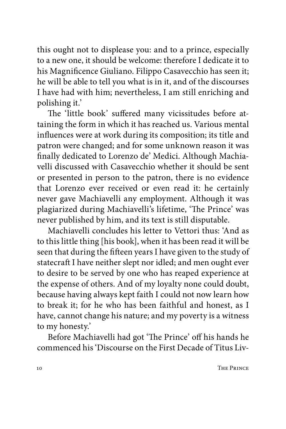this ought not to displease you: and to a prince, especially to a new one, it should be welcome: therefore I dedicate it to his Magnificence Giuliano. Filippo Casavecchio has seen it; he will be able to tell you what is in it, and of the discourses I have had with him; nevertheless, I am still enriching and polishing it.'

The 'little book' suffered many vicissitudes before attaining the form in which it has reached us. Various mental influences were at work during its composition; its title and patron were changed; and for some unknown reason it was finally dedicated to Lorenzo de' Medici. Although Machiavelli discussed with Casavecchio whether it should be sent or presented in person to the patron, there is no evidence that Lorenzo ever received or even read it: he certainly never gave Machiavelli any employment. Although it was plagiarized during Machiavelli's lifetime, 'The Prince' was never published by him, and its text is still disputable.

Machiavelli concludes his letter to Vettori thus: 'And as to this little thing [his book], when it has been read it will be seen that during the fifteen years I have given to the study of statecraft I have neither slept nor idled; and men ought ever to desire to be served by one who has reaped experience at the expense of others. And of my loyalty none could doubt, because having always kept faith I could not now learn how to break it; for he who has been faithful and honest, as I have, cannot change his nature; and my poverty is a witness to my honesty.'

Before Machiavelli had got 'The Prince' off his hands he commenced his 'Discourse on the First Decade of Titus Liv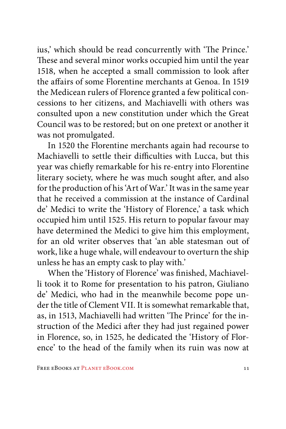ius,' which should be read concurrently with 'The Prince.' These and several minor works occupied him until the year 1518, when he accepted a small commission to look after the affairs of some Florentine merchants at Genoa. In 1519 the Medicean rulers of Florence granted a few political concessions to her citizens, and Machiavelli with others was consulted upon a new constitution under which the Great Council was to be restored; but on one pretext or another it was not promulgated.

In 1520 the Florentine merchants again had recourse to Machiavelli to settle their difficulties with Lucca, but this year was chiefly remarkable for his re-entry into Florentine literary society, where he was much sought after, and also for the production of his 'Art of War.' It was in the same year that he received a commission at the instance of Cardinal de' Medici to write the 'History of Florence,' a task which occupied him until 1525. His return to popular favour may have determined the Medici to give him this employment, for an old writer observes that 'an able statesman out of work, like a huge whale, will endeavour to overturn the ship unless he has an empty cask to play with.'

When the 'History of Florence' was finished, Machiavelli took it to Rome for presentation to his patron, Giuliano de' Medici, who had in the meanwhile become pope under the title of Clement VII. It is somewhat remarkable that, as, in 1513, Machiavelli had written 'The Prince' for the instruction of the Medici after they had just regained power in Florence, so, in 1525, he dedicated the 'History of Florence' to the head of the family when its ruin was now at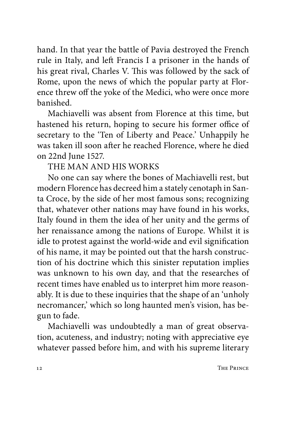hand. In that year the battle of Pavia destroyed the French rule in Italy, and left Francis I a prisoner in the hands of his great rival, Charles V. This was followed by the sack of Rome, upon the news of which the popular party at Florence threw off the yoke of the Medici, who were once more banished.

Machiavelli was absent from Florence at this time, but hastened his return, hoping to secure his former office of secretary to the 'Ten of Liberty and Peace.' Unhappily he was taken ill soon after he reached Florence, where he died on 22nd June 1527.

#### THE MAN AND HIS WORKS

No one can say where the bones of Machiavelli rest, but modern Florence has decreed him a stately cenotaph in Santa Croce, by the side of her most famous sons; recognizing that, whatever other nations may have found in his works, Italy found in them the idea of her unity and the germs of her renaissance among the nations of Europe. Whilst it is idle to protest against the world-wide and evil signification of his name, it may be pointed out that the harsh construction of his doctrine which this sinister reputation implies was unknown to his own day, and that the researches of recent times have enabled us to interpret him more reasonably. It is due to these inquiries that the shape of an 'unholy necromancer,' which so long haunted men's vision, has begun to fade.

Machiavelli was undoubtedly a man of great observation, acuteness, and industry; noting with appreciative eye whatever passed before him, and with his supreme literary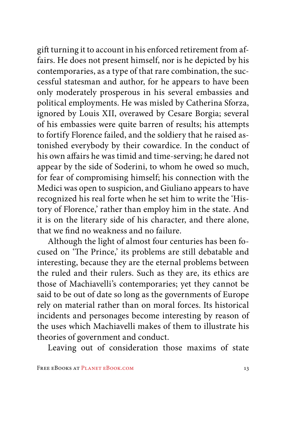gift turning it to account in his enforced retirement from affairs. He does not present himself, nor is he depicted by his contemporaries, as a type of that rare combination, the successful statesman and author, for he appears to have been only moderately prosperous in his several embassies and political employments. He was misled by Catherina Sforza, ignored by Louis XII, overawed by Cesare Borgia; several of his embassies were quite barren of results; his attempts to fortify Florence failed, and the soldiery that he raised astonished everybody by their cowardice. In the conduct of his own affairs he was timid and time-serving; he dared not appear by the side of Soderini, to whom he owed so much, for fear of compromising himself; his connection with the Medici was open to suspicion, and Giuliano appears to have recognized his real forte when he set him to write the 'History of Florence,' rather than employ him in the state. And it is on the literary side of his character, and there alone, that we find no weakness and no failure.

Although the light of almost four centuries has been focused on 'The Prince,' its problems are still debatable and interesting, because they are the eternal problems between the ruled and their rulers. Such as they are, its ethics are those of Machiavelli's contemporaries; yet they cannot be said to be out of date so long as the governments of Europe rely on material rather than on moral forces. Its historical incidents and personages become interesting by reason of the uses which Machiavelli makes of them to illustrate his theories of government and conduct.

Leaving out of consideration those maxims of state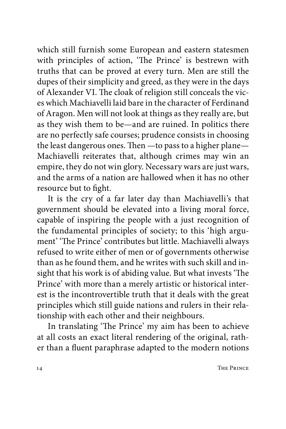which still furnish some European and eastern statesmen with principles of action, 'The Prince' is bestrewn with truths that can be proved at every turn. Men are still the dupes of their simplicity and greed, as they were in the days of Alexander VI. The cloak of religion still conceals the vices which Machiavelli laid bare in the character of Ferdinand of Aragon. Men will not look at things as they really are, but as they wish them to be—and are ruined. In politics there are no perfectly safe courses; prudence consists in choosing the least dangerous ones. Then —to pass to a higher plane— Machiavelli reiterates that, although crimes may win an empire, they do not win glory. Necessary wars are just wars, and the arms of a nation are hallowed when it has no other resource but to fight.

It is the cry of a far later day than Machiavelli's that government should be elevated into a living moral force, capable of inspiring the people with a just recognition of the fundamental principles of society; to this 'high argument' 'The Prince' contributes but little. Machiavelli always refused to write either of men or of governments otherwise than as he found them, and he writes with such skill and insight that his work is of abiding value. But what invests 'The Prince' with more than a merely artistic or historical interest is the incontrovertible truth that it deals with the great principles which still guide nations and rulers in their relationship with each other and their neighbours.

In translating 'The Prince' my aim has been to achieve at all costs an exact literal rendering of the original, rather than a fluent paraphrase adapted to the modern notions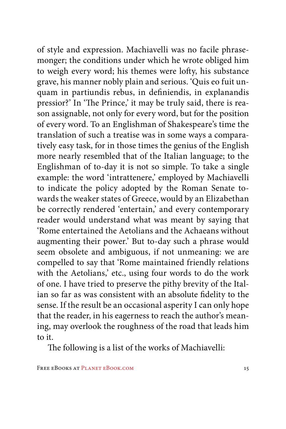of style and expression. Machiavelli was no facile phrasemonger; the conditions under which he wrote obliged him to weigh every word; his themes were lofty, his substance grave, his manner nobly plain and serious. 'Quis eo fuit unquam in partiundis rebus, in definiendis, in explanandis pressior?' In 'The Prince,' it may be truly said, there is reason assignable, not only for every word, but for the position of every word. To an Englishman of Shakespeare's time the translation of such a treatise was in some ways a comparatively easy task, for in those times the genius of the English more nearly resembled that of the Italian language; to the Englishman of to-day it is not so simple. To take a single example: the word 'intrattenere,' employed by Machiavelli to indicate the policy adopted by the Roman Senate towards the weaker states of Greece, would by an Elizabethan be correctly rendered 'entertain,' and every contemporary reader would understand what was meant by saying that 'Rome entertained the Aetolians and the Achaeans without augmenting their power.' But to-day such a phrase would seem obsolete and ambiguous, if not unmeaning: we are compelled to say that 'Rome maintained friendly relations with the Aetolians,' etc., using four words to do the work of one. I have tried to preserve the pithy brevity of the Italian so far as was consistent with an absolute fidelity to the sense. If the result be an occasional asperity I can only hope that the reader, in his eagerness to reach the author's meaning, may overlook the roughness of the road that leads him to it.

The following is a list of the works of Machiavelli: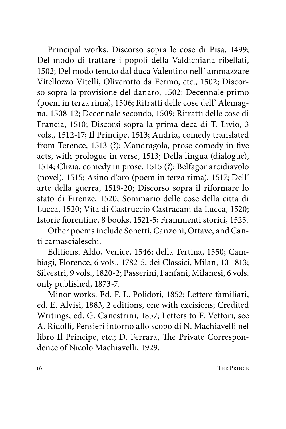Principal works. Discorso sopra le cose di Pisa, 1499; Del modo di trattare i popoli della Valdichiana ribellati, 1502; Del modo tenuto dal duca Valentino nell' ammazzare Vitellozzo Vitelli, Oliverotto da Fermo, etc., 1502; Discorso sopra la provisione del danaro, 1502; Decennale primo (poem in terza rima), 1506; Ritratti delle cose dell' Alemagna, 1508-12; Decennale secondo, 1509; Ritratti delle cose di Francia, 1510; Discorsi sopra la prima deca di T. Livio, 3 vols., 1512-17; Il Principe, 1513; Andria, comedy translated from Terence, 1513 (?); Mandragola, prose comedy in five acts, with prologue in verse, 1513; Della lingua (dialogue), 1514; Clizia, comedy in prose, 1515 (?); Belfagor arcidiavolo (novel), 1515; Asino d'oro (poem in terza rima), 1517; Dell' arte della guerra, 1519-20; Discorso sopra il riformare lo stato di Firenze, 1520; Sommario delle cose della citta di Lucca, 1520; Vita di Castruccio Castracani da Lucca, 1520; Istorie fiorentine, 8 books, 1521-5; Frammenti storici, 1525.

Other poems include Sonetti, Canzoni, Ottave, and Canti carnascialeschi.

Editions. Aldo, Venice, 1546; della Tertina, 1550; Cambiagi, Florence, 6 vols., 1782-5; dei Classici, Milan, 10 1813; Silvestri, 9 vols., 1820-2; Passerini, Fanfani, Milanesi, 6 vols. only published, 1873-7.

Minor works. Ed. F. L. Polidori, 1852; Lettere familiari, ed. E. Alvisi, 1883, 2 editions, one with excisions; Credited Writings, ed. G. Canestrini, 1857; Letters to F. Vettori, see A. Ridolfi, Pensieri intorno allo scopo di N. Machiavelli nel libro Il Principe, etc.; D. Ferrara, The Private Correspondence of Nicolo Machiavelli, 1929.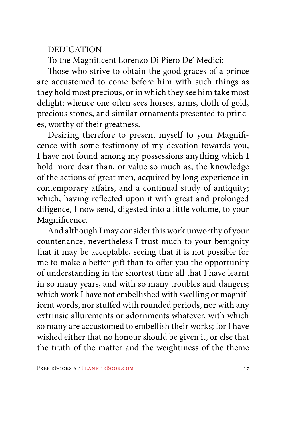#### DEDICATION

To the Magnificent Lorenzo Di Piero De' Medici:

Those who strive to obtain the good graces of a prince are accustomed to come before him with such things as they hold most precious, or in which they see him take most delight; whence one often sees horses, arms, cloth of gold, precious stones, and similar ornaments presented to princes, worthy of their greatness.

Desiring therefore to present myself to your Magnificence with some testimony of my devotion towards you, I have not found among my possessions anything which I hold more dear than, or value so much as, the knowledge of the actions of great men, acquired by long experience in contemporary affairs, and a continual study of antiquity; which, having reflected upon it with great and prolonged diligence, I now send, digested into a little volume, to your Magnificence.

And although I may consider this work unworthy of your countenance, nevertheless I trust much to your benignity that it may be acceptable, seeing that it is not possible for me to make a better gift than to offer you the opportunity of understanding in the shortest time all that I have learnt in so many years, and with so many troubles and dangers; which work I have not embellished with swelling or magnificent words, nor stuffed with rounded periods, nor with any extrinsic allurements or adornments whatever, with which so many are accustomed to embellish their works; for I have wished either that no honour should be given it, or else that the truth of the matter and the weightiness of the theme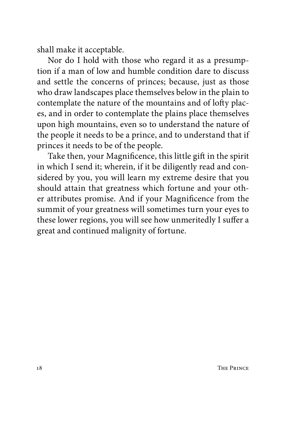shall make it acceptable.

Nor do I hold with those who regard it as a presumption if a man of low and humble condition dare to discuss and settle the concerns of princes; because, just as those who draw landscapes place themselves below in the plain to contemplate the nature of the mountains and of lofty places, and in order to contemplate the plains place themselves upon high mountains, even so to understand the nature of the people it needs to be a prince, and to understand that if princes it needs to be of the people.

Take then, your Magnificence, this little gift in the spirit in which I send it; wherein, if it be diligently read and considered by you, you will learn my extreme desire that you should attain that greatness which fortune and your other attributes promise. And if your Magnificence from the summit of your greatness will sometimes turn your eyes to these lower regions, you will see how unmeritedly I suffer a great and continued malignity of fortune.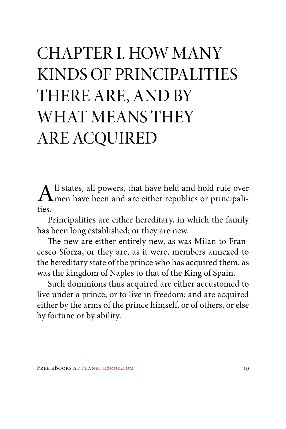### CHAPTER I. HOW MANY KINDS OF PRINCIPALITIES THERE ARE, AND BY WHAT MEANS THEY ARE ACQUIRED

 $\mathbf{A}$ ll states, all powers, that have held and hold rule over men have been and are either republics or principalities. ties.

Principalities are either hereditary, in which the family has been long established; or they are new.

The new are either entirely new, as was Milan to Francesco Sforza, or they are, as it were, members annexed to the hereditary state of the prince who has acquired them, as was the kingdom of Naples to that of the King of Spain.

Such dominions thus acquired are either accustomed to live under a prince, or to live in freedom; and are acquired either by the arms of the prince himself, or of others, or else by fortune or by ability.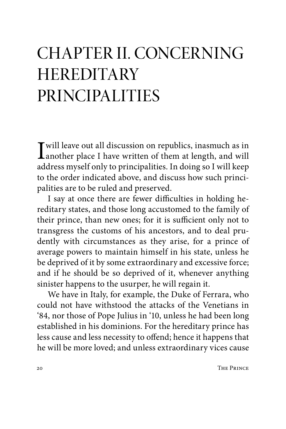### CHAPTER II. CONCERNING **HEREDITARY** PRINCIPALITIES

I will leave out all discussion on republics, inasmuch as in<br>another place I have written of them at length, and will<br>address muscle only to principalities. In deing so I will keep address myself only to principalities. In doing so I will keep to the order indicated above, and discuss how such principalities are to be ruled and preserved.

I say at once there are fewer difficulties in holding hereditary states, and those long accustomed to the family of their prince, than new ones; for it is sufficient only not to transgress the customs of his ancestors, and to deal prudently with circumstances as they arise, for a prince of average powers to maintain himself in his state, unless he be deprived of it by some extraordinary and excessive force; and if he should be so deprived of it, whenever anything sinister happens to the usurper, he will regain it.

We have in Italy, for example, the Duke of Ferrara, who could not have withstood the attacks of the Venetians in '84, nor those of Pope Julius in '10, unless he had been long established in his dominions. For the hereditary prince has less cause and less necessity to offend; hence it happens that he will be more loved; and unless extraordinary vices cause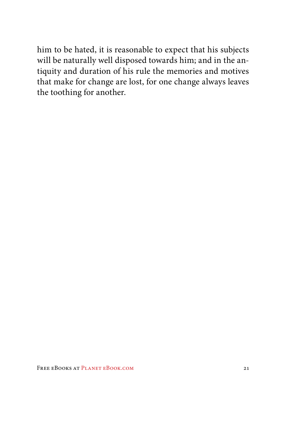him to be hated, it is reasonable to expect that his subjects will be naturally well disposed towards him; and in the antiquity and duration of his rule the memories and motives that make for change are lost, for one change always leaves the toothing for another.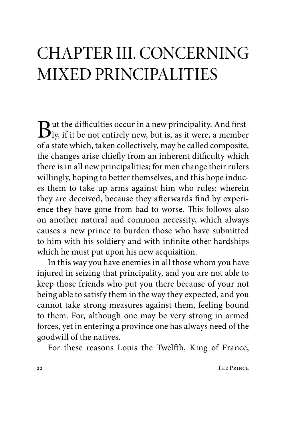### CHAPTER III. CONCERNING MIXED PRINCIPALITIES

 $\mathbf{B}$ ut the difficulties occur in a new principality. And first-<br>ly, if it be not entirely new, but is, as it were, a member<br>of a state which takes all the sum has all deservative of a state which, taken collectively, may be called composite, the changes arise chiefly from an inherent difficulty which there is in all new principalities; for men change their rulers willingly, hoping to better themselves, and this hope induces them to take up arms against him who rules: wherein they are deceived, because they afterwards find by experience they have gone from bad to worse. This follows also on another natural and common necessity, which always causes a new prince to burden those who have submitted to him with his soldiery and with infinite other hardships which he must put upon his new acquisition.

In this way you have enemies in all those whom you have injured in seizing that principality, and you are not able to keep those friends who put you there because of your not being able to satisfy them in the way they expected, and you cannot take strong measures against them, feeling bound to them. For, although one may be very strong in armed forces, yet in entering a province one has always need of the goodwill of the natives.

For these reasons Louis the Twelfth, King of France,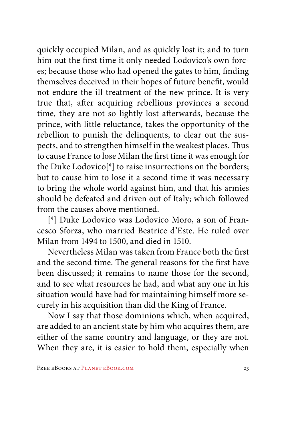quickly occupied Milan, and as quickly lost it; and to turn him out the first time it only needed Lodovico's own forces; because those who had opened the gates to him, finding themselves deceived in their hopes of future benefit, would not endure the ill-treatment of the new prince. It is very true that, after acquiring rebellious provinces a second time, they are not so lightly lost afterwards, because the prince, with little reluctance, takes the opportunity of the rebellion to punish the delinquents, to clear out the suspects, and to strengthen himself in the weakest places. Thus to cause France to lose Milan the first time it was enough for the Duke Lodovico[\*] to raise insurrections on the borders; but to cause him to lose it a second time it was necessary to bring the whole world against him, and that his armies should be defeated and driven out of Italy; which followed from the causes above mentioned.

[\*] Duke Lodovico was Lodovico Moro, a son of Francesco Sforza, who married Beatrice d'Este. He ruled over Milan from 1494 to 1500, and died in 1510.

Nevertheless Milan was taken from France both the first and the second time. The general reasons for the first have been discussed; it remains to name those for the second, and to see what resources he had, and what any one in his situation would have had for maintaining himself more securely in his acquisition than did the King of France.

Now I say that those dominions which, when acquired, are added to an ancient state by him who acquires them, are either of the same country and language, or they are not. When they are, it is easier to hold them, especially when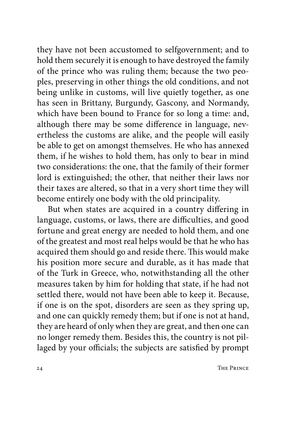they have not been accustomed to selfgovernment; and to hold them securely it is enough to have destroyed the family of the prince who was ruling them; because the two peoples, preserving in other things the old conditions, and not being unlike in customs, will live quietly together, as one has seen in Brittany, Burgundy, Gascony, and Normandy, which have been bound to France for so long a time: and, although there may be some difference in language, nevertheless the customs are alike, and the people will easily be able to get on amongst themselves. He who has annexed them, if he wishes to hold them, has only to bear in mind two considerations: the one, that the family of their former lord is extinguished; the other, that neither their laws nor their taxes are altered, so that in a very short time they will become entirely one body with the old principality.

But when states are acquired in a country differing in language, customs, or laws, there are difficulties, and good fortune and great energy are needed to hold them, and one of the greatest and most real helps would be that he who has acquired them should go and reside there. This would make his position more secure and durable, as it has made that of the Turk in Greece, who, notwithstanding all the other measures taken by him for holding that state, if he had not settled there, would not have been able to keep it. Because, if one is on the spot, disorders are seen as they spring up, and one can quickly remedy them; but if one is not at hand, they are heard of only when they are great, and then one can no longer remedy them. Besides this, the country is not pillaged by your officials; the subjects are satisfied by prompt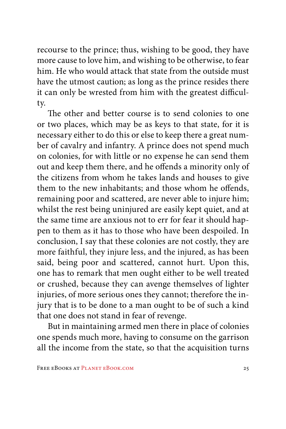recourse to the prince; thus, wishing to be good, they have more cause to love him, and wishing to be otherwise, to fear him. He who would attack that state from the outside must have the utmost caution; as long as the prince resides there it can only be wrested from him with the greatest difficulty.

The other and better course is to send colonies to one or two places, which may be as keys to that state, for it is necessary either to do this or else to keep there a great number of cavalry and infantry. A prince does not spend much on colonies, for with little or no expense he can send them out and keep them there, and he offends a minority only of the citizens from whom he takes lands and houses to give them to the new inhabitants; and those whom he offends, remaining poor and scattered, are never able to injure him; whilst the rest being uninjured are easily kept quiet, and at the same time are anxious not to err for fear it should happen to them as it has to those who have been despoiled. In conclusion, I say that these colonies are not costly, they are more faithful, they injure less, and the injured, as has been said, being poor and scattered, cannot hurt. Upon this, one has to remark that men ought either to be well treated or crushed, because they can avenge themselves of lighter injuries, of more serious ones they cannot; therefore the injury that is to be done to a man ought to be of such a kind that one does not stand in fear of revenge.

But in maintaining armed men there in place of colonies one spends much more, having to consume on the garrison all the income from the state, so that the acquisition turns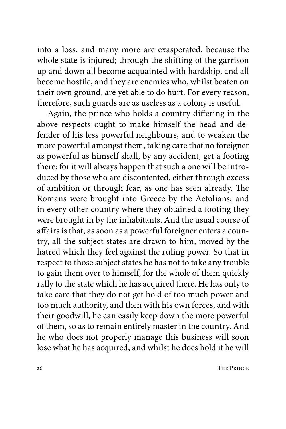into a loss, and many more are exasperated, because the whole state is injured; through the shifting of the garrison up and down all become acquainted with hardship, and all become hostile, and they are enemies who, whilst beaten on their own ground, are yet able to do hurt. For every reason, therefore, such guards are as useless as a colony is useful.

Again, the prince who holds a country differing in the above respects ought to make himself the head and defender of his less powerful neighbours, and to weaken the more powerful amongst them, taking care that no foreigner as powerful as himself shall, by any accident, get a footing there; for it will always happen that such a one will be introduced by those who are discontented, either through excess of ambition or through fear, as one has seen already. The Romans were brought into Greece by the Aetolians; and in every other country where they obtained a footing they were brought in by the inhabitants. And the usual course of affairs is that, as soon as a powerful foreigner enters a country, all the subject states are drawn to him, moved by the hatred which they feel against the ruling power. So that in respect to those subject states he has not to take any trouble to gain them over to himself, for the whole of them quickly rally to the state which he has acquired there. He has only to take care that they do not get hold of too much power and too much authority, and then with his own forces, and with their goodwill, he can easily keep down the more powerful of them, so as to remain entirely master in the country. And he who does not properly manage this business will soon lose what he has acquired, and whilst he does hold it he will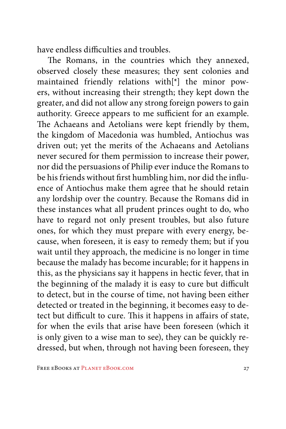have endless difficulties and troubles.

The Romans, in the countries which they annexed, observed closely these measures; they sent colonies and maintained friendly relations with[\*] the minor powers, without increasing their strength; they kept down the greater, and did not allow any strong foreign powers to gain authority. Greece appears to me sufficient for an example. The Achaeans and Aetolians were kept friendly by them, the kingdom of Macedonia was humbled, Antiochus was driven out; yet the merits of the Achaeans and Aetolians never secured for them permission to increase their power, nor did the persuasions of Philip ever induce the Romans to be his friends without first humbling him, nor did the influence of Antiochus make them agree that he should retain any lordship over the country. Because the Romans did in these instances what all prudent princes ought to do, who have to regard not only present troubles, but also future ones, for which they must prepare with every energy, because, when foreseen, it is easy to remedy them; but if you wait until they approach, the medicine is no longer in time because the malady has become incurable; for it happens in this, as the physicians say it happens in hectic fever, that in the beginning of the malady it is easy to cure but difficult to detect, but in the course of time, not having been either detected or treated in the beginning, it becomes easy to detect but difficult to cure. This it happens in affairs of state, for when the evils that arise have been foreseen (which it is only given to a wise man to see), they can be quickly redressed, but when, through not having been foreseen, they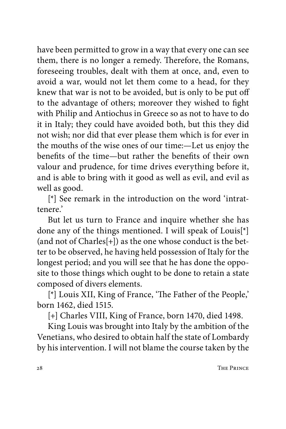have been permitted to grow in a way that every one can see them, there is no longer a remedy. Therefore, the Romans, foreseeing troubles, dealt with them at once, and, even to avoid a war, would not let them come to a head, for they knew that war is not to be avoided, but is only to be put off to the advantage of others; moreover they wished to fight with Philip and Antiochus in Greece so as not to have to do it in Italy; they could have avoided both, but this they did not wish; nor did that ever please them which is for ever in the mouths of the wise ones of our time:—Let us enjoy the benefits of the time—but rather the benefits of their own valour and prudence, for time drives everything before it, and is able to bring with it good as well as evil, and evil as well as good.

[\*] See remark in the introduction on the word 'intrattenere.'

But let us turn to France and inquire whether she has done any of the things mentioned. I will speak of Louis[\*] (and not of Charles[+]) as the one whose conduct is the better to be observed, he having held possession of Italy for the longest period; and you will see that he has done the opposite to those things which ought to be done to retain a state composed of divers elements.

[\*] Louis XII, King of France, 'The Father of the People,' born 1462, died 1515.

[+] Charles VIII, King of France, born 1470, died 1498.

King Louis was brought into Italy by the ambition of the Venetians, who desired to obtain half the state of Lombardy by his intervention. I will not blame the course taken by the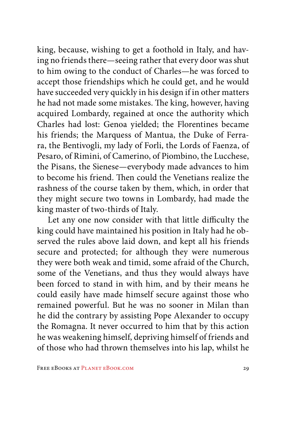king, because, wishing to get a foothold in Italy, and having no friends there—seeing rather that every door was shut to him owing to the conduct of Charles—he was forced to accept those friendships which he could get, and he would have succeeded very quickly in his design if in other matters he had not made some mistakes. The king, however, having acquired Lombardy, regained at once the authority which Charles had lost: Genoa yielded; the Florentines became his friends; the Marquess of Mantua, the Duke of Ferrara, the Bentivogli, my lady of Forli, the Lords of Faenza, of Pesaro, of Rimini, of Camerino, of Piombino, the Lucchese, the Pisans, the Sienese—everybody made advances to him to become his friend. Then could the Venetians realize the rashness of the course taken by them, which, in order that they might secure two towns in Lombardy, had made the king master of two-thirds of Italy.

Let any one now consider with that little difficulty the king could have maintained his position in Italy had he observed the rules above laid down, and kept all his friends secure and protected; for although they were numerous they were both weak and timid, some afraid of the Church, some of the Venetians, and thus they would always have been forced to stand in with him, and by their means he could easily have made himself secure against those who remained powerful. But he was no sooner in Milan than he did the contrary by assisting Pope Alexander to occupy the Romagna. It never occurred to him that by this action he was weakening himself, depriving himself of friends and of those who had thrown themselves into his lap, whilst he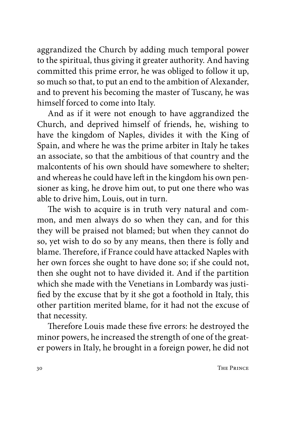aggrandized the Church by adding much temporal power to the spiritual, thus giving it greater authority. And having committed this prime error, he was obliged to follow it up, so much so that, to put an end to the ambition of Alexander, and to prevent his becoming the master of Tuscany, he was himself forced to come into Italy.

And as if it were not enough to have aggrandized the Church, and deprived himself of friends, he, wishing to have the kingdom of Naples, divides it with the King of Spain, and where he was the prime arbiter in Italy he takes an associate, so that the ambitious of that country and the malcontents of his own should have somewhere to shelter; and whereas he could have left in the kingdom his own pensioner as king, he drove him out, to put one there who was able to drive him, Louis, out in turn.

The wish to acquire is in truth very natural and common, and men always do so when they can, and for this they will be praised not blamed; but when they cannot do so, yet wish to do so by any means, then there is folly and blame. Therefore, if France could have attacked Naples with her own forces she ought to have done so; if she could not, then she ought not to have divided it. And if the partition which she made with the Venetians in Lombardy was justified by the excuse that by it she got a foothold in Italy, this other partition merited blame, for it had not the excuse of that necessity.

Therefore Louis made these five errors: he destroyed the minor powers, he increased the strength of one of the greater powers in Italy, he brought in a foreign power, he did not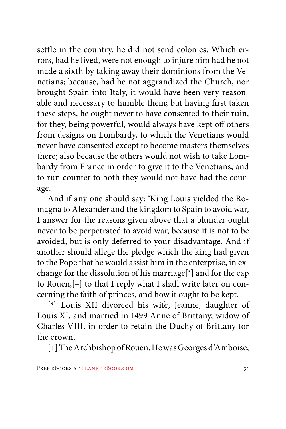settle in the country, he did not send colonies. Which errors, had he lived, were not enough to injure him had he not made a sixth by taking away their dominions from the Venetians; because, had he not aggrandized the Church, nor brought Spain into Italy, it would have been very reasonable and necessary to humble them; but having first taken these steps, he ought never to have consented to their ruin, for they, being powerful, would always have kept off others from designs on Lombardy, to which the Venetians would never have consented except to become masters themselves there; also because the others would not wish to take Lombardy from France in order to give it to the Venetians, and to run counter to both they would not have had the courage.

And if any one should say: 'King Louis yielded the Romagna to Alexander and the kingdom to Spain to avoid war, I answer for the reasons given above that a blunder ought never to be perpetrated to avoid war, because it is not to be avoided, but is only deferred to your disadvantage. And if another should allege the pledge which the king had given to the Pope that he would assist him in the enterprise, in exchange for the dissolution of his marriage[\*] and for the cap to Rouen,[+] to that I reply what I shall write later on concerning the faith of princes, and how it ought to be kept.

[\*] Louis XII divorced his wife, Jeanne, daughter of Louis XI, and married in 1499 Anne of Brittany, widow of Charles VIII, in order to retain the Duchy of Brittany for the crown.

[+] The Archbishop of Rouen. He was Georges d'Amboise,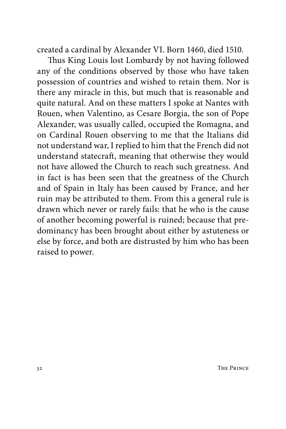created a cardinal by Alexander VI. Born 1460, died 1510.

Thus King Louis lost Lombardy by not having followed any of the conditions observed by those who have taken possession of countries and wished to retain them. Nor is there any miracle in this, but much that is reasonable and quite natural. And on these matters I spoke at Nantes with Rouen, when Valentino, as Cesare Borgia, the son of Pope Alexander, was usually called, occupied the Romagna, and on Cardinal Rouen observing to me that the Italians did not understand war, I replied to him that the French did not understand statecraft, meaning that otherwise they would not have allowed the Church to reach such greatness. And in fact is has been seen that the greatness of the Church and of Spain in Italy has been caused by France, and her ruin may be attributed to them. From this a general rule is drawn which never or rarely fails: that he who is the cause of another becoming powerful is ruined; because that predominancy has been brought about either by astuteness or else by force, and both are distrusted by him who has been raised to power.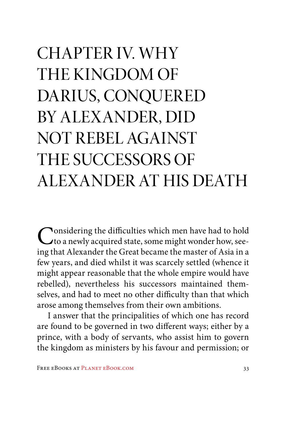## CHAPTER IV. WHY THE KINGDOM OF DARIUS, CONQUERED BY ALEXANDER, DID NOT REBEL AGAINST THE SUCCESSORS OF ALEXANDER AT HIS DEATH

Considering the difficulties which men have had to hold to a newly acquired state, some might wonder how, seeing that Alexander the Great became the master of Asia in a few years, and died whilst it was scarcely settled (whence it might appear reasonable that the whole empire would have rebelled), nevertheless his successors maintained themselves, and had to meet no other difficulty than that which arose among themselves from their own ambitions.

I answer that the principalities of which one has record are found to be governed in two different ways; either by a prince, with a body of servants, who assist him to govern the kingdom as ministers by his favour and permission; or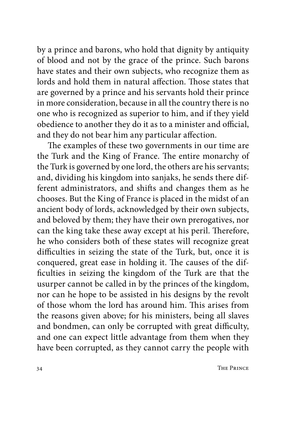by a prince and barons, who hold that dignity by antiquity of blood and not by the grace of the prince. Such barons have states and their own subjects, who recognize them as lords and hold them in natural affection. Those states that are governed by a prince and his servants hold their prince in more consideration, because in all the country there is no one who is recognized as superior to him, and if they yield obedience to another they do it as to a minister and official, and they do not bear him any particular affection.

The examples of these two governments in our time are the Turk and the King of France. The entire monarchy of the Turk is governed by one lord, the others are his servants; and, dividing his kingdom into sanjaks, he sends there different administrators, and shifts and changes them as he chooses. But the King of France is placed in the midst of an ancient body of lords, acknowledged by their own subjects, and beloved by them; they have their own prerogatives, nor can the king take these away except at his peril. Therefore, he who considers both of these states will recognize great difficulties in seizing the state of the Turk, but, once it is conquered, great ease in holding it. The causes of the difficulties in seizing the kingdom of the Turk are that the usurper cannot be called in by the princes of the kingdom, nor can he hope to be assisted in his designs by the revolt of those whom the lord has around him. This arises from the reasons given above; for his ministers, being all slaves and bondmen, can only be corrupted with great difficulty, and one can expect little advantage from them when they have been corrupted, as they cannot carry the people with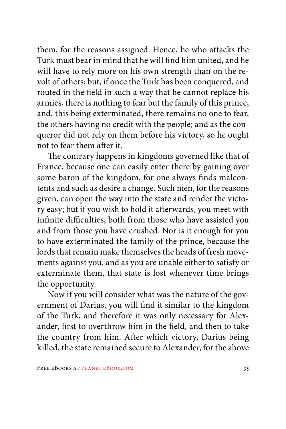them, for the reasons assigned. Hence, he who attacks the Turk must bear in mind that he will find him united, and he will have to rely more on his own strength than on the revolt of others; but, if once the Turk has been conquered, and routed in the field in such a way that he cannot replace his armies, there is nothing to fear but the family of this prince, and, this being exterminated, there remains no one to fear, the others having no credit with the people; and as the conqueror did not rely on them before his victory, so he ought not to fear them after it.

The contrary happens in kingdoms governed like that of France, because one can easily enter there by gaining over some baron of the kingdom, for one always finds malcontents and such as desire a change. Such men, for the reasons given, can open the way into the state and render the victory easy; but if you wish to hold it afterwards, you meet with infinite difficulties, both from those who have assisted you and from those you have crushed. Nor is it enough for you to have exterminated the family of the prince, because the lords that remain make themselves the heads of fresh movements against you, and as you are unable either to satisfy or exterminate them, that state is lost whenever time brings the opportunity.

Now if you will consider what was the nature of the government of Darius, you will find it similar to the kingdom of the Turk, and therefore it was only necessary for Alexander, first to overthrow him in the field, and then to take the country from him. After which victory, Darius being killed, the state remained secure to Alexander, for the above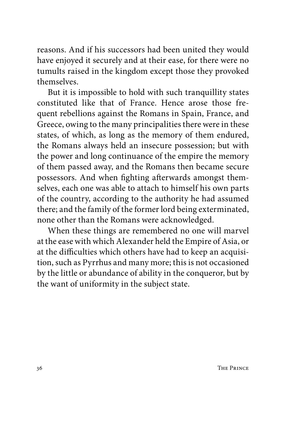reasons. And if his successors had been united they would have enjoyed it securely and at their ease, for there were no tumults raised in the kingdom except those they provoked themselves.

But it is impossible to hold with such tranquillity states constituted like that of France. Hence arose those frequent rebellions against the Romans in Spain, France, and Greece, owing to the many principalities there were in these states, of which, as long as the memory of them endured, the Romans always held an insecure possession; but with the power and long continuance of the empire the memory of them passed away, and the Romans then became secure possessors. And when fighting afterwards amongst themselves, each one was able to attach to himself his own parts of the country, according to the authority he had assumed there; and the family of the former lord being exterminated, none other than the Romans were acknowledged.

When these things are remembered no one will marvel at the ease with which Alexander held the Empire of Asia, or at the difficulties which others have had to keep an acquisition, such as Pyrrhus and many more; this is not occasioned by the little or abundance of ability in the conqueror, but by the want of uniformity in the subject state.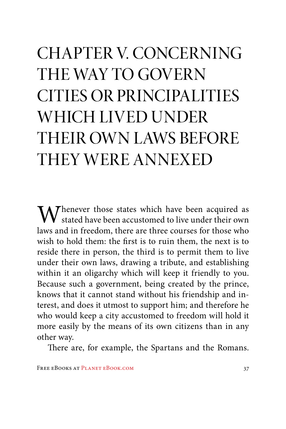# CHAPTER V. CONCERNING THE WAY TO GOVERN CITIES OR PRINCIPALITIES WHICH LIVED UNDER THEIR OWN LAWS BEFORE THEY WERE ANNEXED

 $\mathbf{W}$  henever those states which have been acquired as  ${\mathsf V}\,$  stated have been accustomed to live under their own laws and in freedom, there are three courses for those who wish to hold them: the first is to ruin them, the next is to reside there in person, the third is to permit them to live under their own laws, drawing a tribute, and establishing within it an oligarchy which will keep it friendly to you. Because such a government, being created by the prince, knows that it cannot stand without his friendship and interest, and does it utmost to support him; and therefore he who would keep a city accustomed to freedom will hold it more easily by the means of its own citizens than in any other way.

There are, for example, the Spartans and the Romans.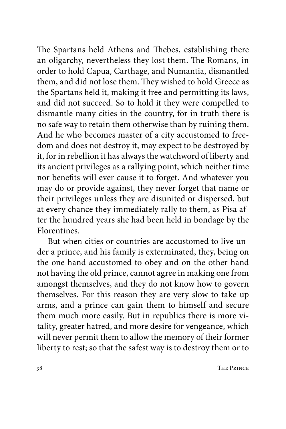The Spartans held Athens and Thebes, establishing there an oligarchy, nevertheless they lost them. The Romans, in order to hold Capua, Carthage, and Numantia, dismantled them, and did not lose them. They wished to hold Greece as the Spartans held it, making it free and permitting its laws, and did not succeed. So to hold it they were compelled to dismantle many cities in the country, for in truth there is no safe way to retain them otherwise than by ruining them. And he who becomes master of a city accustomed to freedom and does not destroy it, may expect to be destroyed by it, for in rebellion it has always the watchword of liberty and its ancient privileges as a rallying point, which neither time nor benefits will ever cause it to forget. And whatever you may do or provide against, they never forget that name or their privileges unless they are disunited or dispersed, but at every chance they immediately rally to them, as Pisa after the hundred years she had been held in bondage by the Florentines.

But when cities or countries are accustomed to live under a prince, and his family is exterminated, they, being on the one hand accustomed to obey and on the other hand not having the old prince, cannot agree in making one from amongst themselves, and they do not know how to govern themselves. For this reason they are very slow to take up arms, and a prince can gain them to himself and secure them much more easily. But in republics there is more vitality, greater hatred, and more desire for vengeance, which will never permit them to allow the memory of their former liberty to rest; so that the safest way is to destroy them or to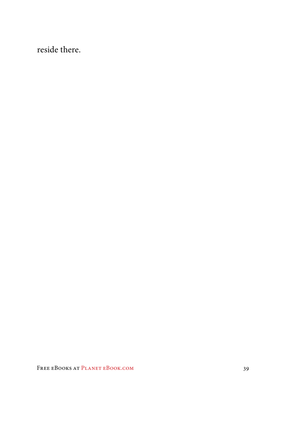reside there.

FREE EBOOKS AT PLANET EBOOK.COM 39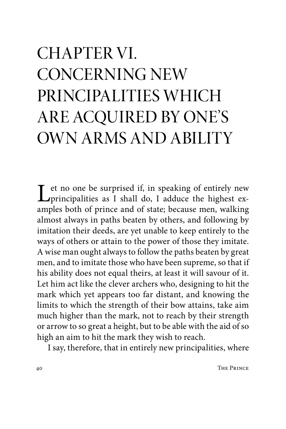## CHAPTER VI. CONCERNING NEW PRINCIPALITIES WHICH ARE ACQUIRED BY ONE'S OWN ARMS AND ABILITY

Let no one be surprised if, in speaking of entirely new principalities as I shall do, I adduce the highest ex-<br>complex hath of prince and of state heaves man valling amples both of prince and of state; because men, walking almost always in paths beaten by others, and following by imitation their deeds, are yet unable to keep entirely to the ways of others or attain to the power of those they imitate. A wise man ought always to follow the paths beaten by great men, and to imitate those who have been supreme, so that if his ability does not equal theirs, at least it will savour of it. Let him act like the clever archers who, designing to hit the mark which yet appears too far distant, and knowing the limits to which the strength of their bow attains, take aim much higher than the mark, not to reach by their strength or arrow to so great a height, but to be able with the aid of so high an aim to hit the mark they wish to reach.

I say, therefore, that in entirely new principalities, where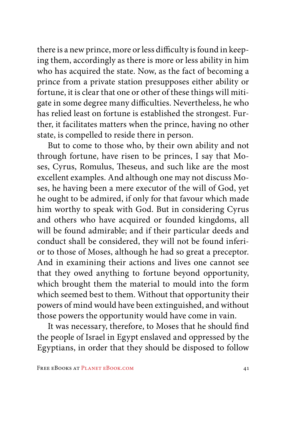there is a new prince, more or less difficulty is found in keeping them, accordingly as there is more or less ability in him who has acquired the state. Now, as the fact of becoming a prince from a private station presupposes either ability or fortune, it is clear that one or other of these things will mitigate in some degree many difficulties. Nevertheless, he who has relied least on fortune is established the strongest. Further, it facilitates matters when the prince, having no other state, is compelled to reside there in person.

But to come to those who, by their own ability and not through fortune, have risen to be princes, I say that Moses, Cyrus, Romulus, Theseus, and such like are the most excellent examples. And although one may not discuss Moses, he having been a mere executor of the will of God, yet he ought to be admired, if only for that favour which made him worthy to speak with God. But in considering Cyrus and others who have acquired or founded kingdoms, all will be found admirable; and if their particular deeds and conduct shall be considered, they will not be found inferior to those of Moses, although he had so great a preceptor. And in examining their actions and lives one cannot see that they owed anything to fortune beyond opportunity, which brought them the material to mould into the form which seemed best to them. Without that opportunity their powers of mind would have been extinguished, and without those powers the opportunity would have come in vain.

It was necessary, therefore, to Moses that he should find the people of Israel in Egypt enslaved and oppressed by the Egyptians, in order that they should be disposed to follow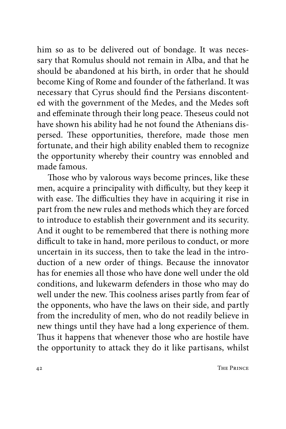him so as to be delivered out of bondage. It was necessary that Romulus should not remain in Alba, and that he should be abandoned at his birth, in order that he should become King of Rome and founder of the fatherland. It was necessary that Cyrus should find the Persians discontented with the government of the Medes, and the Medes soft and effeminate through their long peace. Theseus could not have shown his ability had he not found the Athenians dispersed. These opportunities, therefore, made those men fortunate, and their high ability enabled them to recognize the opportunity whereby their country was ennobled and made famous.

Those who by valorous ways become princes, like these men, acquire a principality with difficulty, but they keep it with ease. The difficulties they have in acquiring it rise in part from the new rules and methods which they are forced to introduce to establish their government and its security. And it ought to be remembered that there is nothing more difficult to take in hand, more perilous to conduct, or more uncertain in its success, then to take the lead in the introduction of a new order of things. Because the innovator has for enemies all those who have done well under the old conditions, and lukewarm defenders in those who may do well under the new. This coolness arises partly from fear of the opponents, who have the laws on their side, and partly from the incredulity of men, who do not readily believe in new things until they have had a long experience of them. Thus it happens that whenever those who are hostile have the opportunity to attack they do it like partisans, whilst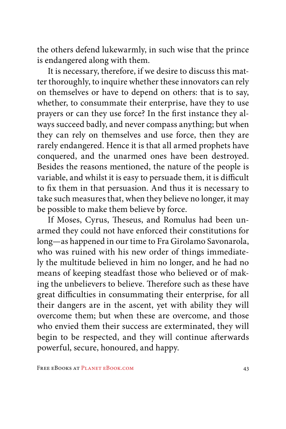the others defend lukewarmly, in such wise that the prince is endangered along with them.

It is necessary, therefore, if we desire to discuss this matter thoroughly, to inquire whether these innovators can rely on themselves or have to depend on others: that is to say, whether, to consummate their enterprise, have they to use prayers or can they use force? In the first instance they always succeed badly, and never compass anything; but when they can rely on themselves and use force, then they are rarely endangered. Hence it is that all armed prophets have conquered, and the unarmed ones have been destroyed. Besides the reasons mentioned, the nature of the people is variable, and whilst it is easy to persuade them, it is difficult to fix them in that persuasion. And thus it is necessary to take such measures that, when they believe no longer, it may be possible to make them believe by force.

If Moses, Cyrus, Theseus, and Romulus had been unarmed they could not have enforced their constitutions for long—as happened in our time to Fra Girolamo Savonarola, who was ruined with his new order of things immediately the multitude believed in him no longer, and he had no means of keeping steadfast those who believed or of making the unbelievers to believe. Therefore such as these have great difficulties in consummating their enterprise, for all their dangers are in the ascent, yet with ability they will overcome them; but when these are overcome, and those who envied them their success are exterminated, they will begin to be respected, and they will continue afterwards powerful, secure, honoured, and happy.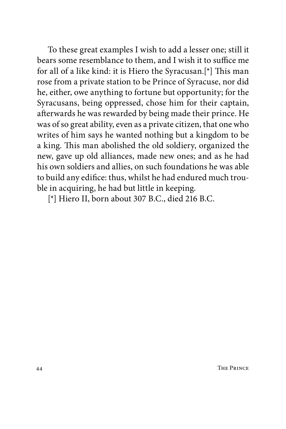To these great examples I wish to add a lesser one; still it bears some resemblance to them, and I wish it to suffice me for all of a like kind: it is Hiero the Syracusan.[\*] This man rose from a private station to be Prince of Syracuse, nor did he, either, owe anything to fortune but opportunity; for the Syracusans, being oppressed, chose him for their captain, afterwards he was rewarded by being made their prince. He was of so great ability, even as a private citizen, that one who writes of him says he wanted nothing but a kingdom to be a king. This man abolished the old soldiery, organized the new, gave up old alliances, made new ones; and as he had his own soldiers and allies, on such foundations he was able to build any edifice: thus, whilst he had endured much trouble in acquiring, he had but little in keeping.

[\*] Hiero II, born about 307 B.C., died 216 B.C.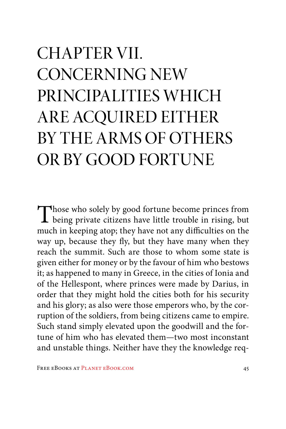# CHAPTER VII. CONCERNING NEW PRINCIPALITIES WHICH ARE ACQUIRED EITHER BY THE ARMS OF OTHERS OR BY GOOD FORTUNE

Those who solely by good fortune become princes from<br>being private citizens have little trouble in rising, but much in keeping atop; they have not any difficulties on the way up, because they fly, but they have many when they reach the summit. Such are those to whom some state is given either for money or by the favour of him who bestows it; as happened to many in Greece, in the cities of Ionia and of the Hellespont, where princes were made by Darius, in order that they might hold the cities both for his security and his glory; as also were those emperors who, by the corruption of the soldiers, from being citizens came to empire. Such stand simply elevated upon the goodwill and the fortune of him who has elevated them—two most inconstant and unstable things. Neither have they the knowledge req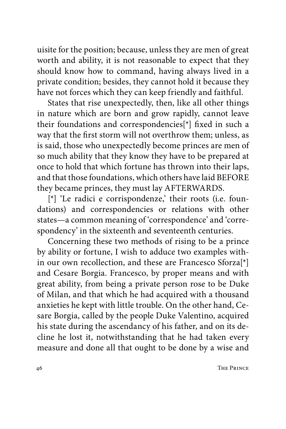uisite for the position; because, unless they are men of great worth and ability, it is not reasonable to expect that they should know how to command, having always lived in a private condition; besides, they cannot hold it because they have not forces which they can keep friendly and faithful.

States that rise unexpectedly, then, like all other things in nature which are born and grow rapidly, cannot leave their foundations and correspondencies[\*] fixed in such a way that the first storm will not overthrow them; unless, as is said, those who unexpectedly become princes are men of so much ability that they know they have to be prepared at once to hold that which fortune has thrown into their laps, and that those foundations, which others have laid BEFORE they became princes, they must lay AFTERWARDS.

[\*] 'Le radici e corrispondenze,' their roots (i.e. foundations) and correspondencies or relations with other states—a common meaning of 'correspondence' and 'correspondency' in the sixteenth and seventeenth centuries.

Concerning these two methods of rising to be a prince by ability or fortune, I wish to adduce two examples within our own recollection, and these are Francesco Sforza[\*] and Cesare Borgia. Francesco, by proper means and with great ability, from being a private person rose to be Duke of Milan, and that which he had acquired with a thousand anxieties he kept with little trouble. On the other hand, Cesare Borgia, called by the people Duke Valentino, acquired his state during the ascendancy of his father, and on its decline he lost it, notwithstanding that he had taken every measure and done all that ought to be done by a wise and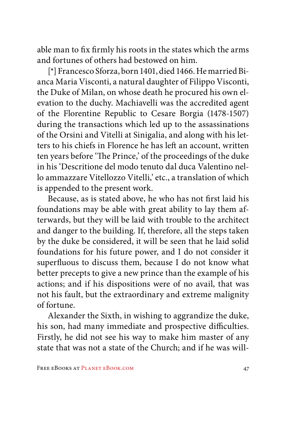able man to fix firmly his roots in the states which the arms and fortunes of others had bestowed on him.

[\*] Francesco Sforza, born 1401, died 1466. He married Bianca Maria Visconti, a natural daughter of Filippo Visconti, the Duke of Milan, on whose death he procured his own elevation to the duchy. Machiavelli was the accredited agent of the Florentine Republic to Cesare Borgia (1478-1507) during the transactions which led up to the assassinations of the Orsini and Vitelli at Sinigalia, and along with his letters to his chiefs in Florence he has left an account, written ten years before 'The Prince,' of the proceedings of the duke in his 'Descritione del modo tenuto dal duca Valentino nello ammazzare Vitellozzo Vitelli,' etc., a translation of which is appended to the present work.

Because, as is stated above, he who has not first laid his foundations may be able with great ability to lay them afterwards, but they will be laid with trouble to the architect and danger to the building. If, therefore, all the steps taken by the duke be considered, it will be seen that he laid solid foundations for his future power, and I do not consider it superfluous to discuss them, because I do not know what better precepts to give a new prince than the example of his actions; and if his dispositions were of no avail, that was not his fault, but the extraordinary and extreme malignity of fortune.

Alexander the Sixth, in wishing to aggrandize the duke, his son, had many immediate and prospective difficulties. Firstly, he did not see his way to make him master of any state that was not a state of the Church; and if he was will-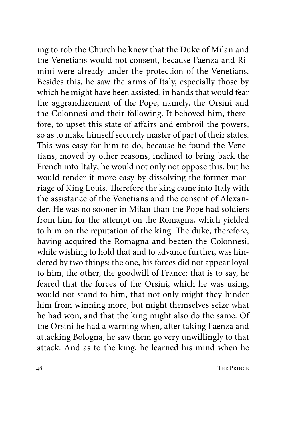ing to rob the Church he knew that the Duke of Milan and the Venetians would not consent, because Faenza and Rimini were already under the protection of the Venetians. Besides this, he saw the arms of Italy, especially those by which he might have been assisted, in hands that would fear the aggrandizement of the Pope, namely, the Orsini and the Colonnesi and their following. It behoved him, therefore, to upset this state of affairs and embroil the powers, so as to make himself securely master of part of their states. This was easy for him to do, because he found the Venetians, moved by other reasons, inclined to bring back the French into Italy; he would not only not oppose this, but he would render it more easy by dissolving the former marriage of King Louis. Therefore the king came into Italy with the assistance of the Venetians and the consent of Alexander. He was no sooner in Milan than the Pope had soldiers from him for the attempt on the Romagna, which yielded to him on the reputation of the king. The duke, therefore, having acquired the Romagna and beaten the Colonnesi, while wishing to hold that and to advance further, was hindered by two things: the one, his forces did not appear loyal to him, the other, the goodwill of France: that is to say, he feared that the forces of the Orsini, which he was using, would not stand to him, that not only might they hinder him from winning more, but might themselves seize what he had won, and that the king might also do the same. Of the Orsini he had a warning when, after taking Faenza and attacking Bologna, he saw them go very unwillingly to that attack. And as to the king, he learned his mind when he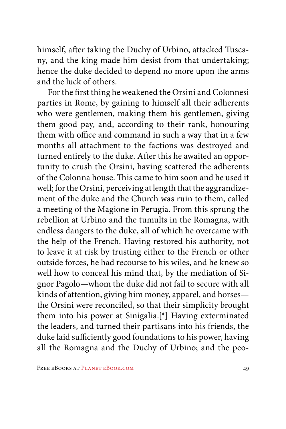himself, after taking the Duchy of Urbino, attacked Tuscany, and the king made him desist from that undertaking; hence the duke decided to depend no more upon the arms and the luck of others.

For the first thing he weakened the Orsini and Colonnesi parties in Rome, by gaining to himself all their adherents who were gentlemen, making them his gentlemen, giving them good pay, and, according to their rank, honouring them with office and command in such a way that in a few months all attachment to the factions was destroyed and turned entirely to the duke. After this he awaited an opportunity to crush the Orsini, having scattered the adherents of the Colonna house. This came to him soon and he used it well; for the Orsini, perceiving at length that the aggrandizement of the duke and the Church was ruin to them, called a meeting of the Magione in Perugia. From this sprung the rebellion at Urbino and the tumults in the Romagna, with endless dangers to the duke, all of which he overcame with the help of the French. Having restored his authority, not to leave it at risk by trusting either to the French or other outside forces, he had recourse to his wiles, and he knew so well how to conceal his mind that, by the mediation of Signor Pagolo—whom the duke did not fail to secure with all kinds of attention, giving him money, apparel, and horses the Orsini were reconciled, so that their simplicity brought them into his power at Sinigalia.[\*] Having exterminated the leaders, and turned their partisans into his friends, the duke laid sufficiently good foundations to his power, having all the Romagna and the Duchy of Urbino; and the peo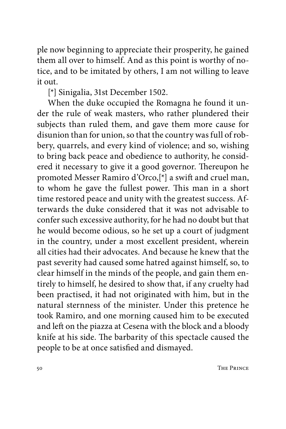ple now beginning to appreciate their prosperity, he gained them all over to himself. And as this point is worthy of notice, and to be imitated by others, I am not willing to leave it out.

[\*] Sinigalia, 31st December 1502.

When the duke occupied the Romagna he found it under the rule of weak masters, who rather plundered their subjects than ruled them, and gave them more cause for disunion than for union, so that the country was full of robbery, quarrels, and every kind of violence; and so, wishing to bring back peace and obedience to authority, he considered it necessary to give it a good governor. Thereupon he promoted Messer Ramiro d'Orco,[\*] a swift and cruel man, to whom he gave the fullest power. This man in a short time restored peace and unity with the greatest success. Afterwards the duke considered that it was not advisable to confer such excessive authority, for he had no doubt but that he would become odious, so he set up a court of judgment in the country, under a most excellent president, wherein all cities had their advocates. And because he knew that the past severity had caused some hatred against himself, so, to clear himself in the minds of the people, and gain them entirely to himself, he desired to show that, if any cruelty had been practised, it had not originated with him, but in the natural sternness of the minister. Under this pretence he took Ramiro, and one morning caused him to be executed and left on the piazza at Cesena with the block and a bloody knife at his side. The barbarity of this spectacle caused the people to be at once satisfied and dismayed.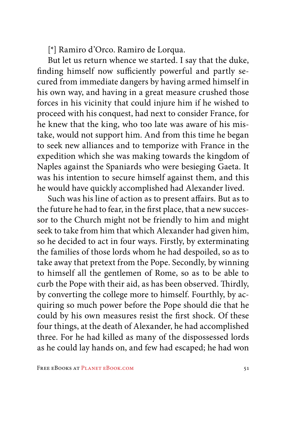[\*] Ramiro d'Orco. Ramiro de Lorqua.

But let us return whence we started. I say that the duke, finding himself now sufficiently powerful and partly secured from immediate dangers by having armed himself in his own way, and having in a great measure crushed those forces in his vicinity that could injure him if he wished to proceed with his conquest, had next to consider France, for he knew that the king, who too late was aware of his mistake, would not support him. And from this time he began to seek new alliances and to temporize with France in the expedition which she was making towards the kingdom of Naples against the Spaniards who were besieging Gaeta. It was his intention to secure himself against them, and this he would have quickly accomplished had Alexander lived.

Such was his line of action as to present affairs. But as to the future he had to fear, in the first place, that a new successor to the Church might not be friendly to him and might seek to take from him that which Alexander had given him, so he decided to act in four ways. Firstly, by exterminating the families of those lords whom he had despoiled, so as to take away that pretext from the Pope. Secondly, by winning to himself all the gentlemen of Rome, so as to be able to curb the Pope with their aid, as has been observed. Thirdly, by converting the college more to himself. Fourthly, by acquiring so much power before the Pope should die that he could by his own measures resist the first shock. Of these four things, at the death of Alexander, he had accomplished three. For he had killed as many of the dispossessed lords as he could lay hands on, and few had escaped; he had won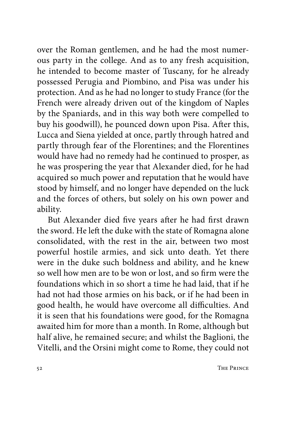over the Roman gentlemen, and he had the most numerous party in the college. And as to any fresh acquisition, he intended to become master of Tuscany, for he already possessed Perugia and Piombino, and Pisa was under his protection. And as he had no longer to study France (for the French were already driven out of the kingdom of Naples by the Spaniards, and in this way both were compelled to buy his goodwill), he pounced down upon Pisa. After this, Lucca and Siena yielded at once, partly through hatred and partly through fear of the Florentines; and the Florentines would have had no remedy had he continued to prosper, as he was prospering the year that Alexander died, for he had acquired so much power and reputation that he would have stood by himself, and no longer have depended on the luck and the forces of others, but solely on his own power and ability.

But Alexander died five years after he had first drawn the sword. He left the duke with the state of Romagna alone consolidated, with the rest in the air, between two most powerful hostile armies, and sick unto death. Yet there were in the duke such boldness and ability, and he knew so well how men are to be won or lost, and so firm were the foundations which in so short a time he had laid, that if he had not had those armies on his back, or if he had been in good health, he would have overcome all difficulties. And it is seen that his foundations were good, for the Romagna awaited him for more than a month. In Rome, although but half alive, he remained secure; and whilst the Baglioni, the Vitelli, and the Orsini might come to Rome, they could not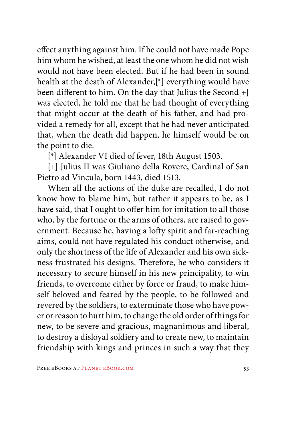effect anything against him. If he could not have made Pope him whom he wished, at least the one whom he did not wish would not have been elected. But if he had been in sound health at the death of Alexander,[\*] everything would have been different to him. On the day that Julius the Second[+] was elected, he told me that he had thought of everything that might occur at the death of his father, and had provided a remedy for all, except that he had never anticipated that, when the death did happen, he himself would be on the point to die.

[\*] Alexander VI died of fever, 18th August 1503.

[+] Julius II was Giuliano della Rovere, Cardinal of San Pietro ad Vincula, born 1443, died 1513.

When all the actions of the duke are recalled, I do not know how to blame him, but rather it appears to be, as I have said, that I ought to offer him for imitation to all those who, by the fortune or the arms of others, are raised to government. Because he, having a lofty spirit and far-reaching aims, could not have regulated his conduct otherwise, and only the shortness of the life of Alexander and his own sickness frustrated his designs. Therefore, he who considers it necessary to secure himself in his new principality, to win friends, to overcome either by force or fraud, to make himself beloved and feared by the people, to be followed and revered by the soldiers, to exterminate those who have power or reason to hurt him, to change the old order of things for new, to be severe and gracious, magnanimous and liberal, to destroy a disloyal soldiery and to create new, to maintain friendship with kings and princes in such a way that they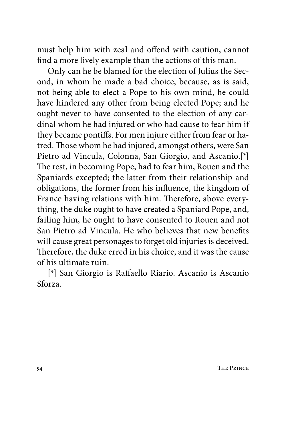must help him with zeal and offend with caution, cannot find a more lively example than the actions of this man.

Only can he be blamed for the election of Julius the Second, in whom he made a bad choice, because, as is said, not being able to elect a Pope to his own mind, he could have hindered any other from being elected Pope; and he ought never to have consented to the election of any cardinal whom he had injured or who had cause to fear him if they became pontiffs. For men injure either from fear or hatred. Those whom he had injured, amongst others, were San Pietro ad Vincula, Colonna, San Giorgio, and Ascanio.[\*] The rest, in becoming Pope, had to fear him, Rouen and the Spaniards excepted; the latter from their relationship and obligations, the former from his influence, the kingdom of France having relations with him. Therefore, above everything, the duke ought to have created a Spaniard Pope, and, failing him, he ought to have consented to Rouen and not San Pietro ad Vincula. He who believes that new benefits will cause great personages to forget old injuries is deceived. Therefore, the duke erred in his choice, and it was the cause of his ultimate ruin.

[\*] San Giorgio is Raffaello Riario. Ascanio is Ascanio Sforza.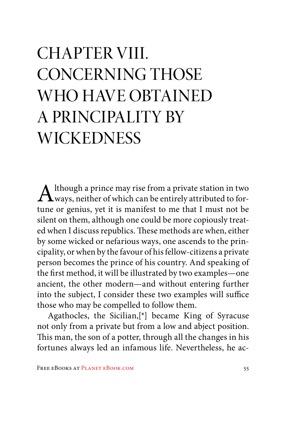### CHAPTER VIII. CONCERNING THOSE WHO HAVE OBTAINED A PRINCIPALITY BY **WICKEDNESS**

 $\mathbf{A}$ lthough a prince may rise from a private station in two ways, neither of which can be entirely attributed to fortune or genius, yet it is manifest to me that I must not be silent on them, although one could be more copiously treated when I discuss republics. These methods are when, either by some wicked or nefarious ways, one ascends to the principality, or when by the favour of his fellow-citizens a private person becomes the prince of his country. And speaking of the first method, it will be illustrated by two examples—one ancient, the other modern—and without entering further into the subject, I consider these two examples will suffice those who may be compelled to follow them.

Agathocles, the Sicilian,[\*] became King of Syracuse not only from a private but from a low and abject position. This man, the son of a potter, through all the changes in his fortunes always led an infamous life. Nevertheless, he ac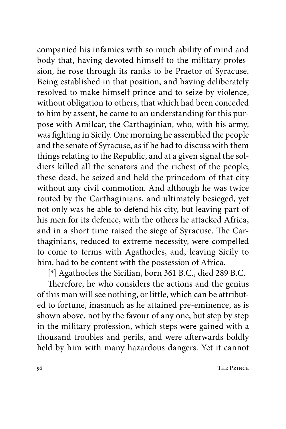companied his infamies with so much ability of mind and body that, having devoted himself to the military profession, he rose through its ranks to be Praetor of Syracuse. Being established in that position, and having deliberately resolved to make himself prince and to seize by violence, without obligation to others, that which had been conceded to him by assent, he came to an understanding for this purpose with Amilcar, the Carthaginian, who, with his army, was fighting in Sicily. One morning he assembled the people and the senate of Syracuse, as if he had to discuss with them things relating to the Republic, and at a given signal the soldiers killed all the senators and the richest of the people; these dead, he seized and held the princedom of that city without any civil commotion. And although he was twice routed by the Carthaginians, and ultimately besieged, yet not only was he able to defend his city, but leaving part of his men for its defence, with the others he attacked Africa, and in a short time raised the siege of Syracuse. The Carthaginians, reduced to extreme necessity, were compelled to come to terms with Agathocles, and, leaving Sicily to him, had to be content with the possession of Africa.

[\*] Agathocles the Sicilian, born 361 B.C., died 289 B.C.

Therefore, he who considers the actions and the genius of this man will see nothing, or little, which can be attributed to fortune, inasmuch as he attained pre-eminence, as is shown above, not by the favour of any one, but step by step in the military profession, which steps were gained with a thousand troubles and perils, and were afterwards boldly held by him with many hazardous dangers. Yet it cannot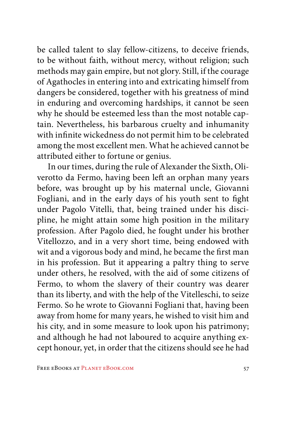be called talent to slay fellow-citizens, to deceive friends, to be without faith, without mercy, without religion; such methods may gain empire, but not glory. Still, if the courage of Agathocles in entering into and extricating himself from dangers be considered, together with his greatness of mind in enduring and overcoming hardships, it cannot be seen why he should be esteemed less than the most notable captain. Nevertheless, his barbarous cruelty and inhumanity with infinite wickedness do not permit him to be celebrated among the most excellent men. What he achieved cannot be attributed either to fortune or genius.

In our times, during the rule of Alexander the Sixth, Oliverotto da Fermo, having been left an orphan many years before, was brought up by his maternal uncle, Giovanni Fogliani, and in the early days of his youth sent to fight under Pagolo Vitelli, that, being trained under his discipline, he might attain some high position in the military profession. After Pagolo died, he fought under his brother Vitellozzo, and in a very short time, being endowed with wit and a vigorous body and mind, he became the first man in his profession. But it appearing a paltry thing to serve under others, he resolved, with the aid of some citizens of Fermo, to whom the slavery of their country was dearer than its liberty, and with the help of the Vitelleschi, to seize Fermo. So he wrote to Giovanni Fogliani that, having been away from home for many years, he wished to visit him and his city, and in some measure to look upon his patrimony; and although he had not laboured to acquire anything except honour, yet, in order that the citizens should see he had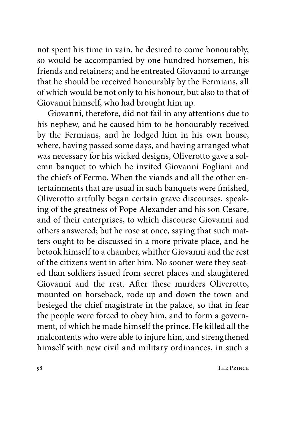not spent his time in vain, he desired to come honourably, so would be accompanied by one hundred horsemen, his friends and retainers; and he entreated Giovanni to arrange that he should be received honourably by the Fermians, all of which would be not only to his honour, but also to that of Giovanni himself, who had brought him up.

Giovanni, therefore, did not fail in any attentions due to his nephew, and he caused him to be honourably received by the Fermians, and he lodged him in his own house, where, having passed some days, and having arranged what was necessary for his wicked designs, Oliverotto gave a solemn banquet to which he invited Giovanni Fogliani and the chiefs of Fermo. When the viands and all the other entertainments that are usual in such banquets were finished, Oliverotto artfully began certain grave discourses, speaking of the greatness of Pope Alexander and his son Cesare, and of their enterprises, to which discourse Giovanni and others answered; but he rose at once, saying that such matters ought to be discussed in a more private place, and he betook himself to a chamber, whither Giovanni and the rest of the citizens went in after him. No sooner were they seated than soldiers issued from secret places and slaughtered Giovanni and the rest. After these murders Oliverotto, mounted on horseback, rode up and down the town and besieged the chief magistrate in the palace, so that in fear the people were forced to obey him, and to form a government, of which he made himself the prince. He killed all the malcontents who were able to injure him, and strengthened himself with new civil and military ordinances, in such a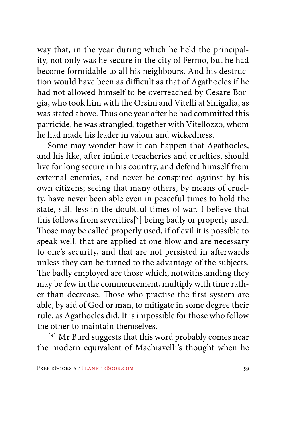way that, in the year during which he held the principality, not only was he secure in the city of Fermo, but he had become formidable to all his neighbours. And his destruction would have been as difficult as that of Agathocles if he had not allowed himself to be overreached by Cesare Borgia, who took him with the Orsini and Vitelli at Sinigalia, as was stated above. Thus one year after he had committed this parricide, he was strangled, together with Vitellozzo, whom he had made his leader in valour and wickedness.

Some may wonder how it can happen that Agathocles, and his like, after infinite treacheries and cruelties, should live for long secure in his country, and defend himself from external enemies, and never be conspired against by his own citizens; seeing that many others, by means of cruelty, have never been able even in peaceful times to hold the state, still less in the doubtful times of war. I believe that this follows from severities[\*] being badly or properly used. Those may be called properly used, if of evil it is possible to speak well, that are applied at one blow and are necessary to one's security, and that are not persisted in afterwards unless they can be turned to the advantage of the subjects. The badly employed are those which, notwithstanding they may be few in the commencement, multiply with time rather than decrease. Those who practise the first system are able, by aid of God or man, to mitigate in some degree their rule, as Agathocles did. It is impossible for those who follow the other to maintain themselves.

[\*] Mr Burd suggests that this word probably comes near the modern equivalent of Machiavelli's thought when he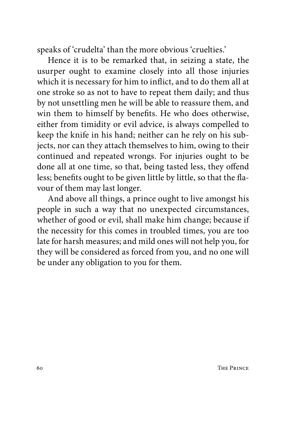speaks of 'crudelta' than the more obvious 'cruelties.'

Hence it is to be remarked that, in seizing a state, the usurper ought to examine closely into all those injuries which it is necessary for him to inflict, and to do them all at one stroke so as not to have to repeat them daily; and thus by not unsettling men he will be able to reassure them, and win them to himself by benefits. He who does otherwise, either from timidity or evil advice, is always compelled to keep the knife in his hand; neither can he rely on his subjects, nor can they attach themselves to him, owing to their continued and repeated wrongs. For injuries ought to be done all at one time, so that, being tasted less, they offend less; benefits ought to be given little by little, so that the flavour of them may last longer.

And above all things, a prince ought to live amongst his people in such a way that no unexpected circumstances, whether of good or evil, shall make him change; because if the necessity for this comes in troubled times, you are too late for harsh measures; and mild ones will not help you, for they will be considered as forced from you, and no one will be under any obligation to you for them.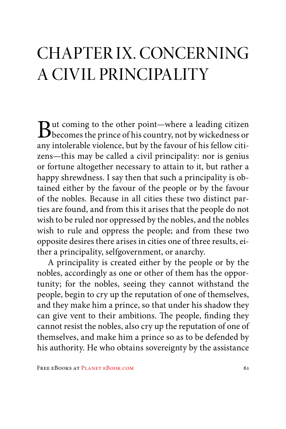#### CHAPTER IX. CONCERNING A CIVIL PRINCIPALITY

But coming to the other point—where a leading citizen<br>becomes the prince of his country, not by wickedness or<br>unitable with a form of his follow sitiany intolerable violence, but by the favour of his fellow citizens—this may be called a civil principality: nor is genius or fortune altogether necessary to attain to it, but rather a happy shrewdness. I say then that such a principality is obtained either by the favour of the people or by the favour of the nobles. Because in all cities these two distinct parties are found, and from this it arises that the people do not wish to be ruled nor oppressed by the nobles, and the nobles wish to rule and oppress the people; and from these two opposite desires there arises in cities one of three results, either a principality, selfgovernment, or anarchy.

A principality is created either by the people or by the nobles, accordingly as one or other of them has the opportunity; for the nobles, seeing they cannot withstand the people, begin to cry up the reputation of one of themselves, and they make him a prince, so that under his shadow they can give vent to their ambitions. The people, finding they cannot resist the nobles, also cry up the reputation of one of themselves, and make him a prince so as to be defended by his authority. He who obtains sovereignty by the assistance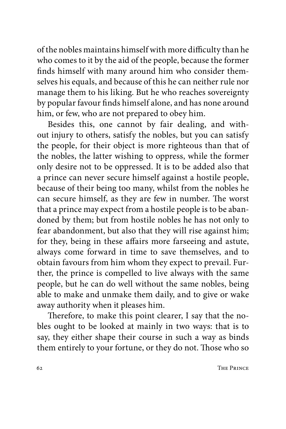of the nobles maintains himself with more difficulty than he who comes to it by the aid of the people, because the former finds himself with many around him who consider themselves his equals, and because of this he can neither rule nor manage them to his liking. But he who reaches sovereignty by popular favour finds himself alone, and has none around him, or few, who are not prepared to obey him.

Besides this, one cannot by fair dealing, and without injury to others, satisfy the nobles, but you can satisfy the people, for their object is more righteous than that of the nobles, the latter wishing to oppress, while the former only desire not to be oppressed. It is to be added also that a prince can never secure himself against a hostile people, because of their being too many, whilst from the nobles he can secure himself, as they are few in number. The worst that a prince may expect from a hostile people is to be abandoned by them; but from hostile nobles he has not only to fear abandonment, but also that they will rise against him; for they, being in these affairs more farseeing and astute, always come forward in time to save themselves, and to obtain favours from him whom they expect to prevail. Further, the prince is compelled to live always with the same people, but he can do well without the same nobles, being able to make and unmake them daily, and to give or wake away authority when it pleases him.

Therefore, to make this point clearer, I say that the nobles ought to be looked at mainly in two ways: that is to say, they either shape their course in such a way as binds them entirely to your fortune, or they do not. Those who so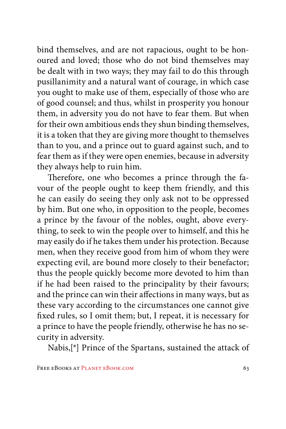bind themselves, and are not rapacious, ought to be honoured and loved; those who do not bind themselves may be dealt with in two ways; they may fail to do this through pusillanimity and a natural want of courage, in which case you ought to make use of them, especially of those who are of good counsel; and thus, whilst in prosperity you honour them, in adversity you do not have to fear them. But when for their own ambitious ends they shun binding themselves, it is a token that they are giving more thought to themselves than to you, and a prince out to guard against such, and to fear them as if they were open enemies, because in adversity they always help to ruin him.

Therefore, one who becomes a prince through the favour of the people ought to keep them friendly, and this he can easily do seeing they only ask not to be oppressed by him. But one who, in opposition to the people, becomes a prince by the favour of the nobles, ought, above everything, to seek to win the people over to himself, and this he may easily do if he takes them under his protection. Because men, when they receive good from him of whom they were expecting evil, are bound more closely to their benefactor; thus the people quickly become more devoted to him than if he had been raised to the principality by their favours; and the prince can win their affections in many ways, but as these vary according to the circumstances one cannot give fixed rules, so I omit them; but, I repeat, it is necessary for a prince to have the people friendly, otherwise he has no security in adversity.

Nabis,[\*] Prince of the Spartans, sustained the attack of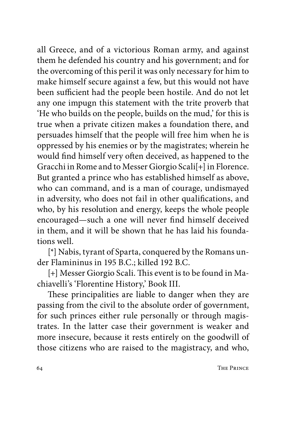all Greece, and of a victorious Roman army, and against them he defended his country and his government; and for the overcoming of this peril it was only necessary for him to make himself secure against a few, but this would not have been sufficient had the people been hostile. And do not let any one impugn this statement with the trite proverb that 'He who builds on the people, builds on the mud,' for this is true when a private citizen makes a foundation there, and persuades himself that the people will free him when he is oppressed by his enemies or by the magistrates; wherein he would find himself very often deceived, as happened to the Gracchi in Rome and to Messer Giorgio Scali[+] in Florence. But granted a prince who has established himself as above, who can command, and is a man of courage, undismayed in adversity, who does not fail in other qualifications, and who, by his resolution and energy, keeps the whole people encouraged—such a one will never find himself deceived in them, and it will be shown that he has laid his foundations well.

[\*] Nabis, tyrant of Sparta, conquered by the Romans under Flamininus in 195 B.C.; killed 192 B.C.

[+] Messer Giorgio Scali. This event is to be found in Machiavelli's 'Florentine History,' Book III.

These principalities are liable to danger when they are passing from the civil to the absolute order of government, for such princes either rule personally or through magistrates. In the latter case their government is weaker and more insecure, because it rests entirely on the goodwill of those citizens who are raised to the magistracy, and who,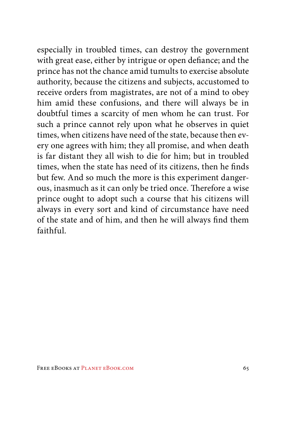especially in troubled times, can destroy the government with great ease, either by intrigue or open defiance; and the prince has not the chance amid tumults to exercise absolute authority, because the citizens and subjects, accustomed to receive orders from magistrates, are not of a mind to obey him amid these confusions, and there will always be in doubtful times a scarcity of men whom he can trust. For such a prince cannot rely upon what he observes in quiet times, when citizens have need of the state, because then every one agrees with him; they all promise, and when death is far distant they all wish to die for him; but in troubled times, when the state has need of its citizens, then he finds but few. And so much the more is this experiment dangerous, inasmuch as it can only be tried once. Therefore a wise prince ought to adopt such a course that his citizens will always in every sort and kind of circumstance have need of the state and of him, and then he will always find them faithful.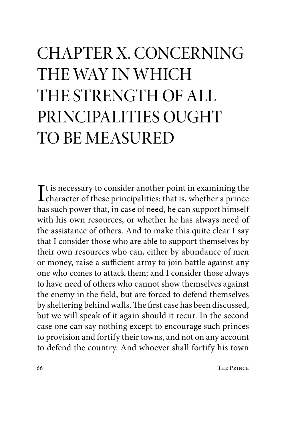## CHAPTER X. CONCERNING THE WAY IN WHICH THE STRENGTH OF ALL PRINCIPALITIES OUGHT TO BE MEASURED

It is necessary to consider another point in examining the<br>character of these principalities: that is, whether a prince<br>heasy the principalities: that is, whether a prince character of these principalities: that is, whether a prince has such power that, in case of need, he can support himself with his own resources, or whether he has always need of the assistance of others. And to make this quite clear I say that I consider those who are able to support themselves by their own resources who can, either by abundance of men or money, raise a sufficient army to join battle against any one who comes to attack them; and I consider those always to have need of others who cannot show themselves against the enemy in the field, but are forced to defend themselves by sheltering behind walls. The first case has been discussed, but we will speak of it again should it recur. In the second case one can say nothing except to encourage such princes to provision and fortify their towns, and not on any account to defend the country. And whoever shall fortify his town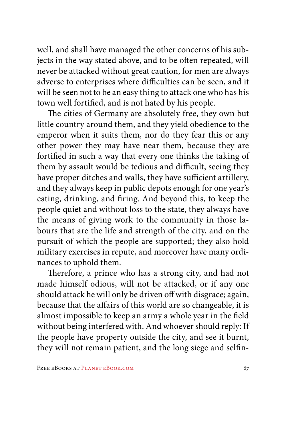well, and shall have managed the other concerns of his subjects in the way stated above, and to be often repeated, will never be attacked without great caution, for men are always adverse to enterprises where difficulties can be seen, and it will be seen not to be an easy thing to attack one who has his town well fortified, and is not hated by his people.

The cities of Germany are absolutely free, they own but little country around them, and they yield obedience to the emperor when it suits them, nor do they fear this or any other power they may have near them, because they are fortified in such a way that every one thinks the taking of them by assault would be tedious and difficult, seeing they have proper ditches and walls, they have sufficient artillery, and they always keep in public depots enough for one year's eating, drinking, and firing. And beyond this, to keep the people quiet and without loss to the state, they always have the means of giving work to the community in those labours that are the life and strength of the city, and on the pursuit of which the people are supported; they also hold military exercises in repute, and moreover have many ordinances to uphold them.

Therefore, a prince who has a strong city, and had not made himself odious, will not be attacked, or if any one should attack he will only be driven off with disgrace; again, because that the affairs of this world are so changeable, it is almost impossible to keep an army a whole year in the field without being interfered with. And whoever should reply: If the people have property outside the city, and see it burnt, they will not remain patient, and the long siege and selfin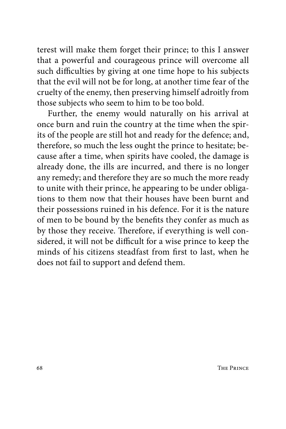terest will make them forget their prince; to this I answer that a powerful and courageous prince will overcome all such difficulties by giving at one time hope to his subjects that the evil will not be for long, at another time fear of the cruelty of the enemy, then preserving himself adroitly from those subjects who seem to him to be too bold.

Further, the enemy would naturally on his arrival at once burn and ruin the country at the time when the spirits of the people are still hot and ready for the defence; and, therefore, so much the less ought the prince to hesitate; because after a time, when spirits have cooled, the damage is already done, the ills are incurred, and there is no longer any remedy; and therefore they are so much the more ready to unite with their prince, he appearing to be under obligations to them now that their houses have been burnt and their possessions ruined in his defence. For it is the nature of men to be bound by the benefits they confer as much as by those they receive. Therefore, if everything is well considered, it will not be difficult for a wise prince to keep the minds of his citizens steadfast from first to last, when he does not fail to support and defend them.

68 THE PRINCE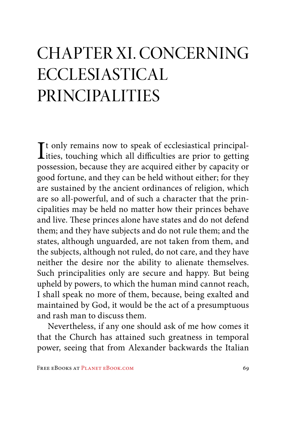### CHAPTER XI. CONCERNING ECCLESIASTICAL PRINCIPALITIES

It only remains now to speak of ecclesiastical principal-<br>ities, touching which all difficulties are prior to getting<br>massession, because they are acquired sither by expective an Tt only remains now to speak of ecclesiastical principalpossession, because they are acquired either by capacity or good fortune, and they can be held without either; for they are sustained by the ancient ordinances of religion, which are so all-powerful, and of such a character that the principalities may be held no matter how their princes behave and live. These princes alone have states and do not defend them; and they have subjects and do not rule them; and the states, although unguarded, are not taken from them, and the subjects, although not ruled, do not care, and they have neither the desire nor the ability to alienate themselves. Such principalities only are secure and happy. But being upheld by powers, to which the human mind cannot reach, I shall speak no more of them, because, being exalted and maintained by God, it would be the act of a presumptuous and rash man to discuss them.

Nevertheless, if any one should ask of me how comes it that the Church has attained such greatness in temporal power, seeing that from Alexander backwards the Italian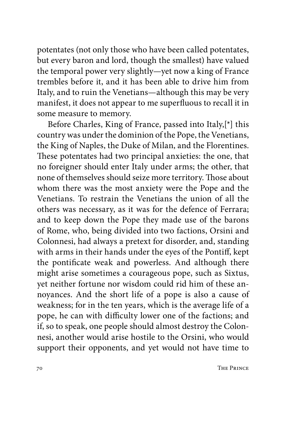potentates (not only those who have been called potentates, but every baron and lord, though the smallest) have valued the temporal power very slightly—yet now a king of France trembles before it, and it has been able to drive him from Italy, and to ruin the Venetians—although this may be very manifest, it does not appear to me superfluous to recall it in some measure to memory.

Before Charles, King of France, passed into Italy,[\*] this country was under the dominion of the Pope, the Venetians, the King of Naples, the Duke of Milan, and the Florentines. These potentates had two principal anxieties: the one, that no foreigner should enter Italy under arms; the other, that none of themselves should seize more territory. Those about whom there was the most anxiety were the Pope and the Venetians. To restrain the Venetians the union of all the others was necessary, as it was for the defence of Ferrara; and to keep down the Pope they made use of the barons of Rome, who, being divided into two factions, Orsini and Colonnesi, had always a pretext for disorder, and, standing with arms in their hands under the eyes of the Pontiff, kept the pontificate weak and powerless. And although there might arise sometimes a courageous pope, such as Sixtus, yet neither fortune nor wisdom could rid him of these annoyances. And the short life of a pope is also a cause of weakness; for in the ten years, which is the average life of a pope, he can with difficulty lower one of the factions; and if, so to speak, one people should almost destroy the Colonnesi, another would arise hostile to the Orsini, who would support their opponents, and yet would not have time to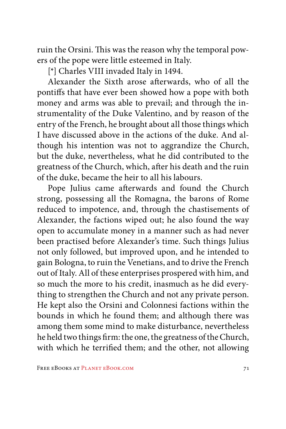ruin the Orsini. This was the reason why the temporal powers of the pope were little esteemed in Italy.

[\*] Charles VIII invaded Italy in 1494.

Alexander the Sixth arose afterwards, who of all the pontiffs that have ever been showed how a pope with both money and arms was able to prevail; and through the instrumentality of the Duke Valentino, and by reason of the entry of the French, he brought about all those things which I have discussed above in the actions of the duke. And although his intention was not to aggrandize the Church, but the duke, nevertheless, what he did contributed to the greatness of the Church, which, after his death and the ruin of the duke, became the heir to all his labours.

Pope Julius came afterwards and found the Church strong, possessing all the Romagna, the barons of Rome reduced to impotence, and, through the chastisements of Alexander, the factions wiped out; he also found the way open to accumulate money in a manner such as had never been practised before Alexander's time. Such things Julius not only followed, but improved upon, and he intended to gain Bologna, to ruin the Venetians, and to drive the French out of Italy. All of these enterprises prospered with him, and so much the more to his credit, inasmuch as he did everything to strengthen the Church and not any private person. He kept also the Orsini and Colonnesi factions within the bounds in which he found them; and although there was among them some mind to make disturbance, nevertheless he held two things firm: the one, the greatness of the Church, with which he terrified them; and the other, not allowing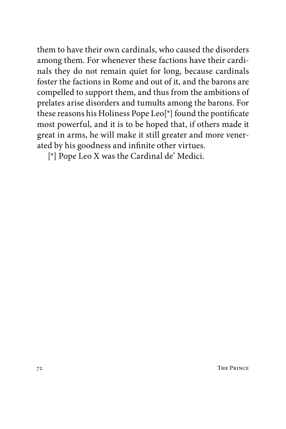them to have their own cardinals, who caused the disorders among them. For whenever these factions have their cardinals they do not remain quiet for long, because cardinals foster the factions in Rome and out of it, and the barons are compelled to support them, and thus from the ambitions of prelates arise disorders and tumults among the barons. For these reasons his Holiness Pope Leo[\*] found the pontificate most powerful, and it is to be hoped that, if others made it great in arms, he will make it still greater and more venerated by his goodness and infinite other virtues.

[\*] Pope Leo X was the Cardinal de' Medici.

72 The Prince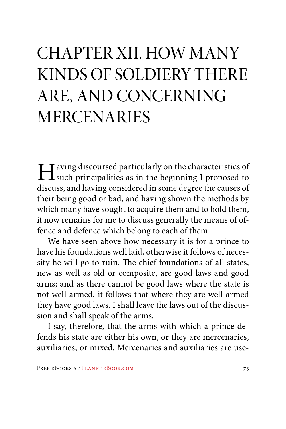## CHAPTER XII. HOW MANY KINDS OF SOLDIERY THERE ARE, AND CONCERNING MERCENARIES

I aving discoursed particularly on the characteristics of such principalities as in the beginning I proposed to discuss, and having considered in some degree the causes of their being good or bad, and having shown the methods by which many have sought to acquire them and to hold them, it now remains for me to discuss generally the means of offence and defence which belong to each of them.

We have seen above how necessary it is for a prince to have his foundations well laid, otherwise it follows of necessity he will go to ruin. The chief foundations of all states, new as well as old or composite, are good laws and good arms; and as there cannot be good laws where the state is not well armed, it follows that where they are well armed they have good laws. I shall leave the laws out of the discussion and shall speak of the arms.

I say, therefore, that the arms with which a prince defends his state are either his own, or they are mercenaries, auxiliaries, or mixed. Mercenaries and auxiliaries are use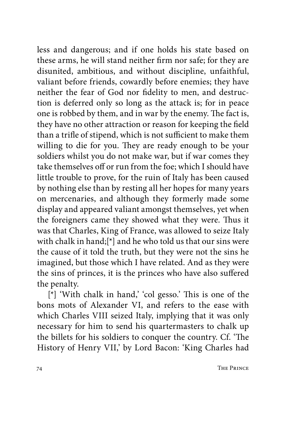less and dangerous; and if one holds his state based on these arms, he will stand neither firm nor safe; for they are disunited, ambitious, and without discipline, unfaithful, valiant before friends, cowardly before enemies; they have neither the fear of God nor fidelity to men, and destruction is deferred only so long as the attack is; for in peace one is robbed by them, and in war by the enemy. The fact is, they have no other attraction or reason for keeping the field than a trifle of stipend, which is not sufficient to make them willing to die for you. They are ready enough to be your soldiers whilst you do not make war, but if war comes they take themselves off or run from the foe; which I should have little trouble to prove, for the ruin of Italy has been caused by nothing else than by resting all her hopes for many years on mercenaries, and although they formerly made some display and appeared valiant amongst themselves, yet when the foreigners came they showed what they were. Thus it was that Charles, King of France, was allowed to seize Italy with chalk in hand;[\*] and he who told us that our sins were the cause of it told the truth, but they were not the sins he imagined, but those which I have related. And as they were the sins of princes, it is the princes who have also suffered the penalty.

[\*] 'With chalk in hand,' 'col gesso.' This is one of the bons mots of Alexander VI, and refers to the ease with which Charles VIII seized Italy, implying that it was only necessary for him to send his quartermasters to chalk up the billets for his soldiers to conquer the country. Cf. 'The History of Henry VII,' by Lord Bacon: 'King Charles had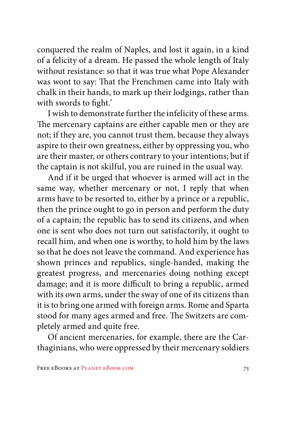conquered the realm of Naples, and lost it again, in a kind of a felicity of a dream. He passed the whole length of Italy without resistance: so that it was true what Pope Alexander was wont to say: That the Frenchmen came into Italy with chalk in their hands, to mark up their lodgings, rather than with swords to fight.'

I wish to demonstrate further the infelicity of these arms. The mercenary captains are either capable men or they are not; if they are, you cannot trust them, because they always aspire to their own greatness, either by oppressing you, who are their master, or others contrary to your intentions; but if the captain is not skilful, you are ruined in the usual way.

And if it be urged that whoever is armed will act in the same way, whether mercenary or not, I reply that when arms have to be resorted to, either by a prince or a republic, then the prince ought to go in person and perform the duty of a captain; the republic has to send its citizens, and when one is sent who does not turn out satisfactorily, it ought to recall him, and when one is worthy, to hold him by the laws so that he does not leave the command. And experience has shown princes and republics, single-handed, making the greatest progress, and mercenaries doing nothing except damage; and it is more difficult to bring a republic, armed with its own arms, under the sway of one of its citizens than it is to bring one armed with foreign arms. Rome and Sparta stood for many ages armed and free. The Switzers are completely armed and quite free.

Of ancient mercenaries, for example, there are the Carthaginians, who were oppressed by their mercenary soldiers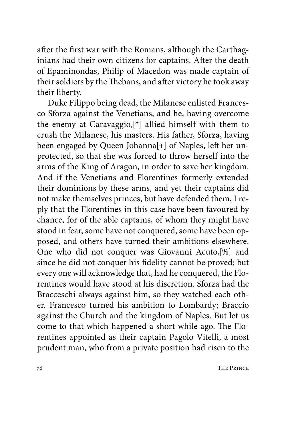after the first war with the Romans, although the Carthaginians had their own citizens for captains. After the death of Epaminondas, Philip of Macedon was made captain of their soldiers by the Thebans, and after victory he took away their liberty.

Duke Filippo being dead, the Milanese enlisted Francesco Sforza against the Venetians, and he, having overcome the enemy at Caravaggio,[\*] allied himself with them to crush the Milanese, his masters. His father, Sforza, having been engaged by Queen Johanna[+] of Naples, left her unprotected, so that she was forced to throw herself into the arms of the King of Aragon, in order to save her kingdom. And if the Venetians and Florentines formerly extended their dominions by these arms, and yet their captains did not make themselves princes, but have defended them, I reply that the Florentines in this case have been favoured by chance, for of the able captains, of whom they might have stood in fear, some have not conquered, some have been opposed, and others have turned their ambitions elsewhere. One who did not conquer was Giovanni Acuto,[%] and since he did not conquer his fidelity cannot be proved; but every one will acknowledge that, had he conquered, the Florentines would have stood at his discretion. Sforza had the Bracceschi always against him, so they watched each other. Francesco turned his ambition to Lombardy; Braccio against the Church and the kingdom of Naples. But let us come to that which happened a short while ago. The Florentines appointed as their captain Pagolo Vitelli, a most prudent man, who from a private position had risen to the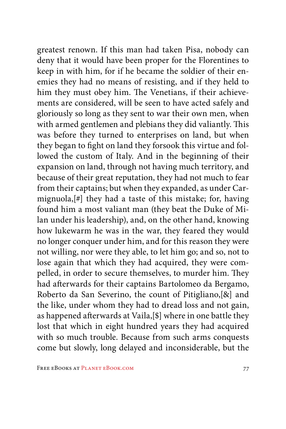greatest renown. If this man had taken Pisa, nobody can deny that it would have been proper for the Florentines to keep in with him, for if he became the soldier of their enemies they had no means of resisting, and if they held to him they must obey him. The Venetians, if their achievements are considered, will be seen to have acted safely and gloriously so long as they sent to war their own men, when with armed gentlemen and plebians they did valiantly. This was before they turned to enterprises on land, but when they began to fight on land they forsook this virtue and followed the custom of Italy. And in the beginning of their expansion on land, through not having much territory, and because of their great reputation, they had not much to fear from their captains; but when they expanded, as under Carmignuola,[#] they had a taste of this mistake; for, having found him a most valiant man (they beat the Duke of Milan under his leadership), and, on the other hand, knowing how lukewarm he was in the war, they feared they would no longer conquer under him, and for this reason they were not willing, nor were they able, to let him go; and so, not to lose again that which they had acquired, they were compelled, in order to secure themselves, to murder him. They had afterwards for their captains Bartolomeo da Bergamo, Roberto da San Severino, the count of Pitigliano,[&] and the like, under whom they had to dread loss and not gain, as happened afterwards at Vaila,[\$] where in one battle they lost that which in eight hundred years they had acquired with so much trouble. Because from such arms conquests come but slowly, long delayed and inconsiderable, but the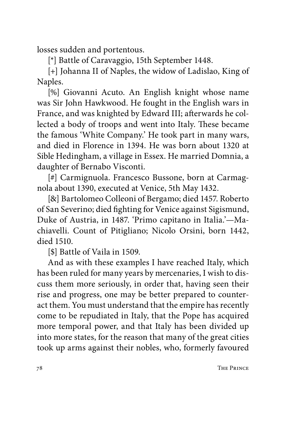losses sudden and portentous.

[\*] Battle of Caravaggio, 15th September 1448.

[+] Johanna II of Naples, the widow of Ladislao, King of Naples.

[%] Giovanni Acuto. An English knight whose name was Sir John Hawkwood. He fought in the English wars in France, and was knighted by Edward III; afterwards he collected a body of troops and went into Italy. These became the famous 'White Company.' He took part in many wars, and died in Florence in 1394. He was born about 1320 at Sible Hedingham, a village in Essex. He married Domnia, a daughter of Bernabo Visconti.

[#] Carmignuola. Francesco Bussone, born at Carmagnola about 1390, executed at Venice, 5th May 1432.

[&] Bartolomeo Colleoni of Bergamo; died 1457. Roberto of San Severino; died fighting for Venice against Sigismund, Duke of Austria, in 1487. 'Primo capitano in Italia.'—Machiavelli. Count of Pitigliano; Nicolo Orsini, born 1442, died 1510.

[\$] Battle of Vaila in 1509.

And as with these examples I have reached Italy, which has been ruled for many years by mercenaries, I wish to discuss them more seriously, in order that, having seen their rise and progress, one may be better prepared to counteract them. You must understand that the empire has recently come to be repudiated in Italy, that the Pope has acquired more temporal power, and that Italy has been divided up into more states, for the reason that many of the great cities took up arms against their nobles, who, formerly favoured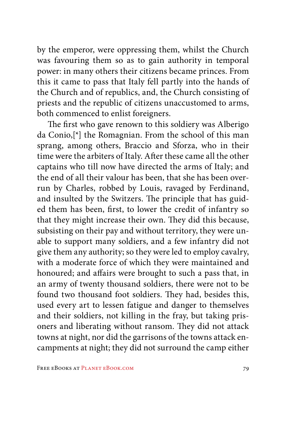by the emperor, were oppressing them, whilst the Church was favouring them so as to gain authority in temporal power: in many others their citizens became princes. From this it came to pass that Italy fell partly into the hands of the Church and of republics, and, the Church consisting of priests and the republic of citizens unaccustomed to arms, both commenced to enlist foreigners.

The first who gave renown to this soldiery was Alberigo da Conio,[\*] the Romagnian. From the school of this man sprang, among others, Braccio and Sforza, who in their time were the arbiters of Italy. After these came all the other captains who till now have directed the arms of Italy; and the end of all their valour has been, that she has been overrun by Charles, robbed by Louis, ravaged by Ferdinand, and insulted by the Switzers. The principle that has guided them has been, first, to lower the credit of infantry so that they might increase their own. They did this because, subsisting on their pay and without territory, they were unable to support many soldiers, and a few infantry did not give them any authority; so they were led to employ cavalry, with a moderate force of which they were maintained and honoured; and affairs were brought to such a pass that, in an army of twenty thousand soldiers, there were not to be found two thousand foot soldiers. They had, besides this, used every art to lessen fatigue and danger to themselves and their soldiers, not killing in the fray, but taking prisoners and liberating without ransom. They did not attack towns at night, nor did the garrisons of the towns attack encampments at night; they did not surround the camp either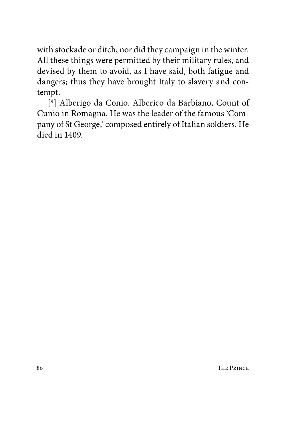with stockade or ditch, nor did they campaign in the winter. All these things were permitted by their military rules, and devised by them to avoid, as I have said, both fatigue and dangers; thus they have brought Italy to slavery and contempt.

[\*] Alberigo da Conio. Alberico da Barbiano, Count of Cunio in Romagna. He was the leader of the famous 'Company of St George,' composed entirely of Italian soldiers. He died in 1409.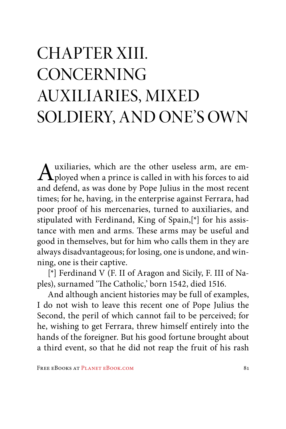# CHAPTER XIII. **CONCERNING** AUXILIARIES, MIXED SOLDIERY, AND ONE'S OWN

 $\bigwedge$  uxiliaries, which are the other useless arm, are em-<br>ployed when a prince is called in with his forces to aid and defend, as was done by Pope Julius in the most recent times; for he, having, in the enterprise against Ferrara, had poor proof of his mercenaries, turned to auxiliaries, and stipulated with Ferdinand, King of Spain,[\*] for his assistance with men and arms. These arms may be useful and good in themselves, but for him who calls them in they are always disadvantageous; for losing, one is undone, and winning, one is their captive.

[\*] Ferdinand V (F. II of Aragon and Sicily, F. III of Naples), surnamed 'The Catholic,' born 1542, died 1516.

And although ancient histories may be full of examples, I do not wish to leave this recent one of Pope Julius the Second, the peril of which cannot fail to be perceived; for he, wishing to get Ferrara, threw himself entirely into the hands of the foreigner. But his good fortune brought about a third event, so that he did not reap the fruit of his rash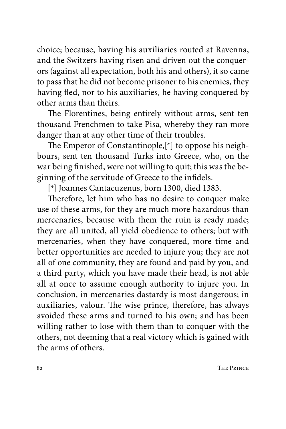choice; because, having his auxiliaries routed at Ravenna, and the Switzers having risen and driven out the conquerors (against all expectation, both his and others), it so came to pass that he did not become prisoner to his enemies, they having fled, nor to his auxiliaries, he having conquered by other arms than theirs.

The Florentines, being entirely without arms, sent ten thousand Frenchmen to take Pisa, whereby they ran more danger than at any other time of their troubles.

The Emperor of Constantinople,[\*] to oppose his neighbours, sent ten thousand Turks into Greece, who, on the war being finished, were not willing to quit; this was the beginning of the servitude of Greece to the infidels.

[\*] Joannes Cantacuzenus, born 1300, died 1383.

Therefore, let him who has no desire to conquer make use of these arms, for they are much more hazardous than mercenaries, because with them the ruin is ready made; they are all united, all yield obedience to others; but with mercenaries, when they have conquered, more time and better opportunities are needed to injure you; they are not all of one community, they are found and paid by you, and a third party, which you have made their head, is not able all at once to assume enough authority to injure you. In conclusion, in mercenaries dastardy is most dangerous; in auxiliaries, valour. The wise prince, therefore, has always avoided these arms and turned to his own; and has been willing rather to lose with them than to conquer with the others, not deeming that a real victory which is gained with the arms of others.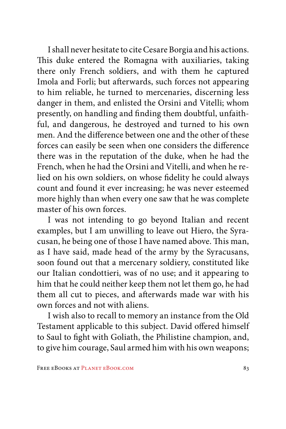I shall never hesitate to cite Cesare Borgia and his actions. This duke entered the Romagna with auxiliaries, taking there only French soldiers, and with them he captured Imola and Forli; but afterwards, such forces not appearing to him reliable, he turned to mercenaries, discerning less danger in them, and enlisted the Orsini and Vitelli; whom presently, on handling and finding them doubtful, unfaithful, and dangerous, he destroyed and turned to his own men. And the difference between one and the other of these forces can easily be seen when one considers the difference there was in the reputation of the duke, when he had the French, when he had the Orsini and Vitelli, and when he relied on his own soldiers, on whose fidelity he could always count and found it ever increasing; he was never esteemed more highly than when every one saw that he was complete master of his own forces.

I was not intending to go beyond Italian and recent examples, but I am unwilling to leave out Hiero, the Syracusan, he being one of those I have named above. This man, as I have said, made head of the army by the Syracusans, soon found out that a mercenary soldiery, constituted like our Italian condottieri, was of no use; and it appearing to him that he could neither keep them not let them go, he had them all cut to pieces, and afterwards made war with his own forces and not with aliens.

I wish also to recall to memory an instance from the Old Testament applicable to this subject. David offered himself to Saul to fight with Goliath, the Philistine champion, and, to give him courage, Saul armed him with his own weapons;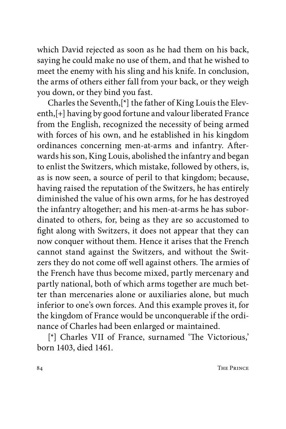which David rejected as soon as he had them on his back, saying he could make no use of them, and that he wished to meet the enemy with his sling and his knife. In conclusion, the arms of others either fall from your back, or they weigh you down, or they bind you fast.

Charles the Seventh,[\*] the father of King Louis the Eleventh,[+] having by good fortune and valour liberated France from the English, recognized the necessity of being armed with forces of his own, and he established in his kingdom ordinances concerning men-at-arms and infantry. Afterwards his son, King Louis, abolished the infantry and began to enlist the Switzers, which mistake, followed by others, is, as is now seen, a source of peril to that kingdom; because, having raised the reputation of the Switzers, he has entirely diminished the value of his own arms, for he has destroyed the infantry altogether; and his men-at-arms he has subordinated to others, for, being as they are so accustomed to fight along with Switzers, it does not appear that they can now conquer without them. Hence it arises that the French cannot stand against the Switzers, and without the Switzers they do not come off well against others. The armies of the French have thus become mixed, partly mercenary and partly national, both of which arms together are much better than mercenaries alone or auxiliaries alone, but much inferior to one's own forces. And this example proves it, for the kingdom of France would be unconquerable if the ordinance of Charles had been enlarged or maintained.

[\*] Charles VII of France, surnamed 'The Victorious,' born 1403, died 1461.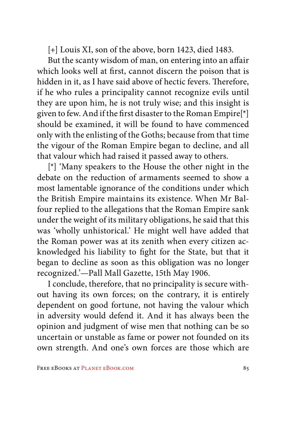[+] Louis XI, son of the above, born 1423, died 1483.

But the scanty wisdom of man, on entering into an affair which looks well at first, cannot discern the poison that is hidden in it, as I have said above of hectic fevers. Therefore, if he who rules a principality cannot recognize evils until they are upon him, he is not truly wise; and this insight is given to few. And if the first disaster to the Roman Empire[\*] should be examined, it will be found to have commenced only with the enlisting of the Goths; because from that time the vigour of the Roman Empire began to decline, and all that valour which had raised it passed away to others.

[\*] 'Many speakers to the House the other night in the debate on the reduction of armaments seemed to show a most lamentable ignorance of the conditions under which the British Empire maintains its existence. When Mr Balfour replied to the allegations that the Roman Empire sank under the weight of its military obligations, he said that this was 'wholly unhistorical.' He might well have added that the Roman power was at its zenith when every citizen acknowledged his liability to fight for the State, but that it began to decline as soon as this obligation was no longer recognized.'—Pall Mall Gazette, 15th May 1906.

I conclude, therefore, that no principality is secure without having its own forces; on the contrary, it is entirely dependent on good fortune, not having the valour which in adversity would defend it. And it has always been the opinion and judgment of wise men that nothing can be so uncertain or unstable as fame or power not founded on its own strength. And one's own forces are those which are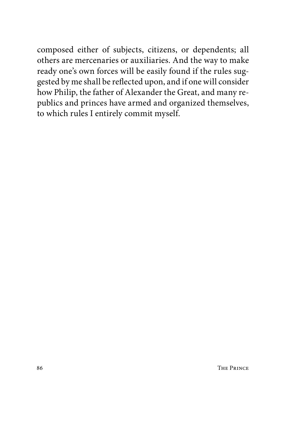composed either of subjects, citizens, or dependents; all others are mercenaries or auxiliaries. And the way to make ready one's own forces will be easily found if the rules suggested by me shall be reflected upon, and if one will consider how Philip, the father of Alexander the Great, and many republics and princes have armed and organized themselves, to which rules I entirely commit myself.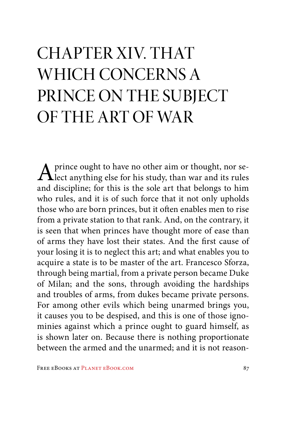# CHAPTER XIV. THAT WHICH CONCERNS A PRINCE ON THE SUBJECT OF THE ART OF WAR

A prince ought to have no other aim or thought, nor select anything else for his study, than war and its rules and discipline; for this is the sole art that belongs to him who rules, and it is of such force that it not only upholds those who are born princes, but it often enables men to rise from a private station to that rank. And, on the contrary, it is seen that when princes have thought more of ease than of arms they have lost their states. And the first cause of your losing it is to neglect this art; and what enables you to acquire a state is to be master of the art. Francesco Sforza, through being martial, from a private person became Duke of Milan; and the sons, through avoiding the hardships and troubles of arms, from dukes became private persons. For among other evils which being unarmed brings you, it causes you to be despised, and this is one of those ignominies against which a prince ought to guard himself, as is shown later on. Because there is nothing proportionate between the armed and the unarmed; and it is not reason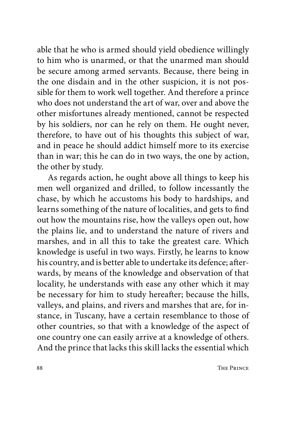able that he who is armed should yield obedience willingly to him who is unarmed, or that the unarmed man should be secure among armed servants. Because, there being in the one disdain and in the other suspicion, it is not possible for them to work well together. And therefore a prince who does not understand the art of war, over and above the other misfortunes already mentioned, cannot be respected by his soldiers, nor can he rely on them. He ought never, therefore, to have out of his thoughts this subject of war, and in peace he should addict himself more to its exercise than in war; this he can do in two ways, the one by action, the other by study.

As regards action, he ought above all things to keep his men well organized and drilled, to follow incessantly the chase, by which he accustoms his body to hardships, and learns something of the nature of localities, and gets to find out how the mountains rise, how the valleys open out, how the plains lie, and to understand the nature of rivers and marshes, and in all this to take the greatest care. Which knowledge is useful in two ways. Firstly, he learns to know his country, and is better able to undertake its defence; afterwards, by means of the knowledge and observation of that locality, he understands with ease any other which it may be necessary for him to study hereafter; because the hills, valleys, and plains, and rivers and marshes that are, for instance, in Tuscany, have a certain resemblance to those of other countries, so that with a knowledge of the aspect of one country one can easily arrive at a knowledge of others. And the prince that lacks this skill lacks the essential which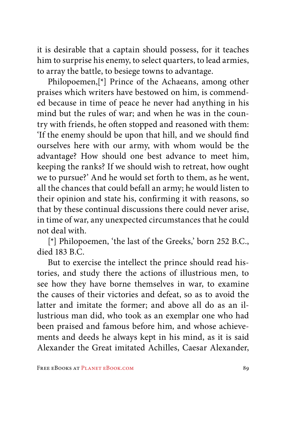it is desirable that a captain should possess, for it teaches him to surprise his enemy, to select quarters, to lead armies, to array the battle, to besiege towns to advantage.

Philopoemen,[\*] Prince of the Achaeans, among other praises which writers have bestowed on him, is commended because in time of peace he never had anything in his mind but the rules of war; and when he was in the country with friends, he often stopped and reasoned with them: 'If the enemy should be upon that hill, and we should find ourselves here with our army, with whom would be the advantage? How should one best advance to meet him, keeping the ranks? If we should wish to retreat, how ought we to pursue?' And he would set forth to them, as he went, all the chances that could befall an army; he would listen to their opinion and state his, confirming it with reasons, so that by these continual discussions there could never arise, in time of war, any unexpected circumstances that he could not deal with.

[\*] Philopoemen, 'the last of the Greeks,' born 252 B.C., died 183 B.C.

But to exercise the intellect the prince should read histories, and study there the actions of illustrious men, to see how they have borne themselves in war, to examine the causes of their victories and defeat, so as to avoid the latter and imitate the former; and above all do as an illustrious man did, who took as an exemplar one who had been praised and famous before him, and whose achievements and deeds he always kept in his mind, as it is said Alexander the Great imitated Achilles, Caesar Alexander,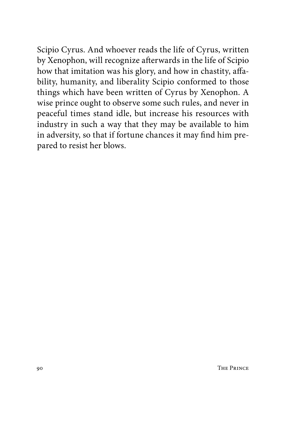Scipio Cyrus. And whoever reads the life of Cyrus, written by Xenophon, will recognize afterwards in the life of Scipio how that imitation was his glory, and how in chastity, affability, humanity, and liberality Scipio conformed to those things which have been written of Cyrus by Xenophon. A wise prince ought to observe some such rules, and never in peaceful times stand idle, but increase his resources with industry in such a way that they may be available to him in adversity, so that if fortune chances it may find him prepared to resist her blows.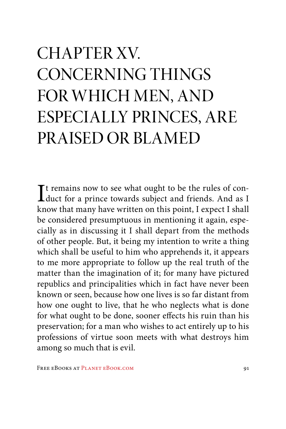# CHAPTER XV. CONCERNING THINGS FOR WHICH MEN, AND ESPECIALLY PRINCES, ARE PRAISED OR BLAMED

It remains now to see what ought to be the rules of con-<br>duct for a prince towards subject and friends. And as I duct for a prince towards subject and friends. And as I know that many have written on this point, I expect I shall be considered presumptuous in mentioning it again, especially as in discussing it I shall depart from the methods of other people. But, it being my intention to write a thing which shall be useful to him who apprehends it, it appears to me more appropriate to follow up the real truth of the matter than the imagination of it; for many have pictured republics and principalities which in fact have never been known or seen, because how one lives is so far distant from how one ought to live, that he who neglects what is done for what ought to be done, sooner effects his ruin than his preservation; for a man who wishes to act entirely up to his professions of virtue soon meets with what destroys him among so much that is evil.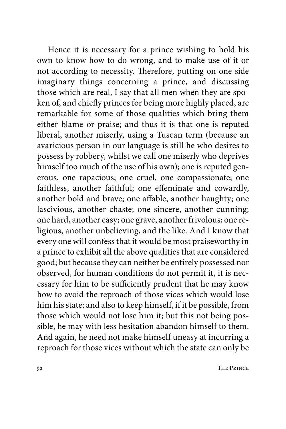Hence it is necessary for a prince wishing to hold his own to know how to do wrong, and to make use of it or not according to necessity. Therefore, putting on one side imaginary things concerning a prince, and discussing those which are real, I say that all men when they are spoken of, and chiefly princes for being more highly placed, are remarkable for some of those qualities which bring them either blame or praise; and thus it is that one is reputed liberal, another miserly, using a Tuscan term (because an avaricious person in our language is still he who desires to possess by robbery, whilst we call one miserly who deprives himself too much of the use of his own); one is reputed generous, one rapacious; one cruel, one compassionate; one faithless, another faithful; one effeminate and cowardly, another bold and brave; one affable, another haughty; one lascivious, another chaste; one sincere, another cunning; one hard, another easy; one grave, another frivolous; one religious, another unbelieving, and the like. And I know that every one will confess that it would be most praiseworthy in a prince to exhibit all the above qualities that are considered good; but because they can neither be entirely possessed nor observed, for human conditions do not permit it, it is necessary for him to be sufficiently prudent that he may know how to avoid the reproach of those vices which would lose him his state; and also to keep himself, if it be possible, from those which would not lose him it; but this not being possible, he may with less hesitation abandon himself to them. And again, he need not make himself uneasy at incurring a reproach for those vices without which the state can only be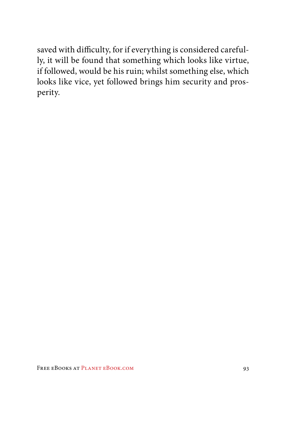saved with difficulty, for if everything is considered carefully, it will be found that something which looks like virtue, if followed, would be his ruin; whilst something else, which looks like vice, yet followed brings him security and prosperity.

FREE EBOOKS AT PLANET EBOOK.COM 93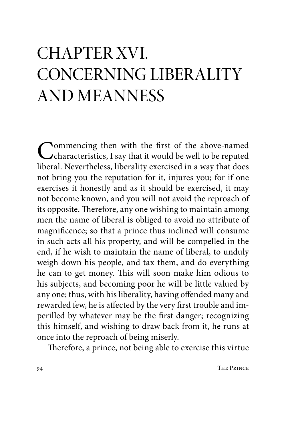#### CHAPTER XVI. CONCERNING LIBERALITY AND MEANNESS

Commencing then with the first of the above-named<br>
characteristics, I say that it would be well to be reputed<br>
liberal Mayorthalass liberality avaraised in a vary that does liberal. Nevertheless, liberality exercised in a way that does not bring you the reputation for it, injures you; for if one exercises it honestly and as it should be exercised, it may not become known, and you will not avoid the reproach of its opposite. Therefore, any one wishing to maintain among men the name of liberal is obliged to avoid no attribute of magnificence; so that a prince thus inclined will consume in such acts all his property, and will be compelled in the end, if he wish to maintain the name of liberal, to unduly weigh down his people, and tax them, and do everything he can to get money. This will soon make him odious to his subjects, and becoming poor he will be little valued by any one; thus, with his liberality, having offended many and rewarded few, he is affected by the very first trouble and imperilled by whatever may be the first danger; recognizing this himself, and wishing to draw back from it, he runs at once into the reproach of being miserly.

Therefore, a prince, not being able to exercise this virtue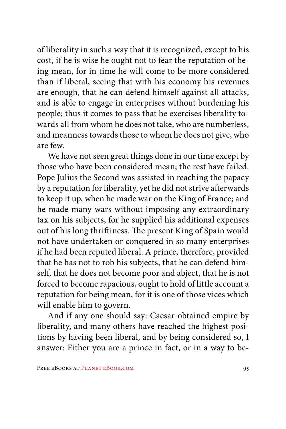of liberality in such a way that it is recognized, except to his cost, if he is wise he ought not to fear the reputation of being mean, for in time he will come to be more considered than if liberal, seeing that with his economy his revenues are enough, that he can defend himself against all attacks, and is able to engage in enterprises without burdening his people; thus it comes to pass that he exercises liberality towards all from whom he does not take, who are numberless, and meanness towards those to whom he does not give, who are few.

We have not seen great things done in our time except by those who have been considered mean; the rest have failed. Pope Julius the Second was assisted in reaching the papacy by a reputation for liberality, yet he did not strive afterwards to keep it up, when he made war on the King of France; and he made many wars without imposing any extraordinary tax on his subjects, for he supplied his additional expenses out of his long thriftiness. The present King of Spain would not have undertaken or conquered in so many enterprises if he had been reputed liberal. A prince, therefore, provided that he has not to rob his subjects, that he can defend himself, that he does not become poor and abject, that he is not forced to become rapacious, ought to hold of little account a reputation for being mean, for it is one of those vices which will enable him to govern.

And if any one should say: Caesar obtained empire by liberality, and many others have reached the highest positions by having been liberal, and by being considered so, I answer: Either you are a prince in fact, or in a way to be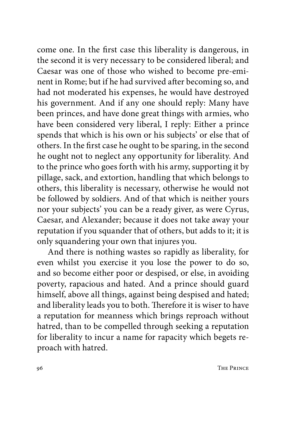come one. In the first case this liberality is dangerous, in the second it is very necessary to be considered liberal; and Caesar was one of those who wished to become pre-eminent in Rome; but if he had survived after becoming so, and had not moderated his expenses, he would have destroyed his government. And if any one should reply: Many have been princes, and have done great things with armies, who have been considered very liberal, I reply: Either a prince spends that which is his own or his subjects' or else that of others. In the first case he ought to be sparing, in the second he ought not to neglect any opportunity for liberality. And to the prince who goes forth with his army, supporting it by pillage, sack, and extortion, handling that which belongs to others, this liberality is necessary, otherwise he would not be followed by soldiers. And of that which is neither yours nor your subjects' you can be a ready giver, as were Cyrus, Caesar, and Alexander; because it does not take away your reputation if you squander that of others, but adds to it; it is only squandering your own that injures you.

And there is nothing wastes so rapidly as liberality, for even whilst you exercise it you lose the power to do so, and so become either poor or despised, or else, in avoiding poverty, rapacious and hated. And a prince should guard himself, above all things, against being despised and hated; and liberality leads you to both. Therefore it is wiser to have a reputation for meanness which brings reproach without hatred, than to be compelled through seeking a reputation for liberality to incur a name for rapacity which begets reproach with hatred.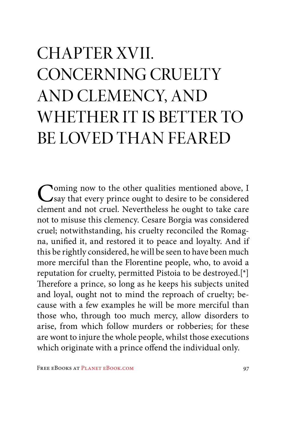# CHAPTER XVII. CONCERNING CRUELTY AND CLEMENCY, AND WHETHER IT IS BETTER TO BE LOVED THAN FEARED

Coming now to the other qualities mentioned above, I<br>Say that every prince ought to desire to be considered<br>above and not even! Navarkhalase he such to take same clement and not cruel. Nevertheless he ought to take care not to misuse this clemency. Cesare Borgia was considered cruel; notwithstanding, his cruelty reconciled the Romagna, unified it, and restored it to peace and loyalty. And if this be rightly considered, he will be seen to have been much more merciful than the Florentine people, who, to avoid a reputation for cruelty, permitted Pistoia to be destroyed.[\*] Therefore a prince, so long as he keeps his subjects united and loyal, ought not to mind the reproach of cruelty; because with a few examples he will be more merciful than those who, through too much mercy, allow disorders to arise, from which follow murders or robberies; for these are wont to injure the whole people, whilst those executions which originate with a prince offend the individual only.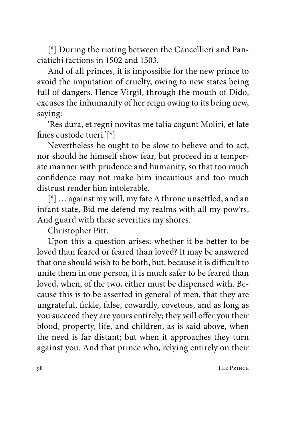[\*] During the rioting between the Cancellieri and Panciatichi factions in 1502 and 1503.

And of all princes, it is impossible for the new prince to avoid the imputation of cruelty, owing to new states being full of dangers. Hence Virgil, through the mouth of Dido, excuses the inhumanity of her reign owing to its being new, saying:

'Res dura, et regni novitas me talia cogunt Moliri, et late fines custode tueri.'[\*]

Nevertheless he ought to be slow to believe and to act, nor should he himself show fear, but proceed in a temperate manner with prudence and humanity, so that too much confidence may not make him incautious and too much distrust render him intolerable.

[\*] … against my will, my fate A throne unsettled, and an infant state, Bid me defend my realms with all my pow'rs, And guard with these severities my shores.

Christopher Pitt.

Upon this a question arises: whether it be better to be loved than feared or feared than loved? It may be answered that one should wish to be both, but, because it is difficult to unite them in one person, it is much safer to be feared than loved, when, of the two, either must be dispensed with. Because this is to be asserted in general of men, that they are ungrateful, fickle, false, cowardly, covetous, and as long as you succeed they are yours entirely; they will offer you their blood, property, life, and children, as is said above, when the need is far distant; but when it approaches they turn against you. And that prince who, relying entirely on their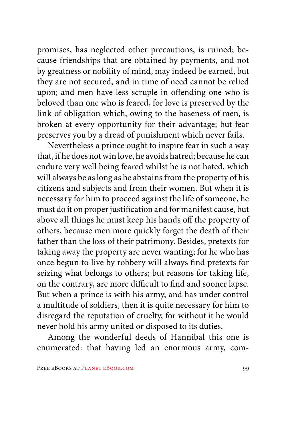promises, has neglected other precautions, is ruined; because friendships that are obtained by payments, and not by greatness or nobility of mind, may indeed be earned, but they are not secured, and in time of need cannot be relied upon; and men have less scruple in offending one who is beloved than one who is feared, for love is preserved by the link of obligation which, owing to the baseness of men, is broken at every opportunity for their advantage; but fear preserves you by a dread of punishment which never fails.

Nevertheless a prince ought to inspire fear in such a way that, if he does not win love, he avoids hatred; because he can endure very well being feared whilst he is not hated, which will always be as long as he abstains from the property of his citizens and subjects and from their women. But when it is necessary for him to proceed against the life of someone, he must do it on proper justification and for manifest cause, but above all things he must keep his hands off the property of others, because men more quickly forget the death of their father than the loss of their patrimony. Besides, pretexts for taking away the property are never wanting; for he who has once begun to live by robbery will always find pretexts for seizing what belongs to others; but reasons for taking life, on the contrary, are more difficult to find and sooner lapse. But when a prince is with his army, and has under control a multitude of soldiers, then it is quite necessary for him to disregard the reputation of cruelty, for without it he would never hold his army united or disposed to its duties.

Among the wonderful deeds of Hannibal this one is enumerated: that having led an enormous army, com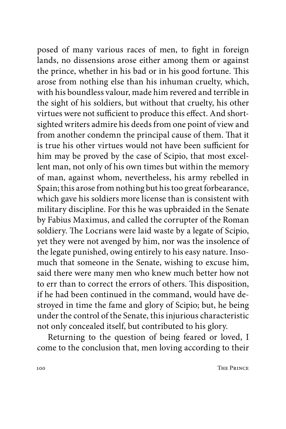posed of many various races of men, to fight in foreign lands, no dissensions arose either among them or against the prince, whether in his bad or in his good fortune. This arose from nothing else than his inhuman cruelty, which, with his boundless valour, made him revered and terrible in the sight of his soldiers, but without that cruelty, his other virtues were not sufficient to produce this effect. And shortsighted writers admire his deeds from one point of view and from another condemn the principal cause of them. That it is true his other virtues would not have been sufficient for him may be proved by the case of Scipio, that most excellent man, not only of his own times but within the memory of man, against whom, nevertheless, his army rebelled in Spain; this arose from nothing but his too great forbearance, which gave his soldiers more license than is consistent with military discipline. For this he was upbraided in the Senate by Fabius Maximus, and called the corrupter of the Roman soldiery. The Locrians were laid waste by a legate of Scipio, yet they were not avenged by him, nor was the insolence of the legate punished, owing entirely to his easy nature. Insomuch that someone in the Senate, wishing to excuse him, said there were many men who knew much better how not to err than to correct the errors of others. This disposition, if he had been continued in the command, would have destroyed in time the fame and glory of Scipio; but, he being under the control of the Senate, this injurious characteristic not only concealed itself, but contributed to his glory.

Returning to the question of being feared or loved, I come to the conclusion that, men loving according to their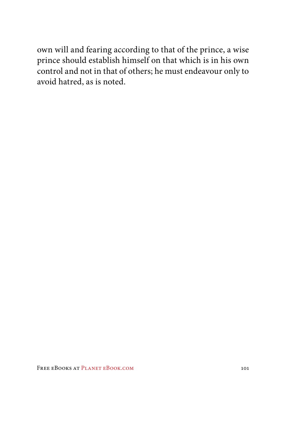own will and fearing according to that of the prince, a wise prince should establish himself on that which is in his own control and not in that of others; he must endeavour only to avoid hatred, as is noted.

FREE EBOOKS AT PLANET EBOOK.COM 101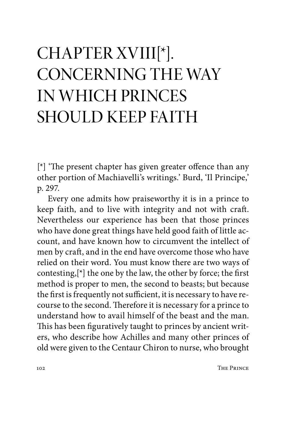# CHAPTER XVIII[\*]. CONCERNING THE WAY IN WHICH PRINCES SHOULD KEEP FAITH

[\*] 'The present chapter has given greater offence than any other portion of Machiavelli's writings.' Burd, 'Il Principe,' p. 297.

Every one admits how praiseworthy it is in a prince to keep faith, and to live with integrity and not with craft. Nevertheless our experience has been that those princes who have done great things have held good faith of little account, and have known how to circumvent the intellect of men by craft, and in the end have overcome those who have relied on their word. You must know there are two ways of contesting, $[\ast]$  the one by the law, the other by force; the first method is proper to men, the second to beasts; but because the first is frequently not sufficient, it is necessary to have recourse to the second. Therefore it is necessary for a prince to understand how to avail himself of the beast and the man. This has been figuratively taught to princes by ancient writers, who describe how Achilles and many other princes of old were given to the Centaur Chiron to nurse, who brought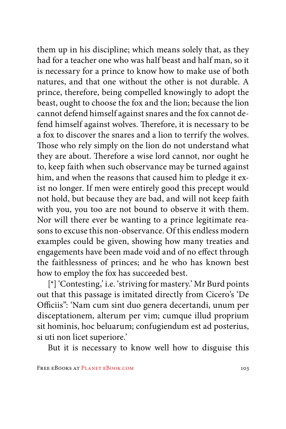them up in his discipline; which means solely that, as they had for a teacher one who was half beast and half man, so it is necessary for a prince to know how to make use of both natures, and that one without the other is not durable. A prince, therefore, being compelled knowingly to adopt the beast, ought to choose the fox and the lion; because the lion cannot defend himself against snares and the fox cannot defend himself against wolves. Therefore, it is necessary to be a fox to discover the snares and a lion to terrify the wolves. Those who rely simply on the lion do not understand what they are about. Therefore a wise lord cannot, nor ought he to, keep faith when such observance may be turned against him, and when the reasons that caused him to pledge it exist no longer. If men were entirely good this precept would not hold, but because they are bad, and will not keep faith with you, you too are not bound to observe it with them. Nor will there ever be wanting to a prince legitimate reasons to excuse this non-observance. Of this endless modern examples could be given, showing how many treaties and engagements have been made void and of no effect through the faithlessness of princes; and he who has known best how to employ the fox has succeeded best.

[\*] 'Contesting,' i.e. 'striving for mastery.' Mr Burd points out that this passage is imitated directly from Cicero's 'De Officiis": 'Nam cum sint duo genera decertandi, unum per disceptationem, alterum per vim; cumque illud proprium sit hominis, hoc beluarum; confugiendum est ad posterius, si uti non licet superiore.'

But it is necessary to know well how to disguise this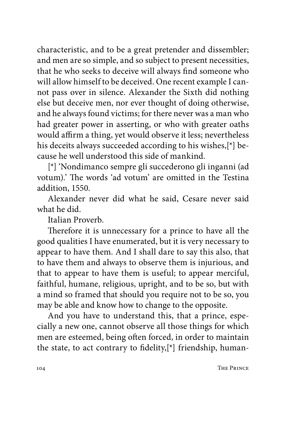characteristic, and to be a great pretender and dissembler; and men are so simple, and so subject to present necessities, that he who seeks to deceive will always find someone who will allow himself to be deceived. One recent example I cannot pass over in silence. Alexander the Sixth did nothing else but deceive men, nor ever thought of doing otherwise, and he always found victims; for there never was a man who had greater power in asserting, or who with greater oaths would affirm a thing, yet would observe it less; nevertheless his deceits always succeeded according to his wishes,[\*] because he well understood this side of mankind.

[\*] 'Nondimanco sempre gli succederono gli inganni (ad votum).' The words 'ad votum' are omitted in the Testina addition, 1550.

Alexander never did what he said, Cesare never said what he did.

Italian Proverb.

Therefore it is unnecessary for a prince to have all the good qualities I have enumerated, but it is very necessary to appear to have them. And I shall dare to say this also, that to have them and always to observe them is injurious, and that to appear to have them is useful; to appear merciful, faithful, humane, religious, upright, and to be so, but with a mind so framed that should you require not to be so, you may be able and know how to change to the opposite.

And you have to understand this, that a prince, especially a new one, cannot observe all those things for which men are esteemed, being often forced, in order to maintain the state, to act contrary to fidelity,[\*] friendship, human-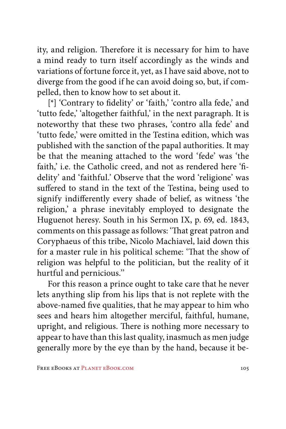ity, and religion. Therefore it is necessary for him to have a mind ready to turn itself accordingly as the winds and variations of fortune force it, yet, as I have said above, not to diverge from the good if he can avoid doing so, but, if compelled, then to know how to set about it.

[\*] 'Contrary to fidelity' or 'faith,' 'contro alla fede,' and 'tutto fede,' 'altogether faithful,' in the next paragraph. It is noteworthy that these two phrases, 'contro alla fede' and 'tutto fede,' were omitted in the Testina edition, which was published with the sanction of the papal authorities. It may be that the meaning attached to the word 'fede' was 'the faith,' i.e. the Catholic creed, and not as rendered here 'fidelity' and 'faithful.' Observe that the word 'religione' was suffered to stand in the text of the Testina, being used to signify indifferently every shade of belief, as witness 'the religion,' a phrase inevitably employed to designate the Huguenot heresy. South in his Sermon IX, p. 69, ed. 1843, comments on this passage as follows: 'That great patron and Coryphaeus of this tribe, Nicolo Machiavel, laid down this for a master rule in his political scheme: 'That the show of religion was helpful to the politician, but the reality of it hurtful and pernicious.''

For this reason a prince ought to take care that he never lets anything slip from his lips that is not replete with the above-named five qualities, that he may appear to him who sees and hears him altogether merciful, faithful, humane, upright, and religious. There is nothing more necessary to appear to have than this last quality, inasmuch as men judge generally more by the eye than by the hand, because it be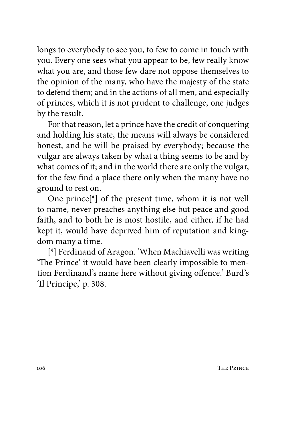longs to everybody to see you, to few to come in touch with you. Every one sees what you appear to be, few really know what you are, and those few dare not oppose themselves to the opinion of the many, who have the majesty of the state to defend them; and in the actions of all men, and especially of princes, which it is not prudent to challenge, one judges by the result.

For that reason, let a prince have the credit of conquering and holding his state, the means will always be considered honest, and he will be praised by everybody; because the vulgar are always taken by what a thing seems to be and by what comes of it; and in the world there are only the vulgar, for the few find a place there only when the many have no ground to rest on.

One prince[\*] of the present time, whom it is not well to name, never preaches anything else but peace and good faith, and to both he is most hostile, and either, if he had kept it, would have deprived him of reputation and kingdom many a time.

[\*] Ferdinand of Aragon. 'When Machiavelli was writing 'The Prince' it would have been clearly impossible to mention Ferdinand's name here without giving offence.' Burd's 'Il Principe,' p. 308.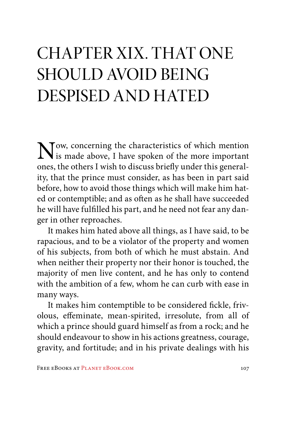### CHAPTER XIX. THAT ONE SHOULD AVOID BEING DESPISED AND HATED

Now, concerning the characteristics of which mention<br>is made above, I have spoken of the more important<br>cancer the others I wish to diamas heighwards this scenari ones, the others I wish to discuss briefly under this generality, that the prince must consider, as has been in part said before, how to avoid those things which will make him hated or contemptible; and as often as he shall have succeeded he will have fulfilled his part, and he need not fear any danger in other reproaches.

It makes him hated above all things, as I have said, to be rapacious, and to be a violator of the property and women of his subjects, from both of which he must abstain. And when neither their property nor their honor is touched, the majority of men live content, and he has only to contend with the ambition of a few, whom he can curb with ease in many ways.

It makes him contemptible to be considered fickle, frivolous, effeminate, mean-spirited, irresolute, from all of which a prince should guard himself as from a rock; and he should endeavour to show in his actions greatness, courage, gravity, and fortitude; and in his private dealings with his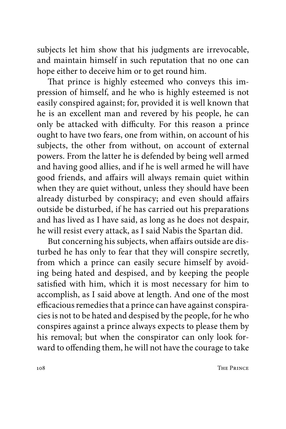subjects let him show that his judgments are irrevocable, and maintain himself in such reputation that no one can hope either to deceive him or to get round him.

That prince is highly esteemed who conveys this impression of himself, and he who is highly esteemed is not easily conspired against; for, provided it is well known that he is an excellent man and revered by his people, he can only be attacked with difficulty. For this reason a prince ought to have two fears, one from within, on account of his subjects, the other from without, on account of external powers. From the latter he is defended by being well armed and having good allies, and if he is well armed he will have good friends, and affairs will always remain quiet within when they are quiet without, unless they should have been already disturbed by conspiracy; and even should affairs outside be disturbed, if he has carried out his preparations and has lived as I have said, as long as he does not despair, he will resist every attack, as I said Nabis the Spartan did.

But concerning his subjects, when affairs outside are disturbed he has only to fear that they will conspire secretly, from which a prince can easily secure himself by avoiding being hated and despised, and by keeping the people satisfied with him, which it is most necessary for him to accomplish, as I said above at length. And one of the most efficacious remedies that a prince can have against conspiracies is not to be hated and despised by the people, for he who conspires against a prince always expects to please them by his removal; but when the conspirator can only look forward to offending them, he will not have the courage to take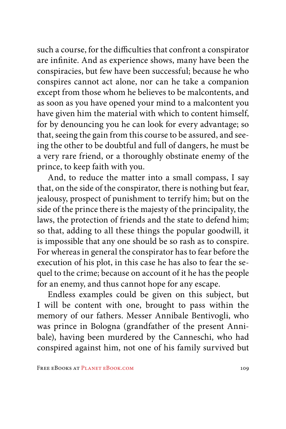such a course, for the difficulties that confront a conspirator are infinite. And as experience shows, many have been the conspiracies, but few have been successful; because he who conspires cannot act alone, nor can he take a companion except from those whom he believes to be malcontents, and as soon as you have opened your mind to a malcontent you have given him the material with which to content himself, for by denouncing you he can look for every advantage; so that, seeing the gain from this course to be assured, and seeing the other to be doubtful and full of dangers, he must be a very rare friend, or a thoroughly obstinate enemy of the prince, to keep faith with you.

And, to reduce the matter into a small compass, I say that, on the side of the conspirator, there is nothing but fear, jealousy, prospect of punishment to terrify him; but on the side of the prince there is the majesty of the principality, the laws, the protection of friends and the state to defend him; so that, adding to all these things the popular goodwill, it is impossible that any one should be so rash as to conspire. For whereas in general the conspirator has to fear before the execution of his plot, in this case he has also to fear the sequel to the crime; because on account of it he has the people for an enemy, and thus cannot hope for any escape.

Endless examples could be given on this subject, but I will be content with one, brought to pass within the memory of our fathers. Messer Annibale Bentivogli, who was prince in Bologna (grandfather of the present Annibale), having been murdered by the Canneschi, who had conspired against him, not one of his family survived but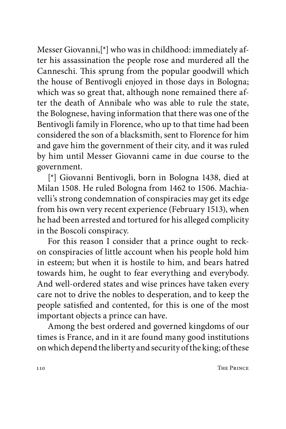Messer Giovanni,[\*] who was in childhood: immediately after his assassination the people rose and murdered all the Canneschi. This sprung from the popular goodwill which the house of Bentivogli enjoyed in those days in Bologna; which was so great that, although none remained there after the death of Annibale who was able to rule the state, the Bolognese, having information that there was one of the Bentivogli family in Florence, who up to that time had been considered the son of a blacksmith, sent to Florence for him and gave him the government of their city, and it was ruled by him until Messer Giovanni came in due course to the government.

[\*] Giovanni Bentivogli, born in Bologna 1438, died at Milan 1508. He ruled Bologna from 1462 to 1506. Machiavelli's strong condemnation of conspiracies may get its edge from his own very recent experience (February 1513), when he had been arrested and tortured for his alleged complicity in the Boscoli conspiracy.

For this reason I consider that a prince ought to reckon conspiracies of little account when his people hold him in esteem; but when it is hostile to him, and bears hatred towards him, he ought to fear everything and everybody. And well-ordered states and wise princes have taken every care not to drive the nobles to desperation, and to keep the people satisfied and contented, for this is one of the most important objects a prince can have.

Among the best ordered and governed kingdoms of our times is France, and in it are found many good institutions on which depend the liberty and security of the king; of these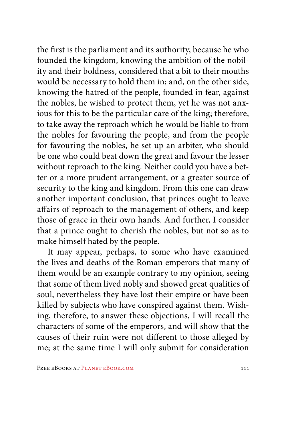the first is the parliament and its authority, because he who founded the kingdom, knowing the ambition of the nobility and their boldness, considered that a bit to their mouths would be necessary to hold them in; and, on the other side, knowing the hatred of the people, founded in fear, against the nobles, he wished to protect them, yet he was not anxious for this to be the particular care of the king; therefore, to take away the reproach which he would be liable to from the nobles for favouring the people, and from the people for favouring the nobles, he set up an arbiter, who should be one who could beat down the great and favour the lesser without reproach to the king. Neither could you have a better or a more prudent arrangement, or a greater source of security to the king and kingdom. From this one can draw another important conclusion, that princes ought to leave affairs of reproach to the management of others, and keep those of grace in their own hands. And further, I consider that a prince ought to cherish the nobles, but not so as to make himself hated by the people.

It may appear, perhaps, to some who have examined the lives and deaths of the Roman emperors that many of them would be an example contrary to my opinion, seeing that some of them lived nobly and showed great qualities of soul, nevertheless they have lost their empire or have been killed by subjects who have conspired against them. Wishing, therefore, to answer these objections, I will recall the characters of some of the emperors, and will show that the causes of their ruin were not different to those alleged by me; at the same time I will only submit for consideration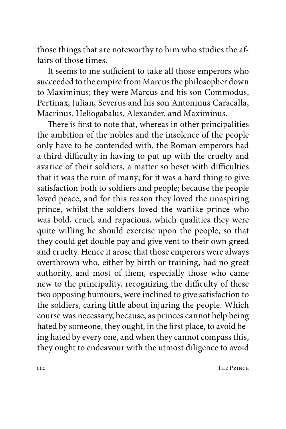those things that are noteworthy to him who studies the affairs of those times.

It seems to me sufficient to take all those emperors who succeeded to the empire from Marcus the philosopher down to Maximinus; they were Marcus and his son Commodus, Pertinax, Julian, Severus and his son Antoninus Caracalla, Macrinus, Heliogabalus, Alexander, and Maximinus.

There is first to note that, whereas in other principalities the ambition of the nobles and the insolence of the people only have to be contended with, the Roman emperors had a third difficulty in having to put up with the cruelty and avarice of their soldiers, a matter so beset with difficulties that it was the ruin of many; for it was a hard thing to give satisfaction both to soldiers and people; because the people loved peace, and for this reason they loved the unaspiring prince, whilst the soldiers loved the warlike prince who was bold, cruel, and rapacious, which qualities they were quite willing he should exercise upon the people, so that they could get double pay and give vent to their own greed and cruelty. Hence it arose that those emperors were always overthrown who, either by birth or training, had no great authority, and most of them, especially those who came new to the principality, recognizing the difficulty of these two opposing humours, were inclined to give satisfaction to the soldiers, caring little about injuring the people. Which course was necessary, because, as princes cannot help being hated by someone, they ought, in the first place, to avoid being hated by every one, and when they cannot compass this, they ought to endeavour with the utmost diligence to avoid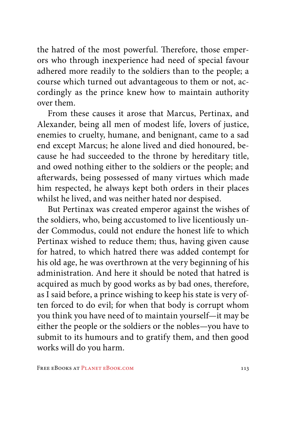the hatred of the most powerful. Therefore, those emperors who through inexperience had need of special favour adhered more readily to the soldiers than to the people; a course which turned out advantageous to them or not, accordingly as the prince knew how to maintain authority over them.

From these causes it arose that Marcus, Pertinax, and Alexander, being all men of modest life, lovers of justice, enemies to cruelty, humane, and benignant, came to a sad end except Marcus; he alone lived and died honoured, because he had succeeded to the throne by hereditary title, and owed nothing either to the soldiers or the people; and afterwards, being possessed of many virtues which made him respected, he always kept both orders in their places whilst he lived, and was neither hated nor despised.

But Pertinax was created emperor against the wishes of the soldiers, who, being accustomed to live licentiously under Commodus, could not endure the honest life to which Pertinax wished to reduce them; thus, having given cause for hatred, to which hatred there was added contempt for his old age, he was overthrown at the very beginning of his administration. And here it should be noted that hatred is acquired as much by good works as by bad ones, therefore, as I said before, a prince wishing to keep his state is very often forced to do evil; for when that body is corrupt whom you think you have need of to maintain yourself—it may be either the people or the soldiers or the nobles—you have to submit to its humours and to gratify them, and then good works will do you harm.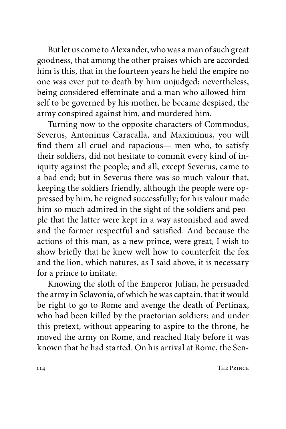But let us come to Alexander, who was a man of such great goodness, that among the other praises which are accorded him is this, that in the fourteen years he held the empire no one was ever put to death by him unjudged; nevertheless, being considered effeminate and a man who allowed himself to be governed by his mother, he became despised, the army conspired against him, and murdered him.

Turning now to the opposite characters of Commodus, Severus, Antoninus Caracalla, and Maximinus, you will find them all cruel and rapacious— men who, to satisfy their soldiers, did not hesitate to commit every kind of iniquity against the people; and all, except Severus, came to a bad end; but in Severus there was so much valour that, keeping the soldiers friendly, although the people were oppressed by him, he reigned successfully; for his valour made him so much admired in the sight of the soldiers and people that the latter were kept in a way astonished and awed and the former respectful and satisfied. And because the actions of this man, as a new prince, were great, I wish to show briefly that he knew well how to counterfeit the fox and the lion, which natures, as I said above, it is necessary for a prince to imitate.

Knowing the sloth of the Emperor Julian, he persuaded the army in Sclavonia, of which he was captain, that it would be right to go to Rome and avenge the death of Pertinax, who had been killed by the praetorian soldiers; and under this pretext, without appearing to aspire to the throne, he moved the army on Rome, and reached Italy before it was known that he had started. On his arrival at Rome, the Sen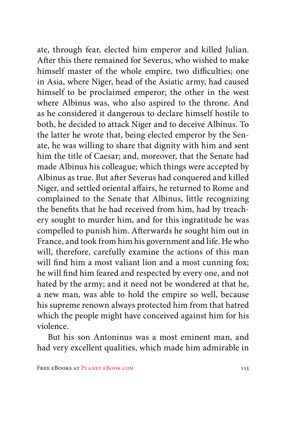ate, through fear, elected him emperor and killed Julian. After this there remained for Severus, who wished to make himself master of the whole empire, two difficulties; one in Asia, where Niger, head of the Asiatic army, had caused himself to be proclaimed emperor; the other in the west where Albinus was, who also aspired to the throne. And as he considered it dangerous to declare himself hostile to both, he decided to attack Niger and to deceive Albinus. To the latter he wrote that, being elected emperor by the Senate, he was willing to share that dignity with him and sent him the title of Caesar; and, moreover, that the Senate had made Albinus his colleague; which things were accepted by Albinus as true. But after Severus had conquered and killed Niger, and settled oriental affairs, he returned to Rome and complained to the Senate that Albinus, little recognizing the benefits that he had received from him, had by treachery sought to murder him, and for this ingratitude he was compelled to punish him. Afterwards he sought him out in France, and took from him his government and life. He who will, therefore, carefully examine the actions of this man will find him a most valiant lion and a most cunning fox; he will find him feared and respected by every one, and not hated by the army; and it need not be wondered at that he, a new man, was able to hold the empire so well, because his supreme renown always protected him from that hatred which the people might have conceived against him for his violence.

But his son Antoninus was a most eminent man, and had very excellent qualities, which made him admirable in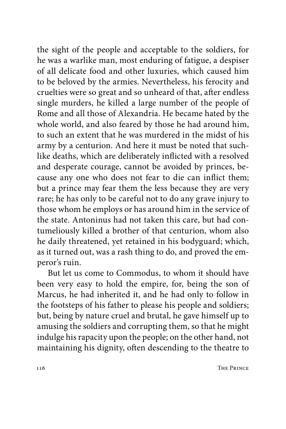the sight of the people and acceptable to the soldiers, for he was a warlike man, most enduring of fatigue, a despiser of all delicate food and other luxuries, which caused him to be beloved by the armies. Nevertheless, his ferocity and cruelties were so great and so unheard of that, after endless single murders, he killed a large number of the people of Rome and all those of Alexandria. He became hated by the whole world, and also feared by those he had around him, to such an extent that he was murdered in the midst of his army by a centurion. And here it must be noted that suchlike deaths, which are deliberately inflicted with a resolved and desperate courage, cannot be avoided by princes, because any one who does not fear to die can inflict them; but a prince may fear them the less because they are very rare; he has only to be careful not to do any grave injury to those whom he employs or has around him in the service of the state. Antoninus had not taken this care, but had contumeliously killed a brother of that centurion, whom also he daily threatened, yet retained in his bodyguard; which, as it turned out, was a rash thing to do, and proved the emperor's ruin.

But let us come to Commodus, to whom it should have been very easy to hold the empire, for, being the son of Marcus, he had inherited it, and he had only to follow in the footsteps of his father to please his people and soldiers; but, being by nature cruel and brutal, he gave himself up to amusing the soldiers and corrupting them, so that he might indulge his rapacity upon the people; on the other hand, not maintaining his dignity, often descending to the theatre to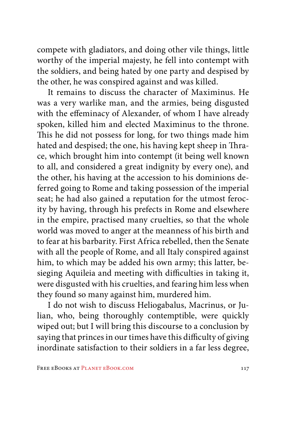compete with gladiators, and doing other vile things, little worthy of the imperial majesty, he fell into contempt with the soldiers, and being hated by one party and despised by the other, he was conspired against and was killed.

It remains to discuss the character of Maximinus. He was a very warlike man, and the armies, being disgusted with the effeminacy of Alexander, of whom I have already spoken, killed him and elected Maximinus to the throne. This he did not possess for long, for two things made him hated and despised; the one, his having kept sheep in Thrace, which brought him into contempt (it being well known to all, and considered a great indignity by every one), and the other, his having at the accession to his dominions deferred going to Rome and taking possession of the imperial seat; he had also gained a reputation for the utmost ferocity by having, through his prefects in Rome and elsewhere in the empire, practised many cruelties, so that the whole world was moved to anger at the meanness of his birth and to fear at his barbarity. First Africa rebelled, then the Senate with all the people of Rome, and all Italy conspired against him, to which may be added his own army; this latter, besieging Aquileia and meeting with difficulties in taking it, were disgusted with his cruelties, and fearing him less when they found so many against him, murdered him.

I do not wish to discuss Heliogabalus, Macrinus, or Julian, who, being thoroughly contemptible, were quickly wiped out; but I will bring this discourse to a conclusion by saying that princes in our times have this difficulty of giving inordinate satisfaction to their soldiers in a far less degree,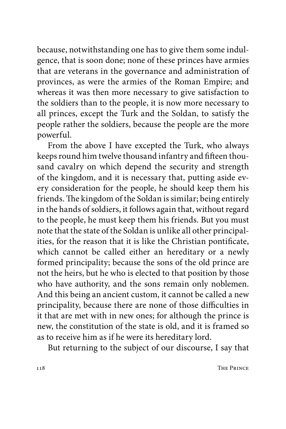because, notwithstanding one has to give them some indulgence, that is soon done; none of these princes have armies that are veterans in the governance and administration of provinces, as were the armies of the Roman Empire; and whereas it was then more necessary to give satisfaction to the soldiers than to the people, it is now more necessary to all princes, except the Turk and the Soldan, to satisfy the people rather the soldiers, because the people are the more powerful.

From the above I have excepted the Turk, who always keeps round him twelve thousand infantry and fifteen thousand cavalry on which depend the security and strength of the kingdom, and it is necessary that, putting aside every consideration for the people, he should keep them his friends. The kingdom of the Soldan is similar; being entirely in the hands of soldiers, it follows again that, without regard to the people, he must keep them his friends. But you must note that the state of the Soldan is unlike all other principalities, for the reason that it is like the Christian pontificate, which cannot be called either an hereditary or a newly formed principality; because the sons of the old prince are not the heirs, but he who is elected to that position by those who have authority, and the sons remain only noblemen. And this being an ancient custom, it cannot be called a new principality, because there are none of those difficulties in it that are met with in new ones; for although the prince is new, the constitution of the state is old, and it is framed so as to receive him as if he were its hereditary lord.

But returning to the subject of our discourse, I say that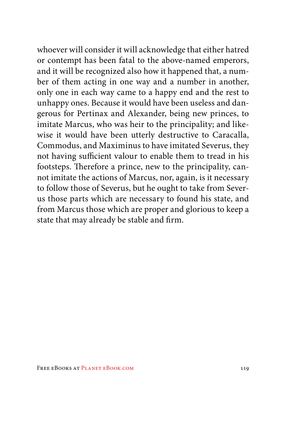whoever will consider it will acknowledge that either hatred or contempt has been fatal to the above-named emperors, and it will be recognized also how it happened that, a number of them acting in one way and a number in another, only one in each way came to a happy end and the rest to unhappy ones. Because it would have been useless and dangerous for Pertinax and Alexander, being new princes, to imitate Marcus, who was heir to the principality; and likewise it would have been utterly destructive to Caracalla, Commodus, and Maximinus to have imitated Severus, they not having sufficient valour to enable them to tread in his footsteps. Therefore a prince, new to the principality, cannot imitate the actions of Marcus, nor, again, is it necessary to follow those of Severus, but he ought to take from Severus those parts which are necessary to found his state, and from Marcus those which are proper and glorious to keep a state that may already be stable and firm.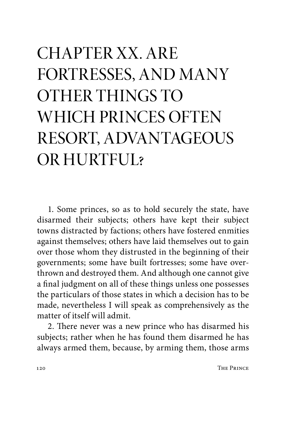# CHAPTER XX. ARE FORTRESSES, AND MANY OTHER THINGS TO WHICH PRINCES OFTEN RESORT, ADVANTAGEOUS OR HURTFUL?

1. Some princes, so as to hold securely the state, have disarmed their subjects; others have kept their subject towns distracted by factions; others have fostered enmities against themselves; others have laid themselves out to gain over those whom they distrusted in the beginning of their governments; some have built fortresses; some have overthrown and destroyed them. And although one cannot give a final judgment on all of these things unless one possesses the particulars of those states in which a decision has to be made, nevertheless I will speak as comprehensively as the matter of itself will admit.

2. There never was a new prince who has disarmed his subjects; rather when he has found them disarmed he has always armed them, because, by arming them, those arms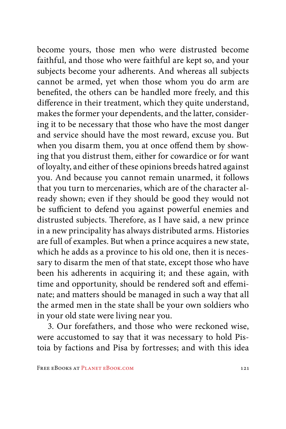become yours, those men who were distrusted become faithful, and those who were faithful are kept so, and your subjects become your adherents. And whereas all subjects cannot be armed, yet when those whom you do arm are benefited, the others can be handled more freely, and this difference in their treatment, which they quite understand, makes the former your dependents, and the latter, considering it to be necessary that those who have the most danger and service should have the most reward, excuse you. But when you disarm them, you at once offend them by showing that you distrust them, either for cowardice or for want of loyalty, and either of these opinions breeds hatred against you. And because you cannot remain unarmed, it follows that you turn to mercenaries, which are of the character already shown; even if they should be good they would not be sufficient to defend you against powerful enemies and distrusted subjects. Therefore, as I have said, a new prince in a new principality has always distributed arms. Histories are full of examples. But when a prince acquires a new state, which he adds as a province to his old one, then it is necessary to disarm the men of that state, except those who have been his adherents in acquiring it; and these again, with time and opportunity, should be rendered soft and effeminate; and matters should be managed in such a way that all the armed men in the state shall be your own soldiers who in your old state were living near you.

3. Our forefathers, and those who were reckoned wise, were accustomed to say that it was necessary to hold Pistoia by factions and Pisa by fortresses; and with this idea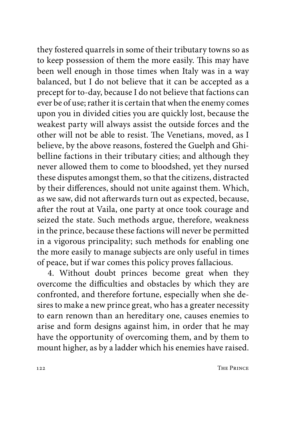they fostered quarrels in some of their tributary towns so as to keep possession of them the more easily. This may have been well enough in those times when Italy was in a way balanced, but I do not believe that it can be accepted as a precept for to-day, because I do not believe that factions can ever be of use; rather it is certain that when the enemy comes upon you in divided cities you are quickly lost, because the weakest party will always assist the outside forces and the other will not be able to resist. The Venetians, moved, as I believe, by the above reasons, fostered the Guelph and Ghibelline factions in their tributary cities; and although they never allowed them to come to bloodshed, yet they nursed these disputes amongst them, so that the citizens, distracted by their differences, should not unite against them. Which, as we saw, did not afterwards turn out as expected, because, after the rout at Vaila, one party at once took courage and seized the state. Such methods argue, therefore, weakness in the prince, because these factions will never be permitted in a vigorous principality; such methods for enabling one the more easily to manage subjects are only useful in times of peace, but if war comes this policy proves fallacious.

4. Without doubt princes become great when they overcome the difficulties and obstacles by which they are confronted, and therefore fortune, especially when she desires to make a new prince great, who has a greater necessity to earn renown than an hereditary one, causes enemies to arise and form designs against him, in order that he may have the opportunity of overcoming them, and by them to mount higher, as by a ladder which his enemies have raised.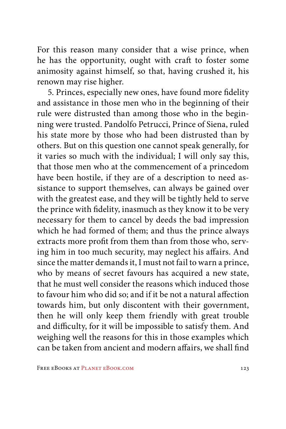For this reason many consider that a wise prince, when he has the opportunity, ought with craft to foster some animosity against himself, so that, having crushed it, his renown may rise higher.

5. Princes, especially new ones, have found more fidelity and assistance in those men who in the beginning of their rule were distrusted than among those who in the beginning were trusted. Pandolfo Petrucci, Prince of Siena, ruled his state more by those who had been distrusted than by others. But on this question one cannot speak generally, for it varies so much with the individual; I will only say this, that those men who at the commencement of a princedom have been hostile, if they are of a description to need assistance to support themselves, can always be gained over with the greatest ease, and they will be tightly held to serve the prince with fidelity, inasmuch as they know it to be very necessary for them to cancel by deeds the bad impression which he had formed of them; and thus the prince always extracts more profit from them than from those who, serving him in too much security, may neglect his affairs. And since the matter demands it, I must not fail to warn a prince, who by means of secret favours has acquired a new state, that he must well consider the reasons which induced those to favour him who did so; and if it be not a natural affection towards him, but only discontent with their government, then he will only keep them friendly with great trouble and difficulty, for it will be impossible to satisfy them. And weighing well the reasons for this in those examples which can be taken from ancient and modern affairs, we shall find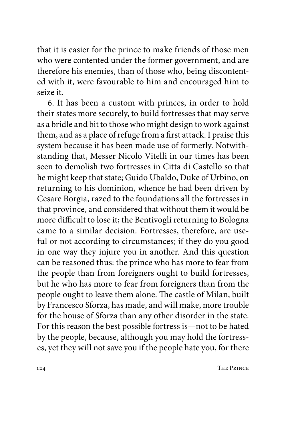that it is easier for the prince to make friends of those men who were contented under the former government, and are therefore his enemies, than of those who, being discontented with it, were favourable to him and encouraged him to seize it.

6. It has been a custom with princes, in order to hold their states more securely, to build fortresses that may serve as a bridle and bit to those who might design to work against them, and as a place of refuge from a first attack. I praise this system because it has been made use of formerly. Notwithstanding that, Messer Nicolo Vitelli in our times has been seen to demolish two fortresses in Citta di Castello so that he might keep that state; Guido Ubaldo, Duke of Urbino, on returning to his dominion, whence he had been driven by Cesare Borgia, razed to the foundations all the fortresses in that province, and considered that without them it would be more difficult to lose it; the Bentivogli returning to Bologna came to a similar decision. Fortresses, therefore, are useful or not according to circumstances; if they do you good in one way they injure you in another. And this question can be reasoned thus: the prince who has more to fear from the people than from foreigners ought to build fortresses, but he who has more to fear from foreigners than from the people ought to leave them alone. The castle of Milan, built by Francesco Sforza, has made, and will make, more trouble for the house of Sforza than any other disorder in the state. For this reason the best possible fortress is—not to be hated by the people, because, although you may hold the fortresses, yet they will not save you if the people hate you, for there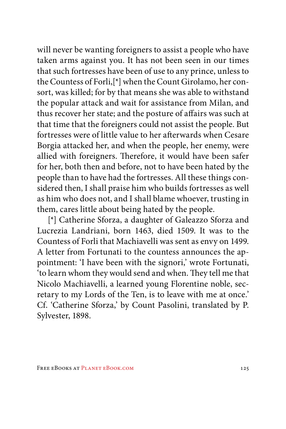will never be wanting foreigners to assist a people who have taken arms against you. It has not been seen in our times that such fortresses have been of use to any prince, unless to the Countess of Forli,[\*] when the Count Girolamo, her consort, was killed; for by that means she was able to withstand the popular attack and wait for assistance from Milan, and thus recover her state; and the posture of affairs was such at that time that the foreigners could not assist the people. But fortresses were of little value to her afterwards when Cesare Borgia attacked her, and when the people, her enemy, were allied with foreigners. Therefore, it would have been safer for her, both then and before, not to have been hated by the people than to have had the fortresses. All these things considered then, I shall praise him who builds fortresses as well as him who does not, and I shall blame whoever, trusting in them, cares little about being hated by the people.

[\*] Catherine Sforza, a daughter of Galeazzo Sforza and Lucrezia Landriani, born 1463, died 1509. It was to the Countess of Forli that Machiavelli was sent as envy on 1499. A letter from Fortunati to the countess announces the appointment: 'I have been with the signori,' wrote Fortunati, 'to learn whom they would send and when. They tell me that Nicolo Machiavelli, a learned young Florentine noble, secretary to my Lords of the Ten, is to leave with me at once.' Cf. 'Catherine Sforza,' by Count Pasolini, translated by P. Sylvester, 1898.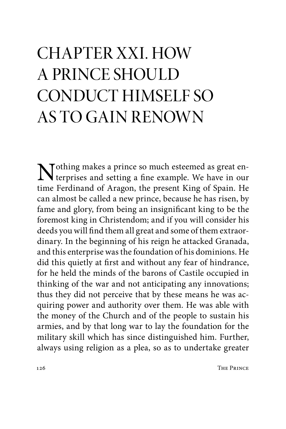# CHAPTER XXI. HOW A PRINCE SHOULD CONDUCT HIMSELF SO AS TO GAIN RENOWN

Nothing makes a prince so much esteemed as great en-<br>Nerprises and setting a fact that terprises and setting a fine example. We have in our time Ferdinand of Aragon, the present King of Spain. He can almost be called a new prince, because he has risen, by fame and glory, from being an insignificant king to be the foremost king in Christendom; and if you will consider his deeds you will find them all great and some of them extraordinary. In the beginning of his reign he attacked Granada, and this enterprise was the foundation of his dominions. He did this quietly at first and without any fear of hindrance, for he held the minds of the barons of Castile occupied in thinking of the war and not anticipating any innovations; thus they did not perceive that by these means he was acquiring power and authority over them. He was able with the money of the Church and of the people to sustain his armies, and by that long war to lay the foundation for the military skill which has since distinguished him. Further, always using religion as a plea, so as to undertake greater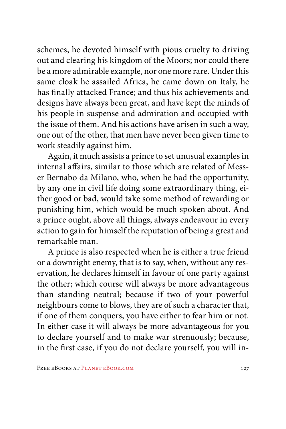schemes, he devoted himself with pious cruelty to driving out and clearing his kingdom of the Moors; nor could there be a more admirable example, nor one more rare. Under this same cloak he assailed Africa, he came down on Italy, he has finally attacked France; and thus his achievements and designs have always been great, and have kept the minds of his people in suspense and admiration and occupied with the issue of them. And his actions have arisen in such a way, one out of the other, that men have never been given time to work steadily against him.

Again, it much assists a prince to set unusual examples in internal affairs, similar to those which are related of Messer Bernabo da Milano, who, when he had the opportunity, by any one in civil life doing some extraordinary thing, either good or bad, would take some method of rewarding or punishing him, which would be much spoken about. And a prince ought, above all things, always endeavour in every action to gain for himself the reputation of being a great and remarkable man.

A prince is also respected when he is either a true friend or a downright enemy, that is to say, when, without any reservation, he declares himself in favour of one party against the other; which course will always be more advantageous than standing neutral; because if two of your powerful neighbours come to blows, they are of such a character that, if one of them conquers, you have either to fear him or not. In either case it will always be more advantageous for you to declare yourself and to make war strenuously; because, in the first case, if you do not declare yourself, you will in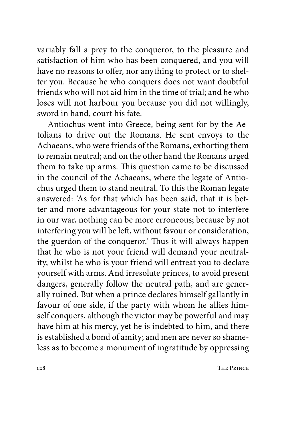variably fall a prey to the conqueror, to the pleasure and satisfaction of him who has been conquered, and you will have no reasons to offer, nor anything to protect or to shelter you. Because he who conquers does not want doubtful friends who will not aid him in the time of trial; and he who loses will not harbour you because you did not willingly, sword in hand, court his fate.

Antiochus went into Greece, being sent for by the Aetolians to drive out the Romans. He sent envoys to the Achaeans, who were friends of the Romans, exhorting them to remain neutral; and on the other hand the Romans urged them to take up arms. This question came to be discussed in the council of the Achaeans, where the legate of Antiochus urged them to stand neutral. To this the Roman legate answered: 'As for that which has been said, that it is better and more advantageous for your state not to interfere in our war, nothing can be more erroneous; because by not interfering you will be left, without favour or consideration, the guerdon of the conqueror.' Thus it will always happen that he who is not your friend will demand your neutrality, whilst he who is your friend will entreat you to declare yourself with arms. And irresolute princes, to avoid present dangers, generally follow the neutral path, and are generally ruined. But when a prince declares himself gallantly in favour of one side, if the party with whom he allies himself conquers, although the victor may be powerful and may have him at his mercy, yet he is indebted to him, and there is established a bond of amity; and men are never so shameless as to become a monument of ingratitude by oppressing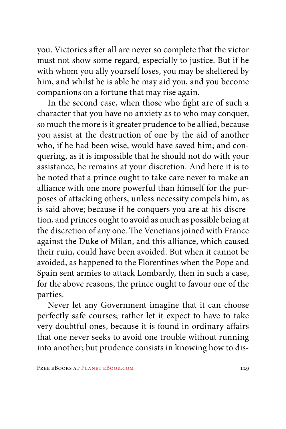you. Victories after all are never so complete that the victor must not show some regard, especially to justice. But if he with whom you ally yourself loses, you may be sheltered by him, and whilst he is able he may aid you, and you become companions on a fortune that may rise again.

In the second case, when those who fight are of such a character that you have no anxiety as to who may conquer, so much the more is it greater prudence to be allied, because you assist at the destruction of one by the aid of another who, if he had been wise, would have saved him; and conquering, as it is impossible that he should not do with your assistance, he remains at your discretion. And here it is to be noted that a prince ought to take care never to make an alliance with one more powerful than himself for the purposes of attacking others, unless necessity compels him, as is said above; because if he conquers you are at his discretion, and princes ought to avoid as much as possible being at the discretion of any one. The Venetians joined with France against the Duke of Milan, and this alliance, which caused their ruin, could have been avoided. But when it cannot be avoided, as happened to the Florentines when the Pope and Spain sent armies to attack Lombardy, then in such a case, for the above reasons, the prince ought to favour one of the parties.

Never let any Government imagine that it can choose perfectly safe courses; rather let it expect to have to take very doubtful ones, because it is found in ordinary affairs that one never seeks to avoid one trouble without running into another; but prudence consists in knowing how to dis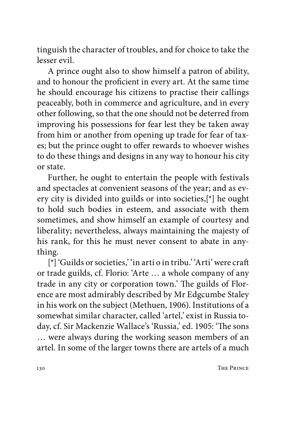tinguish the character of troubles, and for choice to take the lesser evil.

A prince ought also to show himself a patron of ability, and to honour the proficient in every art. At the same time he should encourage his citizens to practise their callings peaceably, both in commerce and agriculture, and in every other following, so that the one should not be deterred from improving his possessions for fear lest they be taken away from him or another from opening up trade for fear of taxes; but the prince ought to offer rewards to whoever wishes to do these things and designs in any way to honour his city or state.

Further, he ought to entertain the people with festivals and spectacles at convenient seasons of the year; and as every city is divided into guilds or into societies,[\*] he ought to hold such bodies in esteem, and associate with them sometimes, and show himself an example of courtesy and liberality; nevertheless, always maintaining the majesty of his rank, for this he must never consent to abate in anything.

[\*] 'Guilds or societies,' 'in arti o in tribu.' 'Arti' were craft or trade guilds, cf. Florio: 'Arte … a whole company of any trade in any city or corporation town.' The guilds of Florence are most admirably described by Mr Edgcumbe Staley in his work on the subject (Methuen, 1906). Institutions of a somewhat similar character, called 'artel,' exist in Russia today, cf. Sir Mackenzie Wallace's 'Russia,' ed. 1905: 'The sons … were always during the working season members of an artel. In some of the larger towns there are artels of a much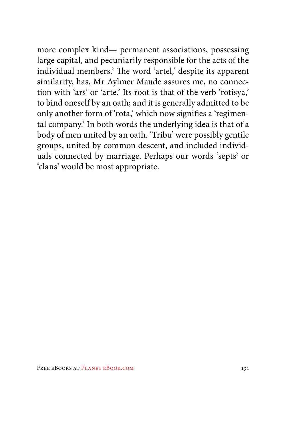more complex kind— permanent associations, possessing large capital, and pecuniarily responsible for the acts of the individual members.' The word 'artel,' despite its apparent similarity, has, Mr Aylmer Maude assures me, no connection with 'ars' or 'arte.' Its root is that of the verb 'rotisya,' to bind oneself by an oath; and it is generally admitted to be only another form of 'rota,' which now signifies a 'regimental company.' In both words the underlying idea is that of a body of men united by an oath. 'Tribu' were possibly gentile groups, united by common descent, and included individuals connected by marriage. Perhaps our words 'septs' or 'clans' would be most appropriate.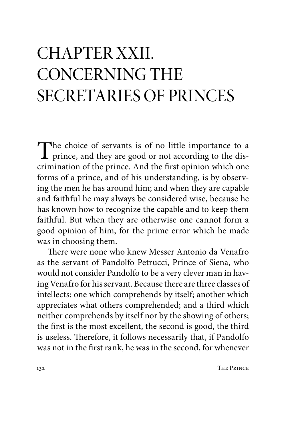### CHAPTER XXII. CONCERNING THE SECRETARIES OF PRINCES

The choice of servants is of no little importance to a prince, and they are good or not according to the dis-<br>primination of the prince. And the first principal which are crimination of the prince. And the first opinion which one forms of a prince, and of his understanding, is by observing the men he has around him; and when they are capable and faithful he may always be considered wise, because he has known how to recognize the capable and to keep them faithful. But when they are otherwise one cannot form a good opinion of him, for the prime error which he made was in choosing them.

There were none who knew Messer Antonio da Venafro as the servant of Pandolfo Petrucci, Prince of Siena, who would not consider Pandolfo to be a very clever man in having Venafro for his servant. Because there are three classes of intellects: one which comprehends by itself; another which appreciates what others comprehended; and a third which neither comprehends by itself nor by the showing of others; the first is the most excellent, the second is good, the third is useless. Therefore, it follows necessarily that, if Pandolfo was not in the first rank, he was in the second, for whenever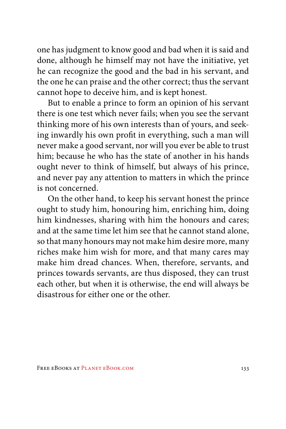one has judgment to know good and bad when it is said and done, although he himself may not have the initiative, yet he can recognize the good and the bad in his servant, and the one he can praise and the other correct; thus the servant cannot hope to deceive him, and is kept honest.

But to enable a prince to form an opinion of his servant there is one test which never fails; when you see the servant thinking more of his own interests than of yours, and seeking inwardly his own profit in everything, such a man will never make a good servant, nor will you ever be able to trust him; because he who has the state of another in his hands ought never to think of himself, but always of his prince, and never pay any attention to matters in which the prince is not concerned.

On the other hand, to keep his servant honest the prince ought to study him, honouring him, enriching him, doing him kindnesses, sharing with him the honours and cares; and at the same time let him see that he cannot stand alone, so that many honours may not make him desire more, many riches make him wish for more, and that many cares may make him dread chances. When, therefore, servants, and princes towards servants, are thus disposed, they can trust each other, but when it is otherwise, the end will always be disastrous for either one or the other.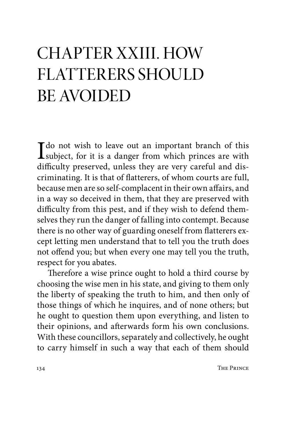#### CHAPTER XXIII. HOW FLATTERERS SHOULD BE AVOIDED

 $\prod$  do not wish to leave out an important branch of this subject, for it is a danger from which princes are with  $\lim_{n \to \infty}$  if  $\lim_{n \to \infty}$  and  $\lim_{n \to \infty}$ difficulty preserved, unless they are very careful and discriminating. It is that of flatterers, of whom courts are full, because men are so self-complacent in their own affairs, and in a way so deceived in them, that they are preserved with difficulty from this pest, and if they wish to defend themselves they run the danger of falling into contempt. Because there is no other way of guarding oneself from flatterers except letting men understand that to tell you the truth does not offend you; but when every one may tell you the truth, respect for you abates.

Therefore a wise prince ought to hold a third course by choosing the wise men in his state, and giving to them only the liberty of speaking the truth to him, and then only of those things of which he inquires, and of none others; but he ought to question them upon everything, and listen to their opinions, and afterwards form his own conclusions. With these councillors, separately and collectively, he ought to carry himself in such a way that each of them should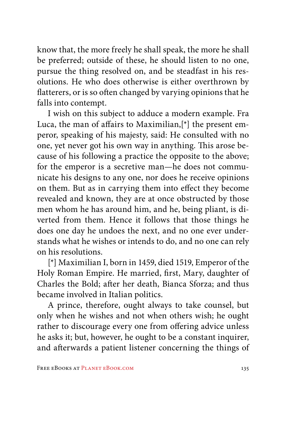know that, the more freely he shall speak, the more he shall be preferred; outside of these, he should listen to no one, pursue the thing resolved on, and be steadfast in his resolutions. He who does otherwise is either overthrown by flatterers, or is so often changed by varying opinions that he falls into contempt.

I wish on this subject to adduce a modern example. Fra Luca, the man of affairs to Maximilian,[\*] the present emperor, speaking of his majesty, said: He consulted with no one, yet never got his own way in anything. This arose because of his following a practice the opposite to the above; for the emperor is a secretive man—he does not communicate his designs to any one, nor does he receive opinions on them. But as in carrying them into effect they become revealed and known, they are at once obstructed by those men whom he has around him, and he, being pliant, is diverted from them. Hence it follows that those things he does one day he undoes the next, and no one ever understands what he wishes or intends to do, and no one can rely on his resolutions.

[\*] Maximilian I, born in 1459, died 1519, Emperor of the Holy Roman Empire. He married, first, Mary, daughter of Charles the Bold; after her death, Bianca Sforza; and thus became involved in Italian politics.

A prince, therefore, ought always to take counsel, but only when he wishes and not when others wish; he ought rather to discourage every one from offering advice unless he asks it; but, however, he ought to be a constant inquirer, and afterwards a patient listener concerning the things of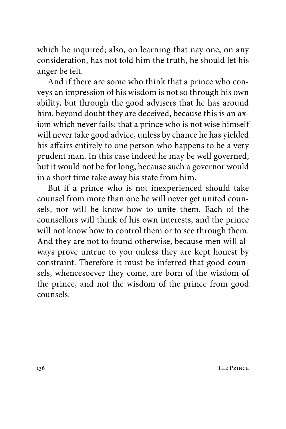which he inquired; also, on learning that nay one, on any consideration, has not told him the truth, he should let his anger be felt.

And if there are some who think that a prince who conveys an impression of his wisdom is not so through his own ability, but through the good advisers that he has around him, beyond doubt they are deceived, because this is an axiom which never fails: that a prince who is not wise himself will never take good advice, unless by chance he has yielded his affairs entirely to one person who happens to be a very prudent man. In this case indeed he may be well governed, but it would not be for long, because such a governor would in a short time take away his state from him.

But if a prince who is not inexperienced should take counsel from more than one he will never get united counsels, nor will he know how to unite them. Each of the counsellors will think of his own interests, and the prince will not know how to control them or to see through them. And they are not to found otherwise, because men will always prove untrue to you unless they are kept honest by constraint. Therefore it must be inferred that good counsels, whencesoever they come, are born of the wisdom of the prince, and not the wisdom of the prince from good counsels.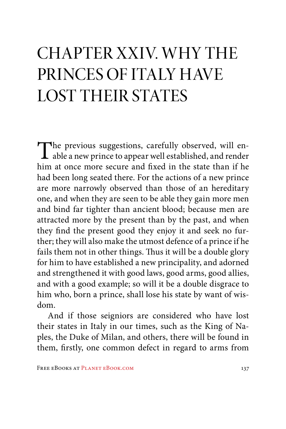### CHAPTER XXIV. WHY THE PRINCES OF ITALY HAVE LOST THEIR STATES

The previous suggestions, carefully observed, will en-<br>able a new prince to appear well established, and render<br>him at once more source and fixed in the state than if he him at once more secure and fixed in the state than if he had been long seated there. For the actions of a new prince are more narrowly observed than those of an hereditary one, and when they are seen to be able they gain more men and bind far tighter than ancient blood; because men are attracted more by the present than by the past, and when they find the present good they enjoy it and seek no further; they will also make the utmost defence of a prince if he fails them not in other things. Thus it will be a double glory for him to have established a new principality, and adorned and strengthened it with good laws, good arms, good allies, and with a good example; so will it be a double disgrace to him who, born a prince, shall lose his state by want of wisdom.

And if those seigniors are considered who have lost their states in Italy in our times, such as the King of Naples, the Duke of Milan, and others, there will be found in them, firstly, one common defect in regard to arms from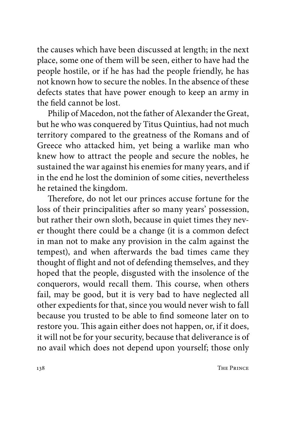the causes which have been discussed at length; in the next place, some one of them will be seen, either to have had the people hostile, or if he has had the people friendly, he has not known how to secure the nobles. In the absence of these defects states that have power enough to keep an army in the field cannot be lost.

Philip of Macedon, not the father of Alexander the Great, but he who was conquered by Titus Quintius, had not much territory compared to the greatness of the Romans and of Greece who attacked him, yet being a warlike man who knew how to attract the people and secure the nobles, he sustained the war against his enemies for many years, and if in the end he lost the dominion of some cities, nevertheless he retained the kingdom.

Therefore, do not let our princes accuse fortune for the loss of their principalities after so many years' possession, but rather their own sloth, because in quiet times they never thought there could be a change (it is a common defect in man not to make any provision in the calm against the tempest), and when afterwards the bad times came they thought of flight and not of defending themselves, and they hoped that the people, disgusted with the insolence of the conquerors, would recall them. This course, when others fail, may be good, but it is very bad to have neglected all other expedients for that, since you would never wish to fall because you trusted to be able to find someone later on to restore you. This again either does not happen, or, if it does, it will not be for your security, because that deliverance is of no avail which does not depend upon yourself; those only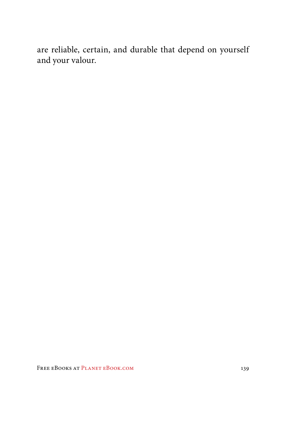are reliable, certain, and durable that depend on yourself and your valour.

FREE EBOOKS AT PLANET EBOOK.COM 139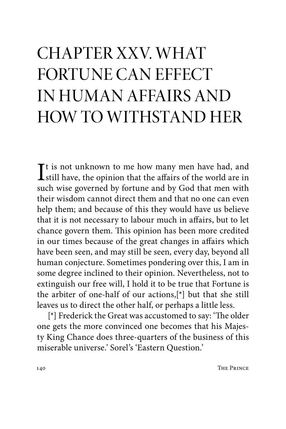## CHAPTER XXV. WHAT FORTUNE CAN EFFECT IN HUMAN AFFAIRS AND HOW TO WITHSTAND HER

 $\bf{I}$ t is not unknown to me how many men have had, and still have, the opinion that the affairs of the world are in still have, the opinion that the affairs of the world are in such wise governed by fortune and by God that men with their wisdom cannot direct them and that no one can even help them; and because of this they would have us believe that it is not necessary to labour much in affairs, but to let chance govern them. This opinion has been more credited in our times because of the great changes in affairs which have been seen, and may still be seen, every day, beyond all human conjecture. Sometimes pondering over this, I am in some degree inclined to their opinion. Nevertheless, not to extinguish our free will, I hold it to be true that Fortune is the arbiter of one-half of our actions,[\*] but that she still leaves us to direct the other half, or perhaps a little less.

[\*] Frederick the Great was accustomed to say: 'The older one gets the more convinced one becomes that his Majesty King Chance does three-quarters of the business of this miserable universe.' Sorel's 'Eastern Question.'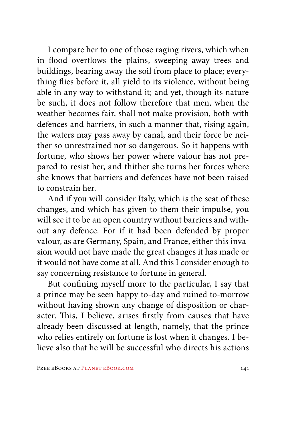I compare her to one of those raging rivers, which when in flood overflows the plains, sweeping away trees and buildings, bearing away the soil from place to place; everything flies before it, all yield to its violence, without being able in any way to withstand it; and yet, though its nature be such, it does not follow therefore that men, when the weather becomes fair, shall not make provision, both with defences and barriers, in such a manner that, rising again, the waters may pass away by canal, and their force be neither so unrestrained nor so dangerous. So it happens with fortune, who shows her power where valour has not prepared to resist her, and thither she turns her forces where she knows that barriers and defences have not been raised to constrain her.

And if you will consider Italy, which is the seat of these changes, and which has given to them their impulse, you will see it to be an open country without barriers and without any defence. For if it had been defended by proper valour, as are Germany, Spain, and France, either this invasion would not have made the great changes it has made or it would not have come at all. And this I consider enough to say concerning resistance to fortune in general.

But confining myself more to the particular, I say that a prince may be seen happy to-day and ruined to-morrow without having shown any change of disposition or character. This, I believe, arises firstly from causes that have already been discussed at length, namely, that the prince who relies entirely on fortune is lost when it changes. I believe also that he will be successful who directs his actions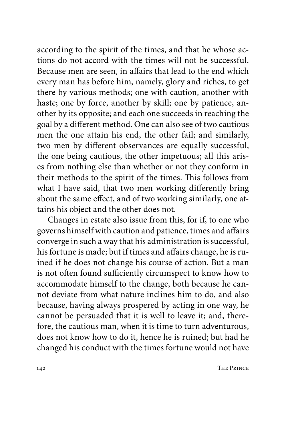according to the spirit of the times, and that he whose actions do not accord with the times will not be successful. Because men are seen, in affairs that lead to the end which every man has before him, namely, glory and riches, to get there by various methods; one with caution, another with haste; one by force, another by skill; one by patience, another by its opposite; and each one succeeds in reaching the goal by a different method. One can also see of two cautious men the one attain his end, the other fail; and similarly, two men by different observances are equally successful, the one being cautious, the other impetuous; all this arises from nothing else than whether or not they conform in their methods to the spirit of the times. This follows from what I have said, that two men working differently bring about the same effect, and of two working similarly, one attains his object and the other does not.

Changes in estate also issue from this, for if, to one who governs himself with caution and patience, times and affairs converge in such a way that his administration is successful, his fortune is made; but if times and affairs change, he is ruined if he does not change his course of action. But a man is not often found sufficiently circumspect to know how to accommodate himself to the change, both because he cannot deviate from what nature inclines him to do, and also because, having always prospered by acting in one way, he cannot be persuaded that it is well to leave it; and, therefore, the cautious man, when it is time to turn adventurous, does not know how to do it, hence he is ruined; but had he changed his conduct with the times fortune would not have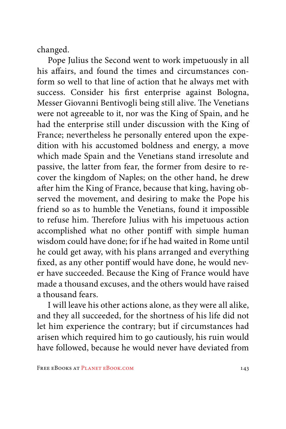changed.

Pope Julius the Second went to work impetuously in all his affairs, and found the times and circumstances conform so well to that line of action that he always met with success. Consider his first enterprise against Bologna, Messer Giovanni Bentivogli being still alive. The Venetians were not agreeable to it, nor was the King of Spain, and he had the enterprise still under discussion with the King of France; nevertheless he personally entered upon the expedition with his accustomed boldness and energy, a move which made Spain and the Venetians stand irresolute and passive, the latter from fear, the former from desire to recover the kingdom of Naples; on the other hand, he drew after him the King of France, because that king, having observed the movement, and desiring to make the Pope his friend so as to humble the Venetians, found it impossible to refuse him. Therefore Julius with his impetuous action accomplished what no other pontiff with simple human wisdom could have done; for if he had waited in Rome until he could get away, with his plans arranged and everything fixed, as any other pontiff would have done, he would never have succeeded. Because the King of France would have made a thousand excuses, and the others would have raised a thousand fears.

I will leave his other actions alone, as they were all alike, and they all succeeded, for the shortness of his life did not let him experience the contrary; but if circumstances had arisen which required him to go cautiously, his ruin would have followed, because he would never have deviated from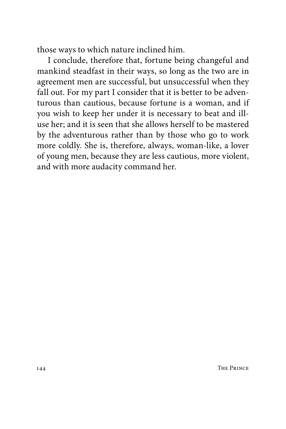those ways to which nature inclined him.

I conclude, therefore that, fortune being changeful and mankind steadfast in their ways, so long as the two are in agreement men are successful, but unsuccessful when they fall out. For my part I consider that it is better to be adventurous than cautious, because fortune is a woman, and if you wish to keep her under it is necessary to beat and illuse her; and it is seen that she allows herself to be mastered by the adventurous rather than by those who go to work more coldly. She is, therefore, always, woman-like, a lover of young men, because they are less cautious, more violent, and with more audacity command her.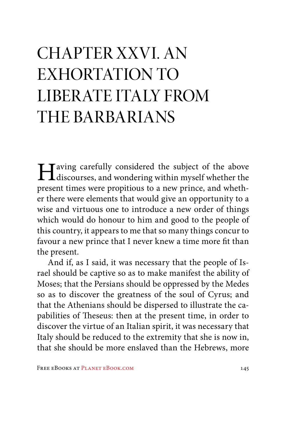## CHAPTER XXVI. AN EXHORTATION TO LIBERATE ITALY FROM THE BARBARIANS

Having carefully considered the subject of the above discourses, and wondering within myself whether the present times were propitious to a new prince, and whether there were elements that would give an opportunity to a wise and virtuous one to introduce a new order of things which would do honour to him and good to the people of this country, it appears to me that so many things concur to favour a new prince that I never knew a time more fit than the present.

And if, as I said, it was necessary that the people of Israel should be captive so as to make manifest the ability of Moses; that the Persians should be oppressed by the Medes so as to discover the greatness of the soul of Cyrus; and that the Athenians should be dispersed to illustrate the capabilities of Theseus: then at the present time, in order to discover the virtue of an Italian spirit, it was necessary that Italy should be reduced to the extremity that she is now in, that she should be more enslaved than the Hebrews, more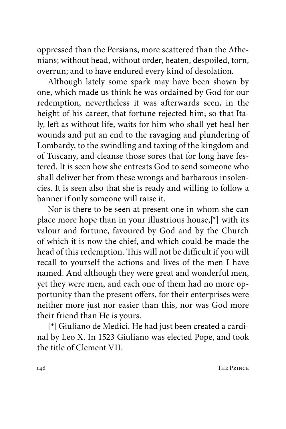oppressed than the Persians, more scattered than the Athenians; without head, without order, beaten, despoiled, torn, overrun; and to have endured every kind of desolation.

Although lately some spark may have been shown by one, which made us think he was ordained by God for our redemption, nevertheless it was afterwards seen, in the height of his career, that fortune rejected him; so that Italy, left as without life, waits for him who shall yet heal her wounds and put an end to the ravaging and plundering of Lombardy, to the swindling and taxing of the kingdom and of Tuscany, and cleanse those sores that for long have festered. It is seen how she entreats God to send someone who shall deliver her from these wrongs and barbarous insolencies. It is seen also that she is ready and willing to follow a banner if only someone will raise it.

Nor is there to be seen at present one in whom she can place more hope than in your illustrious house,[\*] with its valour and fortune, favoured by God and by the Church of which it is now the chief, and which could be made the head of this redemption. This will not be difficult if you will recall to yourself the actions and lives of the men I have named. And although they were great and wonderful men, yet they were men, and each one of them had no more opportunity than the present offers, for their enterprises were neither more just nor easier than this, nor was God more their friend than He is yours.

[\*] Giuliano de Medici. He had just been created a cardinal by Leo X. In 1523 Giuliano was elected Pope, and took the title of Clement VII.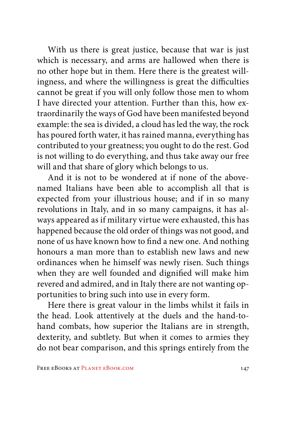With us there is great justice, because that war is just which is necessary, and arms are hallowed when there is no other hope but in them. Here there is the greatest willingness, and where the willingness is great the difficulties cannot be great if you will only follow those men to whom I have directed your attention. Further than this, how extraordinarily the ways of God have been manifested beyond example: the sea is divided, a cloud has led the way, the rock has poured forth water, it has rained manna, everything has contributed to your greatness; you ought to do the rest. God is not willing to do everything, and thus take away our free will and that share of glory which belongs to us.

And it is not to be wondered at if none of the abovenamed Italians have been able to accomplish all that is expected from your illustrious house; and if in so many revolutions in Italy, and in so many campaigns, it has always appeared as if military virtue were exhausted, this has happened because the old order of things was not good, and none of us have known how to find a new one. And nothing honours a man more than to establish new laws and new ordinances when he himself was newly risen. Such things when they are well founded and dignified will make him revered and admired, and in Italy there are not wanting opportunities to bring such into use in every form.

Here there is great valour in the limbs whilst it fails in the head. Look attentively at the duels and the hand-tohand combats, how superior the Italians are in strength, dexterity, and subtlety. But when it comes to armies they do not bear comparison, and this springs entirely from the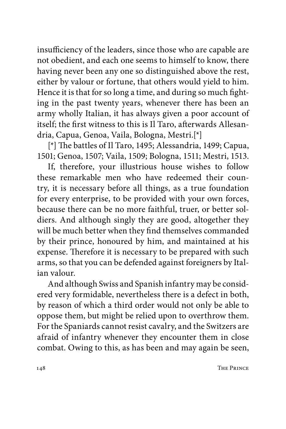insufficiency of the leaders, since those who are capable are not obedient, and each one seems to himself to know, there having never been any one so distinguished above the rest, either by valour or fortune, that others would yield to him. Hence it is that for so long a time, and during so much fighting in the past twenty years, whenever there has been an army wholly Italian, it has always given a poor account of itself; the first witness to this is Il Taro, afterwards Allesandria, Capua, Genoa, Vaila, Bologna, Mestri.[\*]

[\*] The battles of Il Taro, 1495; Alessandria, 1499; Capua, 1501; Genoa, 1507; Vaila, 1509; Bologna, 1511; Mestri, 1513.

If, therefore, your illustrious house wishes to follow these remarkable men who have redeemed their country, it is necessary before all things, as a true foundation for every enterprise, to be provided with your own forces, because there can be no more faithful, truer, or better soldiers. And although singly they are good, altogether they will be much better when they find themselves commanded by their prince, honoured by him, and maintained at his expense. Therefore it is necessary to be prepared with such arms, so that you can be defended against foreigners by Italian valour.

And although Swiss and Spanish infantry may be considered very formidable, nevertheless there is a defect in both, by reason of which a third order would not only be able to oppose them, but might be relied upon to overthrow them. For the Spaniards cannot resist cavalry, and the Switzers are afraid of infantry whenever they encounter them in close combat. Owing to this, as has been and may again be seen,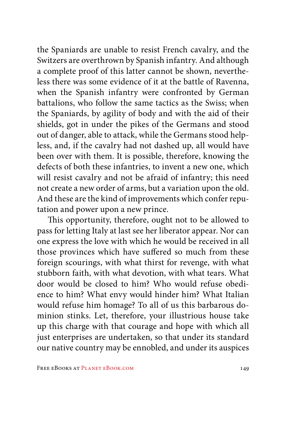the Spaniards are unable to resist French cavalry, and the Switzers are overthrown by Spanish infantry. And although a complete proof of this latter cannot be shown, nevertheless there was some evidence of it at the battle of Ravenna, when the Spanish infantry were confronted by German battalions, who follow the same tactics as the Swiss; when the Spaniards, by agility of body and with the aid of their shields, got in under the pikes of the Germans and stood out of danger, able to attack, while the Germans stood helpless, and, if the cavalry had not dashed up, all would have been over with them. It is possible, therefore, knowing the defects of both these infantries, to invent a new one, which will resist cavalry and not be afraid of infantry; this need not create a new order of arms, but a variation upon the old. And these are the kind of improvements which confer reputation and power upon a new prince.

This opportunity, therefore, ought not to be allowed to pass for letting Italy at last see her liberator appear. Nor can one express the love with which he would be received in all those provinces which have suffered so much from these foreign scourings, with what thirst for revenge, with what stubborn faith, with what devotion, with what tears. What door would be closed to him? Who would refuse obedience to him? What envy would hinder him? What Italian would refuse him homage? To all of us this barbarous dominion stinks. Let, therefore, your illustrious house take up this charge with that courage and hope with which all just enterprises are undertaken, so that under its standard our native country may be ennobled, and under its auspices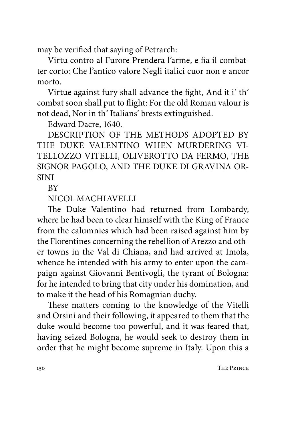may be verified that saying of Petrarch:

Virtu contro al Furore Prendera l'arme, e fia il combatter corto: Che l'antico valore Negli italici cuor non e ancor morto.

Virtue against fury shall advance the fight, And it i' th' combat soon shall put to flight: For the old Roman valour is not dead, Nor in th' Italians' brests extinguished.

Edward Dacre, 1640.

DESCRIPTION OF THE METHODS ADOPTED BY THE DUKE VALENTINO WHEN MURDERING VI-TELLOZZO VITELLI, OLIVEROTTO DA FERMO, THE SIGNOR PAGOLO, AND THE DUKE DI GRAVINA OR-SINI

**RV** 

NICOL MACHIAVELLI

The Duke Valentino had returned from Lombardy, where he had been to clear himself with the King of France from the calumnies which had been raised against him by the Florentines concerning the rebellion of Arezzo and other towns in the Val di Chiana, and had arrived at Imola, whence he intended with his army to enter upon the campaign against Giovanni Bentivogli, the tyrant of Bologna: for he intended to bring that city under his domination, and to make it the head of his Romagnian duchy.

These matters coming to the knowledge of the Vitelli and Orsini and their following, it appeared to them that the duke would become too powerful, and it was feared that, having seized Bologna, he would seek to destroy them in order that he might become supreme in Italy. Upon this a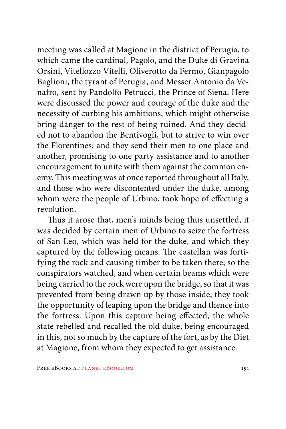meeting was called at Magione in the district of Perugia, to which came the cardinal, Pagolo, and the Duke di Gravina Orsini, Vitellozzo Vitelli, Oliverotto da Fermo, Gianpagolo Baglioni, the tyrant of Perugia, and Messer Antonio da Venafro, sent by Pandolfo Petrucci, the Prince of Siena. Here were discussed the power and courage of the duke and the necessity of curbing his ambitions, which might otherwise bring danger to the rest of being ruined. And they decided not to abandon the Bentivogli, but to strive to win over the Florentines; and they send their men to one place and another, promising to one party assistance and to another encouragement to unite with them against the common enemy. This meeting was at once reported throughout all Italy, and those who were discontented under the duke, among whom were the people of Urbino, took hope of effecting a revolution.

Thus it arose that, men's minds being thus unsettled, it was decided by certain men of Urbino to seize the fortress of San Leo, which was held for the duke, and which they captured by the following means. The castellan was fortifying the rock and causing timber to be taken there; so the conspirators watched, and when certain beams which were being carried to the rock were upon the bridge, so that it was prevented from being drawn up by those inside, they took the opportunity of leaping upon the bridge and thence into the fortress. Upon this capture being effected, the whole state rebelled and recalled the old duke, being encouraged in this, not so much by the capture of the fort, as by the Diet at Magione, from whom they expected to get assistance.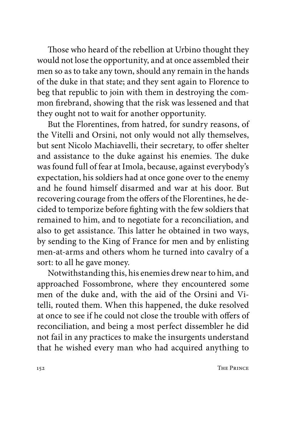Those who heard of the rebellion at Urbino thought they would not lose the opportunity, and at once assembled their men so as to take any town, should any remain in the hands of the duke in that state; and they sent again to Florence to beg that republic to join with them in destroying the common firebrand, showing that the risk was lessened and that they ought not to wait for another opportunity.

But the Florentines, from hatred, for sundry reasons, of the Vitelli and Orsini, not only would not ally themselves, but sent Nicolo Machiavelli, their secretary, to offer shelter and assistance to the duke against his enemies. The duke was found full of fear at Imola, because, against everybody's expectation, his soldiers had at once gone over to the enemy and he found himself disarmed and war at his door. But recovering courage from the offers of the Florentines, he decided to temporize before fighting with the few soldiers that remained to him, and to negotiate for a reconciliation, and also to get assistance. This latter he obtained in two ways, by sending to the King of France for men and by enlisting men-at-arms and others whom he turned into cavalry of a sort: to all he gave money.

Notwithstanding this, his enemies drew near to him, and approached Fossombrone, where they encountered some men of the duke and, with the aid of the Orsini and Vitelli, routed them. When this happened, the duke resolved at once to see if he could not close the trouble with offers of reconciliation, and being a most perfect dissembler he did not fail in any practices to make the insurgents understand that he wished every man who had acquired anything to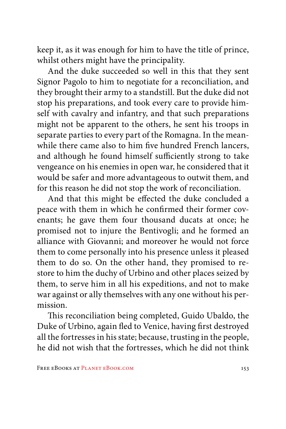keep it, as it was enough for him to have the title of prince, whilst others might have the principality.

And the duke succeeded so well in this that they sent Signor Pagolo to him to negotiate for a reconciliation, and they brought their army to a standstill. But the duke did not stop his preparations, and took every care to provide himself with cavalry and infantry, and that such preparations might not be apparent to the others, he sent his troops in separate parties to every part of the Romagna. In the meanwhile there came also to him five hundred French lancers, and although he found himself sufficiently strong to take vengeance on his enemies in open war, he considered that it would be safer and more advantageous to outwit them, and for this reason he did not stop the work of reconciliation.

And that this might be effected the duke concluded a peace with them in which he confirmed their former covenants; he gave them four thousand ducats at once; he promised not to injure the Bentivogli; and he formed an alliance with Giovanni; and moreover he would not force them to come personally into his presence unless it pleased them to do so. On the other hand, they promised to restore to him the duchy of Urbino and other places seized by them, to serve him in all his expeditions, and not to make war against or ally themselves with any one without his permission.

This reconciliation being completed, Guido Ubaldo, the Duke of Urbino, again fled to Venice, having first destroyed all the fortresses in his state; because, trusting in the people, he did not wish that the fortresses, which he did not think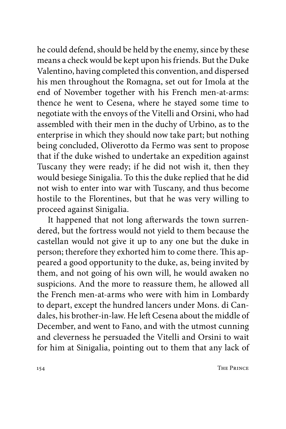he could defend, should be held by the enemy, since by these means a check would be kept upon his friends. But the Duke Valentino, having completed this convention, and dispersed his men throughout the Romagna, set out for Imola at the end of November together with his French men-at-arms: thence he went to Cesena, where he stayed some time to negotiate with the envoys of the Vitelli and Orsini, who had assembled with their men in the duchy of Urbino, as to the enterprise in which they should now take part; but nothing being concluded, Oliverotto da Fermo was sent to propose that if the duke wished to undertake an expedition against Tuscany they were ready; if he did not wish it, then they would besiege Sinigalia. To this the duke replied that he did not wish to enter into war with Tuscany, and thus become hostile to the Florentines, but that he was very willing to proceed against Sinigalia.

It happened that not long afterwards the town surrendered, but the fortress would not yield to them because the castellan would not give it up to any one but the duke in person; therefore they exhorted him to come there. This appeared a good opportunity to the duke, as, being invited by them, and not going of his own will, he would awaken no suspicions. And the more to reassure them, he allowed all the French men-at-arms who were with him in Lombardy to depart, except the hundred lancers under Mons. di Candales, his brother-in-law. He left Cesena about the middle of December, and went to Fano, and with the utmost cunning and cleverness he persuaded the Vitelli and Orsini to wait for him at Sinigalia, pointing out to them that any lack of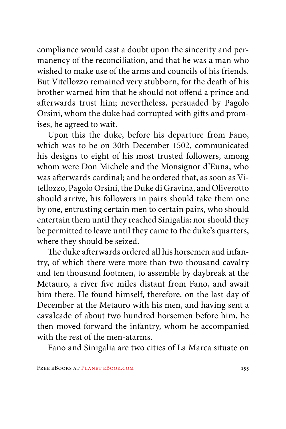compliance would cast a doubt upon the sincerity and permanency of the reconciliation, and that he was a man who wished to make use of the arms and councils of his friends. But Vitellozzo remained very stubborn, for the death of his brother warned him that he should not offend a prince and afterwards trust him; nevertheless, persuaded by Pagolo Orsini, whom the duke had corrupted with gifts and promises, he agreed to wait.

Upon this the duke, before his departure from Fano, which was to be on 30th December 1502, communicated his designs to eight of his most trusted followers, among whom were Don Michele and the Monsignor d'Euna, who was afterwards cardinal; and he ordered that, as soon as Vitellozzo, Pagolo Orsini, the Duke di Gravina, and Oliverotto should arrive, his followers in pairs should take them one by one, entrusting certain men to certain pairs, who should entertain them until they reached Sinigalia; nor should they be permitted to leave until they came to the duke's quarters, where they should be seized.

The duke afterwards ordered all his horsemen and infantry, of which there were more than two thousand cavalry and ten thousand footmen, to assemble by daybreak at the Metauro, a river five miles distant from Fano, and await him there. He found himself, therefore, on the last day of December at the Metauro with his men, and having sent a cavalcade of about two hundred horsemen before him, he then moved forward the infantry, whom he accompanied with the rest of the men-atarms.

Fano and Sinigalia are two cities of La Marca situate on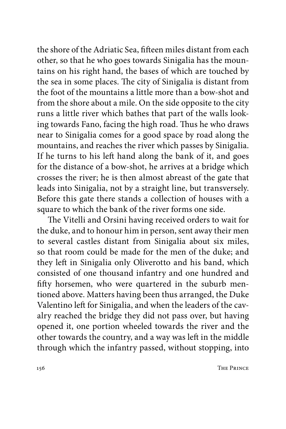the shore of the Adriatic Sea, fifteen miles distant from each other, so that he who goes towards Sinigalia has the mountains on his right hand, the bases of which are touched by the sea in some places. The city of Sinigalia is distant from the foot of the mountains a little more than a bow-shot and from the shore about a mile. On the side opposite to the city runs a little river which bathes that part of the walls looking towards Fano, facing the high road. Thus he who draws near to Sinigalia comes for a good space by road along the mountains, and reaches the river which passes by Sinigalia. If he turns to his left hand along the bank of it, and goes for the distance of a bow-shot, he arrives at a bridge which crosses the river; he is then almost abreast of the gate that leads into Sinigalia, not by a straight line, but transversely. Before this gate there stands a collection of houses with a square to which the bank of the river forms one side.

The Vitelli and Orsini having received orders to wait for the duke, and to honour him in person, sent away their men to several castles distant from Sinigalia about six miles, so that room could be made for the men of the duke; and they left in Sinigalia only Oliverotto and his band, which consisted of one thousand infantry and one hundred and fifty horsemen, who were quartered in the suburb mentioned above. Matters having been thus arranged, the Duke Valentino left for Sinigalia, and when the leaders of the cavalry reached the bridge they did not pass over, but having opened it, one portion wheeled towards the river and the other towards the country, and a way was left in the middle through which the infantry passed, without stopping, into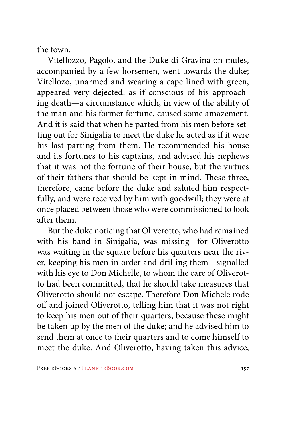the town.

Vitellozzo, Pagolo, and the Duke di Gravina on mules, accompanied by a few horsemen, went towards the duke; Vitellozo, unarmed and wearing a cape lined with green, appeared very dejected, as if conscious of his approaching death—a circumstance which, in view of the ability of the man and his former fortune, caused some amazement. And it is said that when he parted from his men before setting out for Sinigalia to meet the duke he acted as if it were his last parting from them. He recommended his house and its fortunes to his captains, and advised his nephews that it was not the fortune of their house, but the virtues of their fathers that should be kept in mind. These three, therefore, came before the duke and saluted him respectfully, and were received by him with goodwill; they were at once placed between those who were commissioned to look after them.

But the duke noticing that Oliverotto, who had remained with his band in Sinigalia, was missing—for Oliverotto was waiting in the square before his quarters near the river, keeping his men in order and drilling them—signalled with his eye to Don Michelle, to whom the care of Oliverotto had been committed, that he should take measures that Oliverotto should not escape. Therefore Don Michele rode off and joined Oliverotto, telling him that it was not right to keep his men out of their quarters, because these might be taken up by the men of the duke; and he advised him to send them at once to their quarters and to come himself to meet the duke. And Oliverotto, having taken this advice,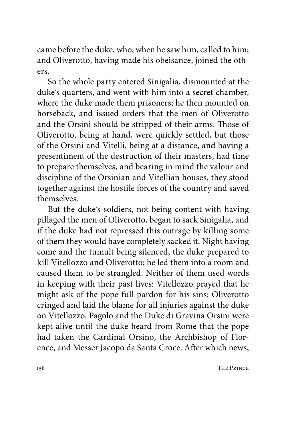came before the duke, who, when he saw him, called to him; and Oliverotto, having made his obeisance, joined the others.

So the whole party entered Sinigalia, dismounted at the duke's quarters, and went with him into a secret chamber, where the duke made them prisoners; he then mounted on horseback, and issued orders that the men of Oliverotto and the Orsini should be stripped of their arms. Those of Oliverotto, being at hand, were quickly settled, but those of the Orsini and Vitelli, being at a distance, and having a presentiment of the destruction of their masters, had time to prepare themselves, and bearing in mind the valour and discipline of the Orsinian and Vitellian houses, they stood together against the hostile forces of the country and saved themselves.

But the duke's soldiers, not being content with having pillaged the men of Oliverotto, began to sack Sinigalia, and if the duke had not repressed this outrage by killing some of them they would have completely sacked it. Night having come and the tumult being silenced, the duke prepared to kill Vitellozzo and Oliverotto; he led them into a room and caused them to be strangled. Neither of them used words in keeping with their past lives: Vitellozzo prayed that he might ask of the pope full pardon for his sins; Oliverotto cringed and laid the blame for all injuries against the duke on Vitellozzo. Pagolo and the Duke di Gravina Orsini were kept alive until the duke heard from Rome that the pope had taken the Cardinal Orsino, the Archbishop of Florence, and Messer Jacopo da Santa Croce. After which news,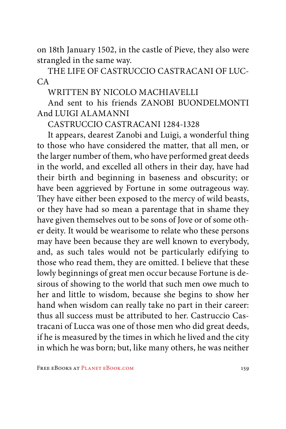on 18th January 1502, in the castle of Pieve, they also were strangled in the same way.

THE LIFE OF CASTRUCCIO CASTRACANI OF LUC- $CA$ 

WRITTEN BY NICOLO MACHIAVELLI

And sent to his friends ZANOBI BUONDELMONTI And LUIGI ALAMANNI

CASTRUCCIO CASTRACANI 1284-1328

It appears, dearest Zanobi and Luigi, a wonderful thing to those who have considered the matter, that all men, or the larger number of them, who have performed great deeds in the world, and excelled all others in their day, have had their birth and beginning in baseness and obscurity; or have been aggrieved by Fortune in some outrageous way. They have either been exposed to the mercy of wild beasts, or they have had so mean a parentage that in shame they have given themselves out to be sons of Jove or of some other deity. It would be wearisome to relate who these persons may have been because they are well known to everybody, and, as such tales would not be particularly edifying to those who read them, they are omitted. I believe that these lowly beginnings of great men occur because Fortune is desirous of showing to the world that such men owe much to her and little to wisdom, because she begins to show her hand when wisdom can really take no part in their career: thus all success must be attributed to her. Castruccio Castracani of Lucca was one of those men who did great deeds, if he is measured by the times in which he lived and the city in which he was born; but, like many others, he was neither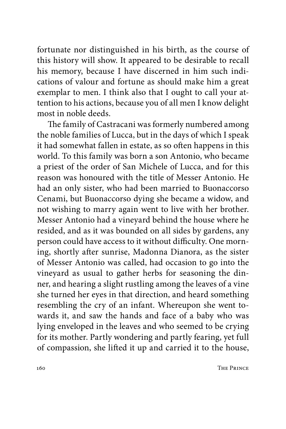fortunate nor distinguished in his birth, as the course of this history will show. It appeared to be desirable to recall his memory, because I have discerned in him such indications of valour and fortune as should make him a great exemplar to men. I think also that I ought to call your attention to his actions, because you of all men I know delight most in noble deeds.

The family of Castracani was formerly numbered among the noble families of Lucca, but in the days of which I speak it had somewhat fallen in estate, as so often happens in this world. To this family was born a son Antonio, who became a priest of the order of San Michele of Lucca, and for this reason was honoured with the title of Messer Antonio. He had an only sister, who had been married to Buonaccorso Cenami, but Buonaccorso dying she became a widow, and not wishing to marry again went to live with her brother. Messer Antonio had a vineyard behind the house where he resided, and as it was bounded on all sides by gardens, any person could have access to it without difficulty. One morning, shortly after sunrise, Madonna Dianora, as the sister of Messer Antonio was called, had occasion to go into the vineyard as usual to gather herbs for seasoning the dinner, and hearing a slight rustling among the leaves of a vine she turned her eyes in that direction, and heard something resembling the cry of an infant. Whereupon she went towards it, and saw the hands and face of a baby who was lying enveloped in the leaves and who seemed to be crying for its mother. Partly wondering and partly fearing, yet full of compassion, she lifted it up and carried it to the house,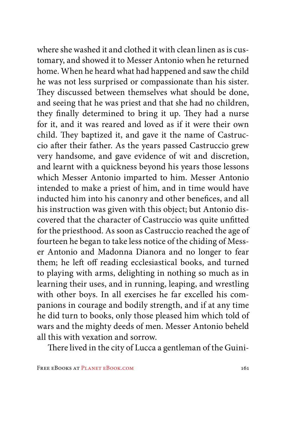where she washed it and clothed it with clean linen as is customary, and showed it to Messer Antonio when he returned home. When he heard what had happened and saw the child he was not less surprised or compassionate than his sister. They discussed between themselves what should be done, and seeing that he was priest and that she had no children, they finally determined to bring it up. They had a nurse for it, and it was reared and loved as if it were their own child. They baptized it, and gave it the name of Castruccio after their father. As the years passed Castruccio grew very handsome, and gave evidence of wit and discretion, and learnt with a quickness beyond his years those lessons which Messer Antonio imparted to him. Messer Antonio intended to make a priest of him, and in time would have inducted him into his canonry and other benefices, and all his instruction was given with this object; but Antonio discovered that the character of Castruccio was quite unfitted for the priesthood. As soon as Castruccio reached the age of fourteen he began to take less notice of the chiding of Messer Antonio and Madonna Dianora and no longer to fear them; he left off reading ecclesiastical books, and turned to playing with arms, delighting in nothing so much as in learning their uses, and in running, leaping, and wrestling with other boys. In all exercises he far excelled his companions in courage and bodily strength, and if at any time he did turn to books, only those pleased him which told of wars and the mighty deeds of men. Messer Antonio beheld all this with vexation and sorrow.

There lived in the city of Lucca a gentleman of the Guini-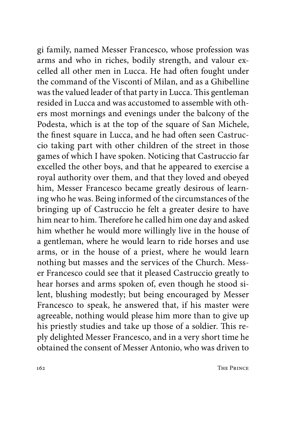gi family, named Messer Francesco, whose profession was arms and who in riches, bodily strength, and valour excelled all other men in Lucca. He had often fought under the command of the Visconti of Milan, and as a Ghibelline was the valued leader of that party in Lucca. This gentleman resided in Lucca and was accustomed to assemble with others most mornings and evenings under the balcony of the Podesta, which is at the top of the square of San Michele, the finest square in Lucca, and he had often seen Castruccio taking part with other children of the street in those games of which I have spoken. Noticing that Castruccio far excelled the other boys, and that he appeared to exercise a royal authority over them, and that they loved and obeyed him, Messer Francesco became greatly desirous of learning who he was. Being informed of the circumstances of the bringing up of Castruccio he felt a greater desire to have him near to him. Therefore he called him one day and asked him whether he would more willingly live in the house of a gentleman, where he would learn to ride horses and use arms, or in the house of a priest, where he would learn nothing but masses and the services of the Church. Messer Francesco could see that it pleased Castruccio greatly to hear horses and arms spoken of, even though he stood silent, blushing modestly; but being encouraged by Messer Francesco to speak, he answered that, if his master were agreeable, nothing would please him more than to give up his priestly studies and take up those of a soldier. This reply delighted Messer Francesco, and in a very short time he obtained the consent of Messer Antonio, who was driven to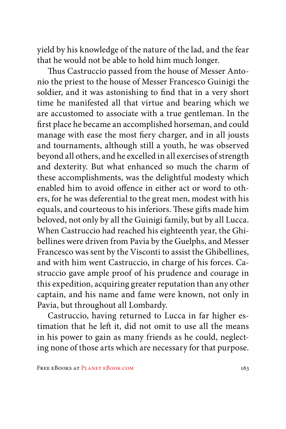yield by his knowledge of the nature of the lad, and the fear that he would not be able to hold him much longer.

Thus Castruccio passed from the house of Messer Antonio the priest to the house of Messer Francesco Guinigi the soldier, and it was astonishing to find that in a very short time he manifested all that virtue and bearing which we are accustomed to associate with a true gentleman. In the first place he became an accomplished horseman, and could manage with ease the most fiery charger, and in all jousts and tournaments, although still a youth, he was observed beyond all others, and he excelled in all exercises of strength and dexterity. But what enhanced so much the charm of these accomplishments, was the delightful modesty which enabled him to avoid offence in either act or word to others, for he was deferential to the great men, modest with his equals, and courteous to his inferiors. These gifts made him beloved, not only by all the Guinigi family, but by all Lucca. When Castruccio had reached his eighteenth year, the Ghibellines were driven from Pavia by the Guelphs, and Messer Francesco was sent by the Visconti to assist the Ghibellines, and with him went Castruccio, in charge of his forces. Castruccio gave ample proof of his prudence and courage in this expedition, acquiring greater reputation than any other captain, and his name and fame were known, not only in Pavia, but throughout all Lombardy.

Castruccio, having returned to Lucca in far higher estimation that he left it, did not omit to use all the means in his power to gain as many friends as he could, neglecting none of those arts which are necessary for that purpose.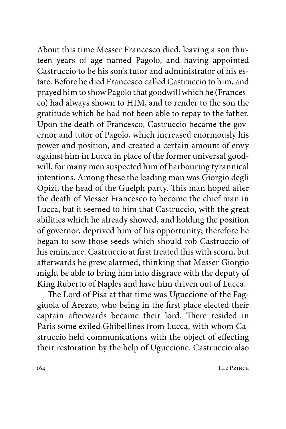About this time Messer Francesco died, leaving a son thirteen years of age named Pagolo, and having appointed Castruccio to be his son's tutor and administrator of his estate. Before he died Francesco called Castruccio to him, and prayed him to show Pagolo that goodwill which he (Francesco) had always shown to HIM, and to render to the son the gratitude which he had not been able to repay to the father. Upon the death of Francesco, Castruccio became the governor and tutor of Pagolo, which increased enormously his power and position, and created a certain amount of envy against him in Lucca in place of the former universal goodwill, for many men suspected him of harbouring tyrannical intentions. Among these the leading man was Giorgio degli Opizi, the head of the Guelph party. This man hoped after the death of Messer Francesco to become the chief man in Lucca, but it seemed to him that Castruccio, with the great abilities which he already showed, and holding the position of governor, deprived him of his opportunity; therefore he began to sow those seeds which should rob Castruccio of his eminence. Castruccio at first treated this with scorn, but afterwards he grew alarmed, thinking that Messer Giorgio might be able to bring him into disgrace with the deputy of King Ruberto of Naples and have him driven out of Lucca.

The Lord of Pisa at that time was Uguccione of the Faggiuola of Arezzo, who being in the first place elected their captain afterwards became their lord. There resided in Paris some exiled Ghibellines from Lucca, with whom Castruccio held communications with the object of effecting their restoration by the help of Uguccione. Castruccio also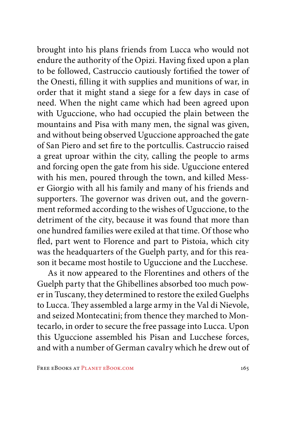brought into his plans friends from Lucca who would not endure the authority of the Opizi. Having fixed upon a plan to be followed, Castruccio cautiously fortified the tower of the Onesti, filling it with supplies and munitions of war, in order that it might stand a siege for a few days in case of need. When the night came which had been agreed upon with Uguccione, who had occupied the plain between the mountains and Pisa with many men, the signal was given, and without being observed Uguccione approached the gate of San Piero and set fire to the portcullis. Castruccio raised a great uproar within the city, calling the people to arms and forcing open the gate from his side. Uguccione entered with his men, poured through the town, and killed Messer Giorgio with all his family and many of his friends and supporters. The governor was driven out, and the government reformed according to the wishes of Uguccione, to the detriment of the city, because it was found that more than one hundred families were exiled at that time. Of those who fled, part went to Florence and part to Pistoia, which city was the headquarters of the Guelph party, and for this reason it became most hostile to Uguccione and the Lucchese.

As it now appeared to the Florentines and others of the Guelph party that the Ghibellines absorbed too much power in Tuscany, they determined to restore the exiled Guelphs to Lucca. They assembled a large army in the Val di Nievole, and seized Montecatini; from thence they marched to Montecarlo, in order to secure the free passage into Lucca. Upon this Uguccione assembled his Pisan and Lucchese forces, and with a number of German cavalry which he drew out of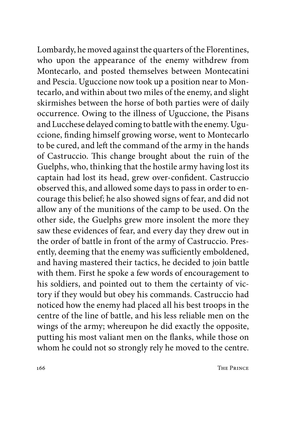Lombardy, he moved against the quarters of the Florentines, who upon the appearance of the enemy withdrew from Montecarlo, and posted themselves between Montecatini and Pescia. Uguccione now took up a position near to Montecarlo, and within about two miles of the enemy, and slight skirmishes between the horse of both parties were of daily occurrence. Owing to the illness of Uguccione, the Pisans and Lucchese delayed coming to battle with the enemy. Uguccione, finding himself growing worse, went to Montecarlo to be cured, and left the command of the army in the hands of Castruccio. This change brought about the ruin of the Guelphs, who, thinking that the hostile army having lost its captain had lost its head, grew over-confident. Castruccio observed this, and allowed some days to pass in order to encourage this belief; he also showed signs of fear, and did not allow any of the munitions of the camp to be used. On the other side, the Guelphs grew more insolent the more they saw these evidences of fear, and every day they drew out in the order of battle in front of the army of Castruccio. Presently, deeming that the enemy was sufficiently emboldened, and having mastered their tactics, he decided to join battle with them. First he spoke a few words of encouragement to his soldiers, and pointed out to them the certainty of victory if they would but obey his commands. Castruccio had noticed how the enemy had placed all his best troops in the centre of the line of battle, and his less reliable men on the wings of the army; whereupon he did exactly the opposite, putting his most valiant men on the flanks, while those on whom he could not so strongly rely he moved to the centre.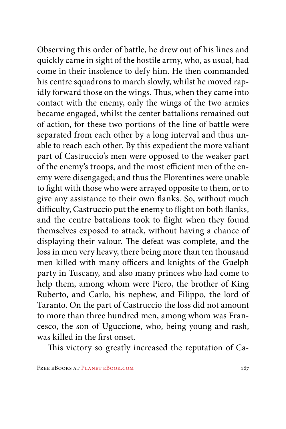Observing this order of battle, he drew out of his lines and quickly came in sight of the hostile army, who, as usual, had come in their insolence to defy him. He then commanded his centre squadrons to march slowly, whilst he moved rapidly forward those on the wings. Thus, when they came into contact with the enemy, only the wings of the two armies became engaged, whilst the center battalions remained out of action, for these two portions of the line of battle were separated from each other by a long interval and thus unable to reach each other. By this expedient the more valiant part of Castruccio's men were opposed to the weaker part of the enemy's troops, and the most efficient men of the enemy were disengaged; and thus the Florentines were unable to fight with those who were arrayed opposite to them, or to give any assistance to their own flanks. So, without much difficulty, Castruccio put the enemy to flight on both flanks, and the centre battalions took to flight when they found themselves exposed to attack, without having a chance of displaying their valour. The defeat was complete, and the loss in men very heavy, there being more than ten thousand men killed with many officers and knights of the Guelph party in Tuscany, and also many princes who had come to help them, among whom were Piero, the brother of King Ruberto, and Carlo, his nephew, and Filippo, the lord of Taranto. On the part of Castruccio the loss did not amount to more than three hundred men, among whom was Francesco, the son of Uguccione, who, being young and rash, was killed in the first onset.

This victory so greatly increased the reputation of Ca-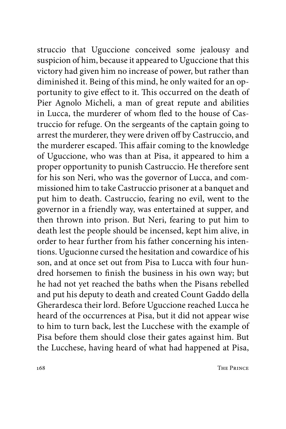struccio that Uguccione conceived some jealousy and suspicion of him, because it appeared to Uguccione that this victory had given him no increase of power, but rather than diminished it. Being of this mind, he only waited for an opportunity to give effect to it. This occurred on the death of Pier Agnolo Micheli, a man of great repute and abilities in Lucca, the murderer of whom fled to the house of Castruccio for refuge. On the sergeants of the captain going to arrest the murderer, they were driven off by Castruccio, and the murderer escaped. This affair coming to the knowledge of Uguccione, who was than at Pisa, it appeared to him a proper opportunity to punish Castruccio. He therefore sent for his son Neri, who was the governor of Lucca, and commissioned him to take Castruccio prisoner at a banquet and put him to death. Castruccio, fearing no evil, went to the governor in a friendly way, was entertained at supper, and then thrown into prison. But Neri, fearing to put him to death lest the people should be incensed, kept him alive, in order to hear further from his father concerning his intentions. Ugucionne cursed the hesitation and cowardice of his son, and at once set out from Pisa to Lucca with four hundred horsemen to finish the business in his own way; but he had not yet reached the baths when the Pisans rebelled and put his deputy to death and created Count Gaddo della Gherardesca their lord. Before Uguccione reached Lucca he heard of the occurrences at Pisa, but it did not appear wise to him to turn back, lest the Lucchese with the example of Pisa before them should close their gates against him. But the Lucchese, having heard of what had happened at Pisa,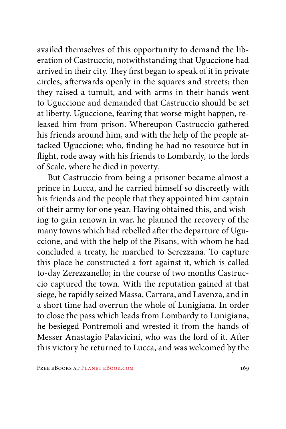availed themselves of this opportunity to demand the liberation of Castruccio, notwithstanding that Uguccione had arrived in their city. They first began to speak of it in private circles, afterwards openly in the squares and streets; then they raised a tumult, and with arms in their hands went to Uguccione and demanded that Castruccio should be set at liberty. Uguccione, fearing that worse might happen, released him from prison. Whereupon Castruccio gathered his friends around him, and with the help of the people attacked Uguccione; who, finding he had no resource but in flight, rode away with his friends to Lombardy, to the lords of Scale, where he died in poverty.

But Castruccio from being a prisoner became almost a prince in Lucca, and he carried himself so discreetly with his friends and the people that they appointed him captain of their army for one year. Having obtained this, and wishing to gain renown in war, he planned the recovery of the many towns which had rebelled after the departure of Uguccione, and with the help of the Pisans, with whom he had concluded a treaty, he marched to Serezzana. To capture this place he constructed a fort against it, which is called to-day Zerezzanello; in the course of two months Castruccio captured the town. With the reputation gained at that siege, he rapidly seized Massa, Carrara, and Lavenza, and in a short time had overrun the whole of Lunigiana. In order to close the pass which leads from Lombardy to Lunigiana, he besieged Pontremoli and wrested it from the hands of Messer Anastagio Palavicini, who was the lord of it. After this victory he returned to Lucca, and was welcomed by the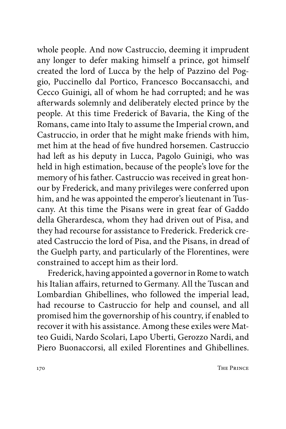whole people. And now Castruccio, deeming it imprudent any longer to defer making himself a prince, got himself created the lord of Lucca by the help of Pazzino del Poggio, Puccinello dal Portico, Francesco Boccansacchi, and Cecco Guinigi, all of whom he had corrupted; and he was afterwards solemnly and deliberately elected prince by the people. At this time Frederick of Bavaria, the King of the Romans, came into Italy to assume the Imperial crown, and Castruccio, in order that he might make friends with him, met him at the head of five hundred horsemen. Castruccio had left as his deputy in Lucca, Pagolo Guinigi, who was held in high estimation, because of the people's love for the memory of his father. Castruccio was received in great honour by Frederick, and many privileges were conferred upon him, and he was appointed the emperor's lieutenant in Tuscany. At this time the Pisans were in great fear of Gaddo della Gherardesca, whom they had driven out of Pisa, and they had recourse for assistance to Frederick. Frederick created Castruccio the lord of Pisa, and the Pisans, in dread of the Guelph party, and particularly of the Florentines, were constrained to accept him as their lord.

Frederick, having appointed a governor in Rome to watch his Italian affairs, returned to Germany. All the Tuscan and Lombardian Ghibellines, who followed the imperial lead, had recourse to Castruccio for help and counsel, and all promised him the governorship of his country, if enabled to recover it with his assistance. Among these exiles were Matteo Guidi, Nardo Scolari, Lapo Uberti, Gerozzo Nardi, and Piero Buonaccorsi, all exiled Florentines and Ghibellines.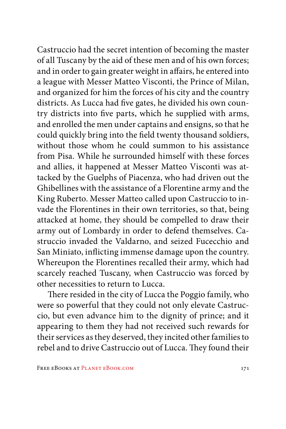Castruccio had the secret intention of becoming the master of all Tuscany by the aid of these men and of his own forces; and in order to gain greater weight in affairs, he entered into a league with Messer Matteo Visconti, the Prince of Milan, and organized for him the forces of his city and the country districts. As Lucca had five gates, he divided his own country districts into five parts, which he supplied with arms, and enrolled the men under captains and ensigns, so that he could quickly bring into the field twenty thousand soldiers, without those whom he could summon to his assistance from Pisa. While he surrounded himself with these forces and allies, it happened at Messer Matteo Visconti was attacked by the Guelphs of Piacenza, who had driven out the Ghibellines with the assistance of a Florentine army and the King Ruberto. Messer Matteo called upon Castruccio to invade the Florentines in their own territories, so that, being attacked at home, they should be compelled to draw their army out of Lombardy in order to defend themselves. Castruccio invaded the Valdarno, and seized Fucecchio and San Miniato, inflicting immense damage upon the country. Whereupon the Florentines recalled their army, which had scarcely reached Tuscany, when Castruccio was forced by other necessities to return to Lucca.

There resided in the city of Lucca the Poggio family, who were so powerful that they could not only elevate Castruccio, but even advance him to the dignity of prince; and it appearing to them they had not received such rewards for their services as they deserved, they incited other families to rebel and to drive Castruccio out of Lucca. They found their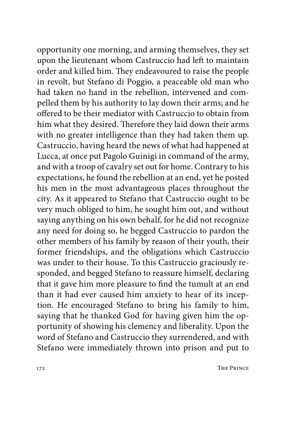opportunity one morning, and arming themselves, they set upon the lieutenant whom Castruccio had left to maintain order and killed him. They endeavoured to raise the people in revolt, but Stefano di Poggio, a peaceable old man who had taken no hand in the rebellion, intervened and compelled them by his authority to lay down their arms; and he offered to be their mediator with Castruccio to obtain from him what they desired. Therefore they laid down their arms with no greater intelligence than they had taken them up. Castruccio, having heard the news of what had happened at Lucca, at once put Pagolo Guinigi in command of the army, and with a troop of cavalry set out for home. Contrary to his expectations, he found the rebellion at an end, yet he posted his men in the most advantageous places throughout the city. As it appeared to Stefano that Castruccio ought to be very much obliged to him, he sought him out, and without saying anything on his own behalf, for he did not recognize any need for doing so, he begged Castruccio to pardon the other members of his family by reason of their youth, their former friendships, and the obligations which Castruccio was under to their house. To this Castruccio graciously responded, and begged Stefano to reassure himself, declaring that it gave him more pleasure to find the tumult at an end than it had ever caused him anxiety to hear of its inception. He encouraged Stefano to bring his family to him, saying that he thanked God for having given him the opportunity of showing his clemency and liberality. Upon the word of Stefano and Castruccio they surrendered, and with Stefano were immediately thrown into prison and put to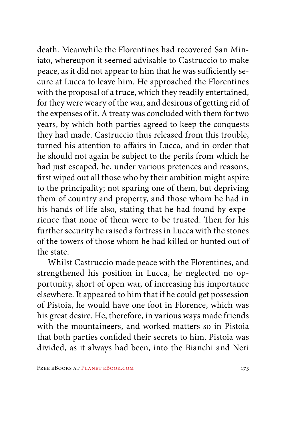death. Meanwhile the Florentines had recovered San Miniato, whereupon it seemed advisable to Castruccio to make peace, as it did not appear to him that he was sufficiently secure at Lucca to leave him. He approached the Florentines with the proposal of a truce, which they readily entertained, for they were weary of the war, and desirous of getting rid of the expenses of it. A treaty was concluded with them for two years, by which both parties agreed to keep the conquests they had made. Castruccio thus released from this trouble, turned his attention to affairs in Lucca, and in order that he should not again be subject to the perils from which he had just escaped, he, under various pretences and reasons, first wiped out all those who by their ambition might aspire to the principality; not sparing one of them, but depriving them of country and property, and those whom he had in his hands of life also, stating that he had found by experience that none of them were to be trusted. Then for his further security he raised a fortress in Lucca with the stones of the towers of those whom he had killed or hunted out of the state.

Whilst Castruccio made peace with the Florentines, and strengthened his position in Lucca, he neglected no opportunity, short of open war, of increasing his importance elsewhere. It appeared to him that if he could get possession of Pistoia, he would have one foot in Florence, which was his great desire. He, therefore, in various ways made friends with the mountaineers, and worked matters so in Pistoia that both parties confided their secrets to him. Pistoia was divided, as it always had been, into the Bianchi and Neri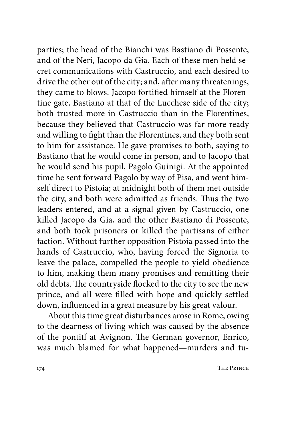parties; the head of the Bianchi was Bastiano di Possente, and of the Neri, Jacopo da Gia. Each of these men held secret communications with Castruccio, and each desired to drive the other out of the city; and, after many threatenings, they came to blows. Jacopo fortified himself at the Florentine gate, Bastiano at that of the Lucchese side of the city; both trusted more in Castruccio than in the Florentines, because they believed that Castruccio was far more ready and willing to fight than the Florentines, and they both sent to him for assistance. He gave promises to both, saying to Bastiano that he would come in person, and to Jacopo that he would send his pupil, Pagolo Guinigi. At the appointed time he sent forward Pagolo by way of Pisa, and went himself direct to Pistoia; at midnight both of them met outside the city, and both were admitted as friends. Thus the two leaders entered, and at a signal given by Castruccio, one killed Jacopo da Gia, and the other Bastiano di Possente, and both took prisoners or killed the partisans of either faction. Without further opposition Pistoia passed into the hands of Castruccio, who, having forced the Signoria to leave the palace, compelled the people to yield obedience to him, making them many promises and remitting their old debts. The countryside flocked to the city to see the new prince, and all were filled with hope and quickly settled down, influenced in a great measure by his great valour.

About this time great disturbances arose in Rome, owing to the dearness of living which was caused by the absence of the pontiff at Avignon. The German governor, Enrico, was much blamed for what happened—murders and tu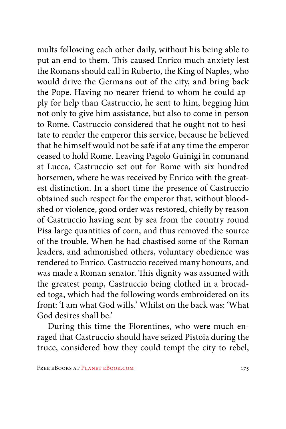mults following each other daily, without his being able to put an end to them. This caused Enrico much anxiety lest the Romans should call in Ruberto, the King of Naples, who would drive the Germans out of the city, and bring back the Pope. Having no nearer friend to whom he could apply for help than Castruccio, he sent to him, begging him not only to give him assistance, but also to come in person to Rome. Castruccio considered that he ought not to hesitate to render the emperor this service, because he believed that he himself would not be safe if at any time the emperor ceased to hold Rome. Leaving Pagolo Guinigi in command at Lucca, Castruccio set out for Rome with six hundred horsemen, where he was received by Enrico with the greatest distinction. In a short time the presence of Castruccio obtained such respect for the emperor that, without bloodshed or violence, good order was restored, chiefly by reason of Castruccio having sent by sea from the country round Pisa large quantities of corn, and thus removed the source of the trouble. When he had chastised some of the Roman leaders, and admonished others, voluntary obedience was rendered to Enrico. Castruccio received many honours, and was made a Roman senator. This dignity was assumed with the greatest pomp, Castruccio being clothed in a brocaded toga, which had the following words embroidered on its front: 'I am what God wills.' Whilst on the back was: 'What God desires shall be.'

During this time the Florentines, who were much enraged that Castruccio should have seized Pistoia during the truce, considered how they could tempt the city to rebel,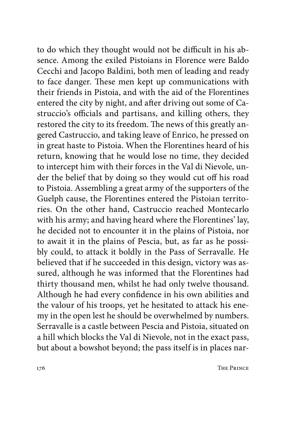to do which they thought would not be difficult in his absence. Among the exiled Pistoians in Florence were Baldo Cecchi and Jacopo Baldini, both men of leading and ready to face danger. These men kept up communications with their friends in Pistoia, and with the aid of the Florentines entered the city by night, and after driving out some of Castruccio's officials and partisans, and killing others, they restored the city to its freedom. The news of this greatly angered Castruccio, and taking leave of Enrico, he pressed on in great haste to Pistoia. When the Florentines heard of his return, knowing that he would lose no time, they decided to intercept him with their forces in the Val di Nievole, under the belief that by doing so they would cut off his road to Pistoia. Assembling a great army of the supporters of the Guelph cause, the Florentines entered the Pistoian territories. On the other hand, Castruccio reached Montecarlo with his army; and having heard where the Florentines' lay, he decided not to encounter it in the plains of Pistoia, nor to await it in the plains of Pescia, but, as far as he possibly could, to attack it boldly in the Pass of Serravalle. He believed that if he succeeded in this design, victory was assured, although he was informed that the Florentines had thirty thousand men, whilst he had only twelve thousand. Although he had every confidence in his own abilities and the valour of his troops, yet he hesitated to attack his enemy in the open lest he should be overwhelmed by numbers. Serravalle is a castle between Pescia and Pistoia, situated on a hill which blocks the Val di Nievole, not in the exact pass, but about a bowshot beyond; the pass itself is in places nar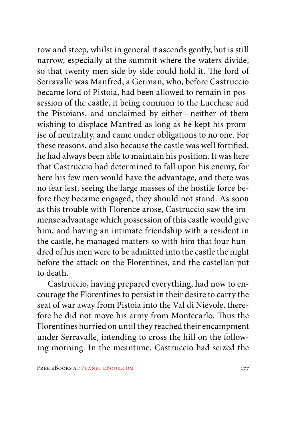row and steep, whilst in general it ascends gently, but is still narrow, especially at the summit where the waters divide, so that twenty men side by side could hold it. The lord of Serravalle was Manfred, a German, who, before Castruccio became lord of Pistoia, had been allowed to remain in possession of the castle, it being common to the Lucchese and the Pistoians, and unclaimed by either—neither of them wishing to displace Manfred as long as he kept his promise of neutrality, and came under obligations to no one. For these reasons, and also because the castle was well fortified, he had always been able to maintain his position. It was here that Castruccio had determined to fall upon his enemy, for here his few men would have the advantage, and there was no fear lest, seeing the large masses of the hostile force before they became engaged, they should not stand. As soon as this trouble with Florence arose, Castruccio saw the immense advantage which possession of this castle would give him, and having an intimate friendship with a resident in the castle, he managed matters so with him that four hundred of his men were to be admitted into the castle the night before the attack on the Florentines, and the castellan put to death.

Castruccio, having prepared everything, had now to encourage the Florentines to persist in their desire to carry the seat of war away from Pistoia into the Val di Nievole, therefore he did not move his army from Montecarlo. Thus the Florentines hurried on until they reached their encampment under Serravalle, intending to cross the hill on the following morning. In the meantime, Castruccio had seized the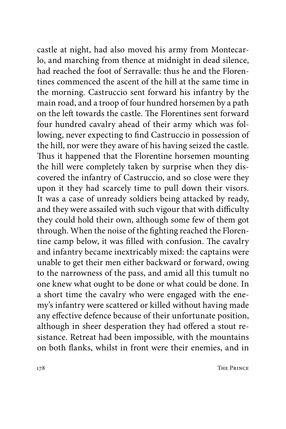castle at night, had also moved his army from Montecarlo, and marching from thence at midnight in dead silence, had reached the foot of Serravalle: thus he and the Florentines commenced the ascent of the hill at the same time in the morning. Castruccio sent forward his infantry by the main road, and a troop of four hundred horsemen by a path on the left towards the castle. The Florentines sent forward four hundred cavalry ahead of their army which was following, never expecting to find Castruccio in possession of the hill, nor were they aware of his having seized the castle. Thus it happened that the Florentine horsemen mounting the hill were completely taken by surprise when they discovered the infantry of Castruccio, and so close were they upon it they had scarcely time to pull down their visors. It was a case of unready soldiers being attacked by ready, and they were assailed with such vigour that with difficulty they could hold their own, although some few of them got through. When the noise of the fighting reached the Florentine camp below, it was filled with confusion. The cavalry and infantry became inextricably mixed: the captains were unable to get their men either backward or forward, owing to the narrowness of the pass, and amid all this tumult no one knew what ought to be done or what could be done. In a short time the cavalry who were engaged with the enemy's infantry were scattered or killed without having made any effective defence because of their unfortunate position, although in sheer desperation they had offered a stout resistance. Retreat had been impossible, with the mountains on both flanks, whilst in front were their enemies, and in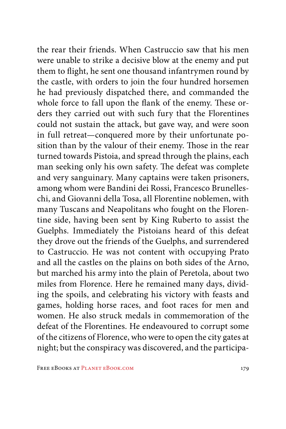the rear their friends. When Castruccio saw that his men were unable to strike a decisive blow at the enemy and put them to flight, he sent one thousand infantrymen round by the castle, with orders to join the four hundred horsemen he had previously dispatched there, and commanded the whole force to fall upon the flank of the enemy. These orders they carried out with such fury that the Florentines could not sustain the attack, but gave way, and were soon in full retreat—conquered more by their unfortunate position than by the valour of their enemy. Those in the rear turned towards Pistoia, and spread through the plains, each man seeking only his own safety. The defeat was complete and very sanguinary. Many captains were taken prisoners, among whom were Bandini dei Rossi, Francesco Brunelleschi, and Giovanni della Tosa, all Florentine noblemen, with many Tuscans and Neapolitans who fought on the Florentine side, having been sent by King Ruberto to assist the Guelphs. Immediately the Pistoians heard of this defeat they drove out the friends of the Guelphs, and surrendered to Castruccio. He was not content with occupying Prato and all the castles on the plains on both sides of the Arno, but marched his army into the plain of Peretola, about two miles from Florence. Here he remained many days, dividing the spoils, and celebrating his victory with feasts and games, holding horse races, and foot races for men and women. He also struck medals in commemoration of the defeat of the Florentines. He endeavoured to corrupt some of the citizens of Florence, who were to open the city gates at night; but the conspiracy was discovered, and the participa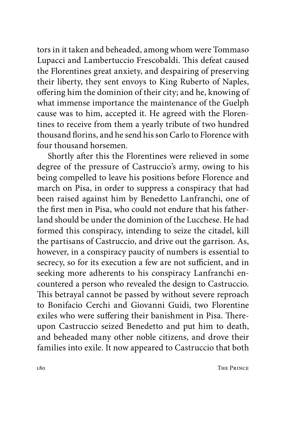tors in it taken and beheaded, among whom were Tommaso Lupacci and Lambertuccio Frescobaldi. This defeat caused the Florentines great anxiety, and despairing of preserving their liberty, they sent envoys to King Ruberto of Naples, offering him the dominion of their city; and he, knowing of what immense importance the maintenance of the Guelph cause was to him, accepted it. He agreed with the Florentines to receive from them a yearly tribute of two hundred thousand florins, and he send his son Carlo to Florence with four thousand horsemen.

Shortly after this the Florentines were relieved in some degree of the pressure of Castruccio's army, owing to his being compelled to leave his positions before Florence and march on Pisa, in order to suppress a conspiracy that had been raised against him by Benedetto Lanfranchi, one of the first men in Pisa, who could not endure that his fatherland should be under the dominion of the Lucchese. He had formed this conspiracy, intending to seize the citadel, kill the partisans of Castruccio, and drive out the garrison. As, however, in a conspiracy paucity of numbers is essential to secrecy, so for its execution a few are not sufficient, and in seeking more adherents to his conspiracy Lanfranchi encountered a person who revealed the design to Castruccio. This betrayal cannot be passed by without severe reproach to Bonifacio Cerchi and Giovanni Guidi, two Florentine exiles who were suffering their banishment in Pisa. Thereupon Castruccio seized Benedetto and put him to death, and beheaded many other noble citizens, and drove their families into exile. It now appeared to Castruccio that both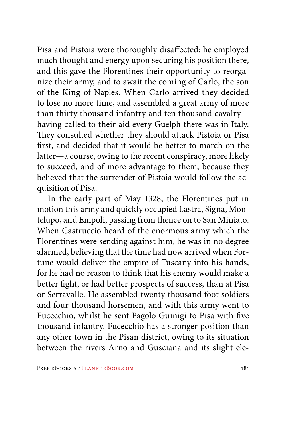Pisa and Pistoia were thoroughly disaffected; he employed much thought and energy upon securing his position there, and this gave the Florentines their opportunity to reorganize their army, and to await the coming of Carlo, the son of the King of Naples. When Carlo arrived they decided to lose no more time, and assembled a great army of more than thirty thousand infantry and ten thousand cavalry having called to their aid every Guelph there was in Italy. They consulted whether they should attack Pistoia or Pisa first, and decided that it would be better to march on the latter—a course, owing to the recent conspiracy, more likely to succeed, and of more advantage to them, because they believed that the surrender of Pistoia would follow the acquisition of Pisa.

In the early part of May 1328, the Florentines put in motion this army and quickly occupied Lastra, Signa, Montelupo, and Empoli, passing from thence on to San Miniato. When Castruccio heard of the enormous army which the Florentines were sending against him, he was in no degree alarmed, believing that the time had now arrived when Fortune would deliver the empire of Tuscany into his hands, for he had no reason to think that his enemy would make a better fight, or had better prospects of success, than at Pisa or Serravalle. He assembled twenty thousand foot soldiers and four thousand horsemen, and with this army went to Fucecchio, whilst he sent Pagolo Guinigi to Pisa with five thousand infantry. Fucecchio has a stronger position than any other town in the Pisan district, owing to its situation between the rivers Arno and Gusciana and its slight ele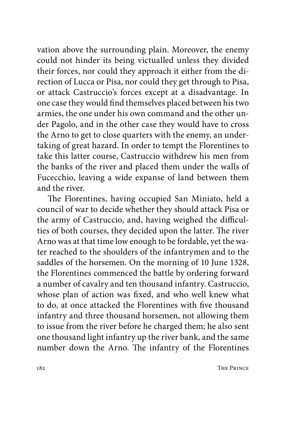vation above the surrounding plain. Moreover, the enemy could not hinder its being victualled unless they divided their forces, nor could they approach it either from the direction of Lucca or Pisa, nor could they get through to Pisa, or attack Castruccio's forces except at a disadvantage. In one case they would find themselves placed between his two armies, the one under his own command and the other under Pagolo, and in the other case they would have to cross the Arno to get to close quarters with the enemy, an undertaking of great hazard. In order to tempt the Florentines to take this latter course, Castruccio withdrew his men from the banks of the river and placed them under the walls of Fucecchio, leaving a wide expanse of land between them and the river.

The Florentines, having occupied San Miniato, held a council of war to decide whether they should attack Pisa or the army of Castruccio, and, having weighed the difficulties of both courses, they decided upon the latter. The river Arno was at that time low enough to be fordable, yet the water reached to the shoulders of the infantrymen and to the saddles of the horsemen. On the morning of 10 June 1328, the Florentines commenced the battle by ordering forward a number of cavalry and ten thousand infantry. Castruccio, whose plan of action was fixed, and who well knew what to do, at once attacked the Florentines with five thousand infantry and three thousand horsemen, not allowing them to issue from the river before he charged them; he also sent one thousand light infantry up the river bank, and the same number down the Arno. The infantry of the Florentines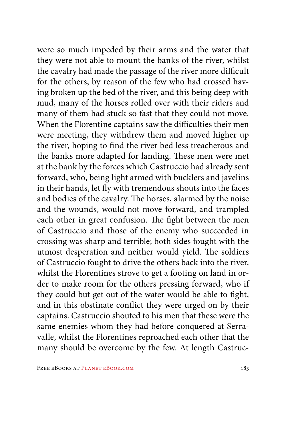were so much impeded by their arms and the water that they were not able to mount the banks of the river, whilst the cavalry had made the passage of the river more difficult for the others, by reason of the few who had crossed having broken up the bed of the river, and this being deep with mud, many of the horses rolled over with their riders and many of them had stuck so fast that they could not move. When the Florentine captains saw the difficulties their men were meeting, they withdrew them and moved higher up the river, hoping to find the river bed less treacherous and the banks more adapted for landing. These men were met at the bank by the forces which Castruccio had already sent forward, who, being light armed with bucklers and javelins in their hands, let fly with tremendous shouts into the faces and bodies of the cavalry. The horses, alarmed by the noise and the wounds, would not move forward, and trampled each other in great confusion. The fight between the men of Castruccio and those of the enemy who succeeded in crossing was sharp and terrible; both sides fought with the utmost desperation and neither would yield. The soldiers of Castruccio fought to drive the others back into the river, whilst the Florentines strove to get a footing on land in order to make room for the others pressing forward, who if they could but get out of the water would be able to fight, and in this obstinate conflict they were urged on by their captains. Castruccio shouted to his men that these were the same enemies whom they had before conquered at Serravalle, whilst the Florentines reproached each other that the many should be overcome by the few. At length Castruc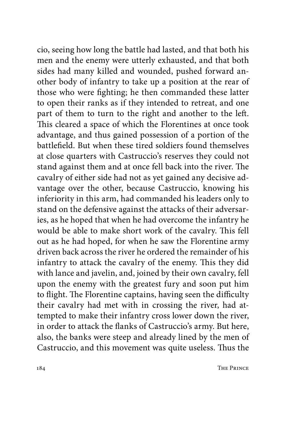cio, seeing how long the battle had lasted, and that both his men and the enemy were utterly exhausted, and that both sides had many killed and wounded, pushed forward another body of infantry to take up a position at the rear of those who were fighting; he then commanded these latter to open their ranks as if they intended to retreat, and one part of them to turn to the right and another to the left. This cleared a space of which the Florentines at once took advantage, and thus gained possession of a portion of the battlefield. But when these tired soldiers found themselves at close quarters with Castruccio's reserves they could not stand against them and at once fell back into the river. The cavalry of either side had not as yet gained any decisive advantage over the other, because Castruccio, knowing his inferiority in this arm, had commanded his leaders only to stand on the defensive against the attacks of their adversaries, as he hoped that when he had overcome the infantry he would be able to make short work of the cavalry. This fell out as he had hoped, for when he saw the Florentine army driven back across the river he ordered the remainder of his infantry to attack the cavalry of the enemy. This they did with lance and javelin, and, joined by their own cavalry, fell upon the enemy with the greatest fury and soon put him to flight. The Florentine captains, having seen the difficulty their cavalry had met with in crossing the river, had attempted to make their infantry cross lower down the river, in order to attack the flanks of Castruccio's army. But here, also, the banks were steep and already lined by the men of Castruccio, and this movement was quite useless. Thus the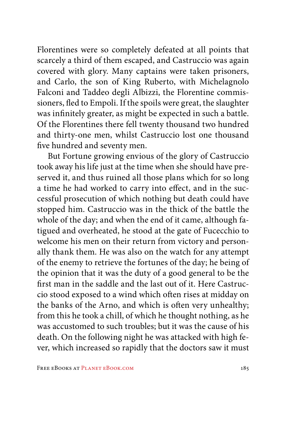Florentines were so completely defeated at all points that scarcely a third of them escaped, and Castruccio was again covered with glory. Many captains were taken prisoners, and Carlo, the son of King Ruberto, with Michelagnolo Falconi and Taddeo degli Albizzi, the Florentine commissioners, fled to Empoli. If the spoils were great, the slaughter was infinitely greater, as might be expected in such a battle. Of the Florentines there fell twenty thousand two hundred and thirty-one men, whilst Castruccio lost one thousand five hundred and seventy men.

But Fortune growing envious of the glory of Castruccio took away his life just at the time when she should have preserved it, and thus ruined all those plans which for so long a time he had worked to carry into effect, and in the successful prosecution of which nothing but death could have stopped him. Castruccio was in the thick of the battle the whole of the day; and when the end of it came, although fatigued and overheated, he stood at the gate of Fucecchio to welcome his men on their return from victory and personally thank them. He was also on the watch for any attempt of the enemy to retrieve the fortunes of the day; he being of the opinion that it was the duty of a good general to be the first man in the saddle and the last out of it. Here Castruccio stood exposed to a wind which often rises at midday on the banks of the Arno, and which is often very unhealthy; from this he took a chill, of which he thought nothing, as he was accustomed to such troubles; but it was the cause of his death. On the following night he was attacked with high fever, which increased so rapidly that the doctors saw it must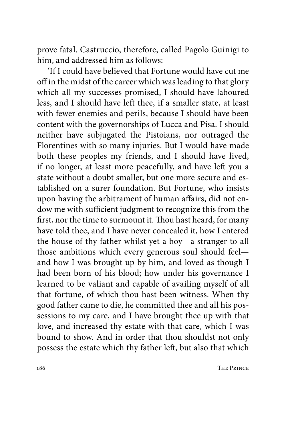prove fatal. Castruccio, therefore, called Pagolo Guinigi to him, and addressed him as follows:

'If I could have believed that Fortune would have cut me off in the midst of the career which was leading to that glory which all my successes promised, I should have laboured less, and I should have left thee, if a smaller state, at least with fewer enemies and perils, because I should have been content with the governorships of Lucca and Pisa. I should neither have subjugated the Pistoians, nor outraged the Florentines with so many injuries. But I would have made both these peoples my friends, and I should have lived, if no longer, at least more peacefully, and have left you a state without a doubt smaller, but one more secure and established on a surer foundation. But Fortune, who insists upon having the arbitrament of human affairs, did not endow me with sufficient judgment to recognize this from the first, nor the time to surmount it. Thou hast heard, for many have told thee, and I have never concealed it, how I entered the house of thy father whilst yet a boy—a stranger to all those ambitions which every generous soul should feel and how I was brought up by him, and loved as though I had been born of his blood; how under his governance I learned to be valiant and capable of availing myself of all that fortune, of which thou hast been witness. When thy good father came to die, he committed thee and all his possessions to my care, and I have brought thee up with that love, and increased thy estate with that care, which I was bound to show. And in order that thou shouldst not only possess the estate which thy father left, but also that which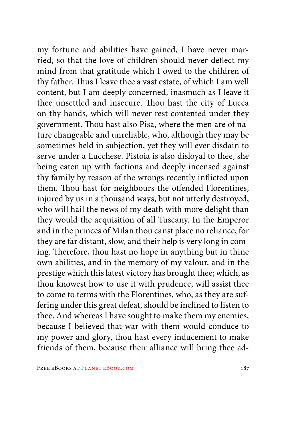my fortune and abilities have gained, I have never married, so that the love of children should never deflect my mind from that gratitude which I owed to the children of thy father. Thus I leave thee a vast estate, of which I am well content, but I am deeply concerned, inasmuch as I leave it thee unsettled and insecure. Thou hast the city of Lucca on thy hands, which will never rest contented under they government. Thou hast also Pisa, where the men are of nature changeable and unreliable, who, although they may be sometimes held in subjection, yet they will ever disdain to serve under a Lucchese. Pistoia is also disloyal to thee, she being eaten up with factions and deeply incensed against thy family by reason of the wrongs recently inflicted upon them. Thou hast for neighbours the offended Florentines, injured by us in a thousand ways, but not utterly destroyed, who will hail the news of my death with more delight than they would the acquisition of all Tuscany. In the Emperor and in the princes of Milan thou canst place no reliance, for they are far distant, slow, and their help is very long in coming. Therefore, thou hast no hope in anything but in thine own abilities, and in the memory of my valour, and in the prestige which this latest victory has brought thee; which, as thou knowest how to use it with prudence, will assist thee to come to terms with the Florentines, who, as they are suffering under this great defeat, should be inclined to listen to thee. And whereas I have sought to make them my enemies, because I believed that war with them would conduce to my power and glory, thou hast every inducement to make friends of them, because their alliance will bring thee ad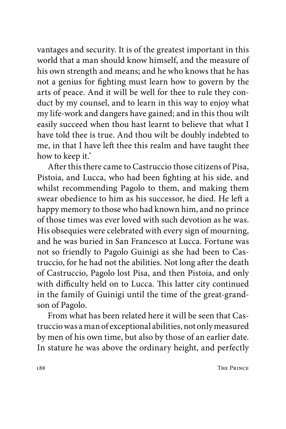vantages and security. It is of the greatest important in this world that a man should know himself, and the measure of his own strength and means; and he who knows that he has not a genius for fighting must learn how to govern by the arts of peace. And it will be well for thee to rule they conduct by my counsel, and to learn in this way to enjoy what my life-work and dangers have gained; and in this thou wilt easily succeed when thou hast learnt to believe that what I have told thee is true. And thou wilt be doubly indebted to me, in that I have left thee this realm and have taught thee how to keep it.'

After this there came to Castruccio those citizens of Pisa, Pistoia, and Lucca, who had been fighting at his side, and whilst recommending Pagolo to them, and making them swear obedience to him as his successor, he died. He left a happy memory to those who had known him, and no prince of those times was ever loved with such devotion as he was. His obsequies were celebrated with every sign of mourning, and he was buried in San Francesco at Lucca. Fortune was not so friendly to Pagolo Guinigi as she had been to Castruccio, for he had not the abilities. Not long after the death of Castruccio, Pagolo lost Pisa, and then Pistoia, and only with difficulty held on to Lucca. This latter city continued in the family of Guinigi until the time of the great-grandson of Pagolo.

From what has been related here it will be seen that Castruccio was a man of exceptional abilities, not only measured by men of his own time, but also by those of an earlier date. In stature he was above the ordinary height, and perfectly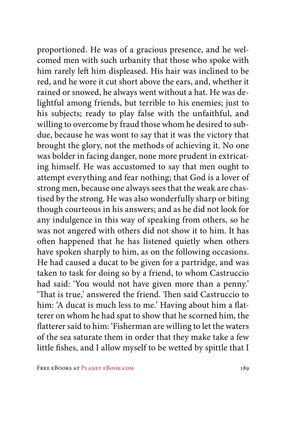proportioned. He was of a gracious presence, and he welcomed men with such urbanity that those who spoke with him rarely left him displeased. His hair was inclined to be red, and he wore it cut short above the ears, and, whether it rained or snowed, he always went without a hat. He was delightful among friends, but terrible to his enemies; just to his subjects; ready to play false with the unfaithful, and willing to overcome by fraud those whom he desired to subdue, because he was wont to say that it was the victory that brought the glory, not the methods of achieving it. No one was bolder in facing danger, none more prudent in extricating himself. He was accustomed to say that men ought to attempt everything and fear nothing; that God is a lover of strong men, because one always sees that the weak are chastised by the strong. He was also wonderfully sharp or biting though courteous in his answers; and as he did not look for any indulgence in this way of speaking from others, so he was not angered with others did not show it to him. It has often happened that he has listened quietly when others have spoken sharply to him, as on the following occasions. He had caused a ducat to be given for a partridge, and was taken to task for doing so by a friend, to whom Castruccio had said: 'You would not have given more than a penny.' 'That is true,' answered the friend. Then said Castruccio to him: 'A ducat is much less to me.' Having about him a flatterer on whom he had spat to show that he scorned him, the flatterer said to him: 'Fisherman are willing to let the waters of the sea saturate them in order that they make take a few little fishes, and I allow myself to be wetted by spittle that I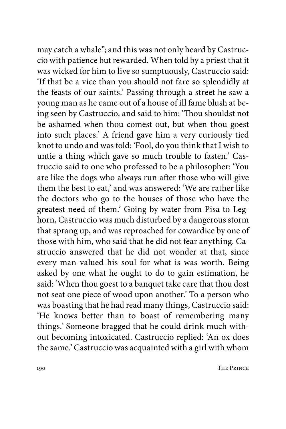may catch a whale"; and this was not only heard by Castruccio with patience but rewarded. When told by a priest that it was wicked for him to live so sumptuously, Castruccio said: 'If that be a vice than you should not fare so splendidly at the feasts of our saints.' Passing through a street he saw a young man as he came out of a house of ill fame blush at being seen by Castruccio, and said to him: 'Thou shouldst not be ashamed when thou comest out, but when thou goest into such places.' A friend gave him a very curiously tied knot to undo and was told: 'Fool, do you think that I wish to untie a thing which gave so much trouble to fasten.' Castruccio said to one who professed to be a philosopher: 'You are like the dogs who always run after those who will give them the best to eat,' and was answered: 'We are rather like the doctors who go to the houses of those who have the greatest need of them.' Going by water from Pisa to Leghorn, Castruccio was much disturbed by a dangerous storm that sprang up, and was reproached for cowardice by one of those with him, who said that he did not fear anything. Castruccio answered that he did not wonder at that, since every man valued his soul for what is was worth. Being asked by one what he ought to do to gain estimation, he said: 'When thou goest to a banquet take care that thou dost not seat one piece of wood upon another.' To a person who was boasting that he had read many things, Castruccio said: 'He knows better than to boast of remembering many things.' Someone bragged that he could drink much without becoming intoxicated. Castruccio replied: 'An ox does the same.' Castruccio was acquainted with a girl with whom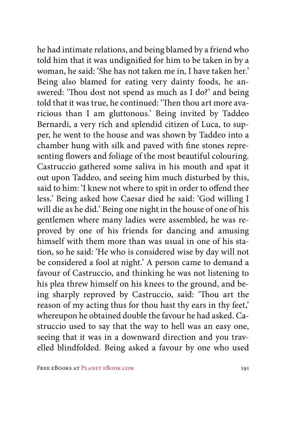he had intimate relations, and being blamed by a friend who told him that it was undignified for him to be taken in by a woman, he said: 'She has not taken me in, I have taken her.' Being also blamed for eating very dainty foods, he answered: 'Thou dost not spend as much as I do?' and being told that it was true, he continued: 'Then thou art more avaricious than I am gluttonous.' Being invited by Taddeo Bernardi, a very rich and splendid citizen of Luca, to supper, he went to the house and was shown by Taddeo into a chamber hung with silk and paved with fine stones representing flowers and foliage of the most beautiful colouring. Castruccio gathered some saliva in his mouth and spat it out upon Taddeo, and seeing him much disturbed by this, said to him: 'I knew not where to spit in order to offend thee less.' Being asked how Caesar died he said: 'God willing I will die as he did.' Being one night in the house of one of his gentlemen where many ladies were assembled, he was reproved by one of his friends for dancing and amusing himself with them more than was usual in one of his station, so he said: 'He who is considered wise by day will not be considered a fool at night.' A person came to demand a favour of Castruccio, and thinking he was not listening to his plea threw himself on his knees to the ground, and being sharply reproved by Castruccio, said: 'Thou art the reason of my acting thus for thou hast thy ears in thy feet,' whereupon he obtained double the favour he had asked. Castruccio used to say that the way to hell was an easy one, seeing that it was in a downward direction and you travelled blindfolded. Being asked a favour by one who used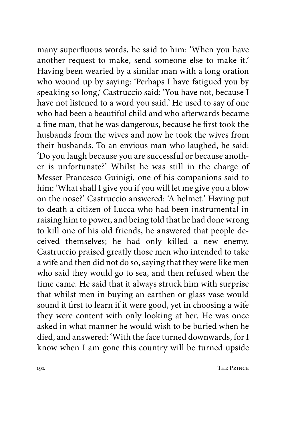many superfluous words, he said to him: 'When you have another request to make, send someone else to make it.' Having been wearied by a similar man with a long oration who wound up by saying: 'Perhaps I have fatigued you by speaking so long,' Castruccio said: 'You have not, because I have not listened to a word you said.' He used to say of one who had been a beautiful child and who afterwards became a fine man, that he was dangerous, because he first took the husbands from the wives and now he took the wives from their husbands. To an envious man who laughed, he said: 'Do you laugh because you are successful or because another is unfortunate?' Whilst he was still in the charge of Messer Francesco Guinigi, one of his companions said to him: 'What shall I give you if you will let me give you a blow on the nose?' Castruccio answered: 'A helmet.' Having put to death a citizen of Lucca who had been instrumental in raising him to power, and being told that he had done wrong to kill one of his old friends, he answered that people deceived themselves; he had only killed a new enemy. Castruccio praised greatly those men who intended to take a wife and then did not do so, saying that they were like men who said they would go to sea, and then refused when the time came. He said that it always struck him with surprise that whilst men in buying an earthen or glass vase would sound it first to learn if it were good, yet in choosing a wife they were content with only looking at her. He was once asked in what manner he would wish to be buried when he died, and answered: 'With the face turned downwards, for I know when I am gone this country will be turned upside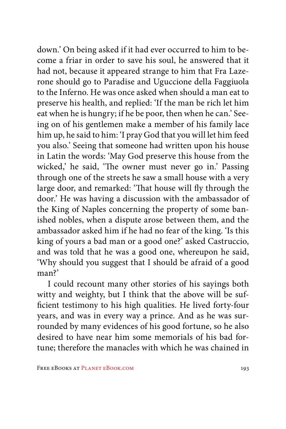down.' On being asked if it had ever occurred to him to become a friar in order to save his soul, he answered that it had not, because it appeared strange to him that Fra Lazerone should go to Paradise and Uguccione della Faggiuola to the Inferno. He was once asked when should a man eat to preserve his health, and replied: 'If the man be rich let him eat when he is hungry; if he be poor, then when he can.' Seeing on of his gentlemen make a member of his family lace him up, he said to him: 'I pray God that you will let him feed you also.' Seeing that someone had written upon his house in Latin the words: 'May God preserve this house from the wicked,' he said, 'The owner must never go in.' Passing through one of the streets he saw a small house with a very large door, and remarked: 'That house will fly through the door.' He was having a discussion with the ambassador of the King of Naples concerning the property of some banished nobles, when a dispute arose between them, and the ambassador asked him if he had no fear of the king. 'Is this king of yours a bad man or a good one?' asked Castruccio, and was told that he was a good one, whereupon he said, 'Why should you suggest that I should be afraid of a good man?'

I could recount many other stories of his sayings both witty and weighty, but I think that the above will be sufficient testimony to his high qualities. He lived forty-four years, and was in every way a prince. And as he was surrounded by many evidences of his good fortune, so he also desired to have near him some memorials of his bad fortune; therefore the manacles with which he was chained in